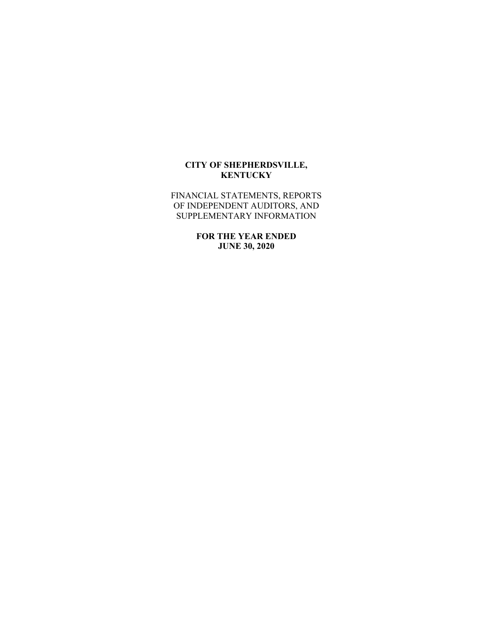# **CITY OF SHEPHERDSVILLE, KENTUCKY**

FINANCIAL STATEMENTS, REPORTS OF INDEPENDENT AUDITORS, AND SUPPLEMENTARY INFORMATION

> **FOR THE YEAR ENDED JUNE 30, 2020**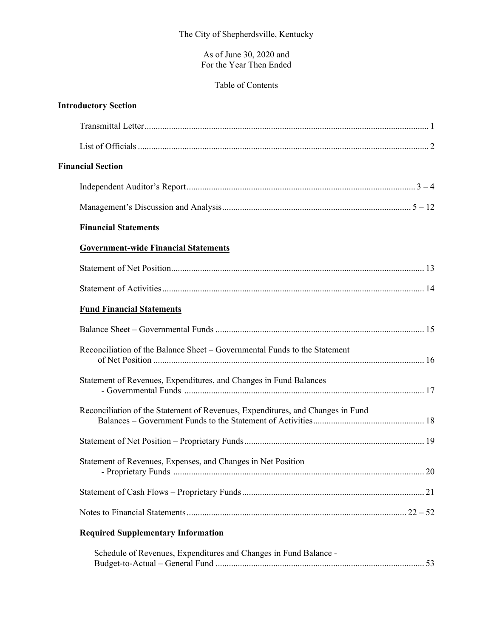# As of June 30, 2020 and For the Year Then Ended

# Table of Contents

| <b>Introductory Section</b>                                                    |
|--------------------------------------------------------------------------------|
|                                                                                |
|                                                                                |
| <b>Financial Section</b>                                                       |
|                                                                                |
|                                                                                |
| <b>Financial Statements</b>                                                    |
| <b>Government-wide Financial Statements</b>                                    |
|                                                                                |
|                                                                                |
| <b>Fund Financial Statements</b>                                               |
|                                                                                |
| Reconciliation of the Balance Sheet – Governmental Funds to the Statement      |
| Statement of Revenues, Expenditures, and Changes in Fund Balances              |
| Reconciliation of the Statement of Revenues, Expenditures, and Changes in Fund |
|                                                                                |
| Statement of Revenues, Expenses, and Changes in Net Position                   |
|                                                                                |
|                                                                                |
| <b>Required Supplementary Information</b>                                      |
| Schedule of Revenues, Expenditures and Changes in Fund Balance -               |

Budget-to-Actual – General Fund .............................................................................................. 53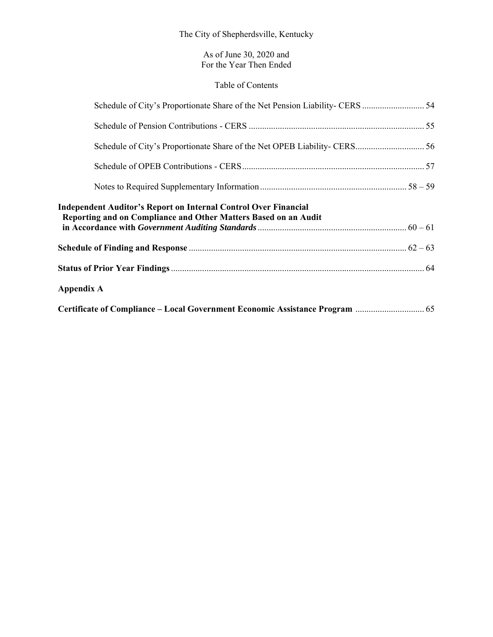### As of June 30, 2020 and For the Year Then Ended

# Table of Contents

| Schedule of City's Proportionate Share of the Net Pension Liability- CERS  54                                                             |  |
|-------------------------------------------------------------------------------------------------------------------------------------------|--|
|                                                                                                                                           |  |
|                                                                                                                                           |  |
|                                                                                                                                           |  |
|                                                                                                                                           |  |
| <b>Independent Auditor's Report on Internal Control Over Financial</b><br>Reporting and on Compliance and Other Matters Based on an Audit |  |
|                                                                                                                                           |  |
|                                                                                                                                           |  |
|                                                                                                                                           |  |
| Appendix A                                                                                                                                |  |
| Certificate of Compliance - Local Government Economic Assistance Program  65                                                              |  |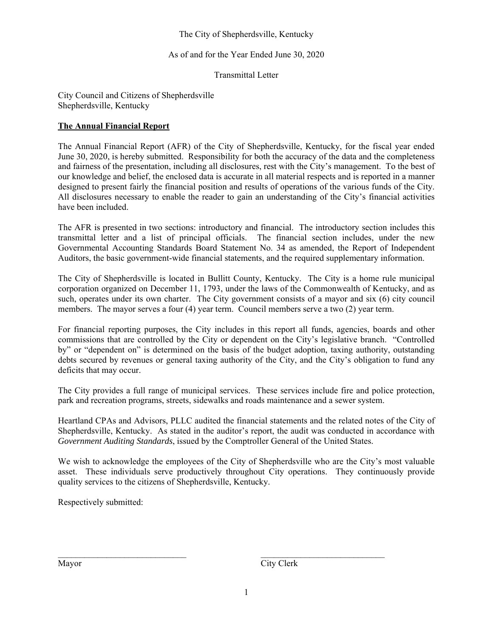### As of and for the Year Ended June 30, 2020

## Transmittal Letter

City Council and Citizens of Shepherdsville Shepherdsville, Kentucky

## **The Annual Financial Report**

The Annual Financial Report (AFR) of the City of Shepherdsville, Kentucky, for the fiscal year ended June 30, 2020, is hereby submitted. Responsibility for both the accuracy of the data and the completeness and fairness of the presentation, including all disclosures, rest with the City's management. To the best of our knowledge and belief, the enclosed data is accurate in all material respects and is reported in a manner designed to present fairly the financial position and results of operations of the various funds of the City. All disclosures necessary to enable the reader to gain an understanding of the City's financial activities have been included.

The AFR is presented in two sections: introductory and financial. The introductory section includes this transmittal letter and a list of principal officials. The financial section includes, under the new Governmental Accounting Standards Board Statement No. 34 as amended, the Report of Independent Auditors, the basic government-wide financial statements, and the required supplementary information.

The City of Shepherdsville is located in Bullitt County, Kentucky. The City is a home rule municipal corporation organized on December 11, 1793, under the laws of the Commonwealth of Kentucky, and as such, operates under its own charter. The City government consists of a mayor and six (6) city council members. The mayor serves a four (4) year term. Council members serve a two (2) year term.

For financial reporting purposes, the City includes in this report all funds, agencies, boards and other commissions that are controlled by the City or dependent on the City's legislative branch. "Controlled by" or "dependent on" is determined on the basis of the budget adoption, taxing authority, outstanding debts secured by revenues or general taxing authority of the City, and the City's obligation to fund any deficits that may occur.

The City provides a full range of municipal services. These services include fire and police protection, park and recreation programs, streets, sidewalks and roads maintenance and a sewer system.

Heartland CPAs and Advisors, PLLC audited the financial statements and the related notes of the City of Shepherdsville, Kentucky. As stated in the auditor's report, the audit was conducted in accordance with *Government Auditing Standards*, issued by the Comptroller General of the United States.

We wish to acknowledge the employees of the City of Shepherdsville who are the City's most valuable asset. These individuals serve productively throughout City operations. They continuously provide quality services to the citizens of Shepherdsville, Kentucky.

Respectively submitted:

Mayor City Clerk

 $\mathcal{L}_\text{max}$  and the contract of the contract of the contract of the contract of the contract of the contract of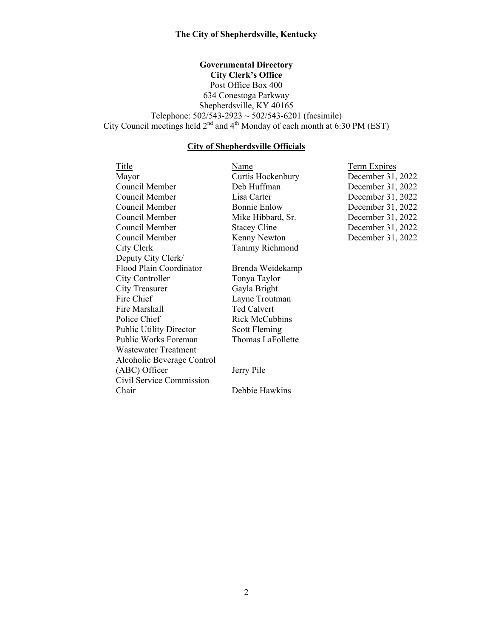### **Governmental Directory City Clerk's Office**  Post Office Box 400 634 Conestoga Parkway Shepherdsville, KY 40165 Telephone:  $502/543-2923 \sim 502/543-6201$  (facsimile) City Council meetings held  $2<sup>nd</sup>$  and  $4<sup>th</sup>$  Monday of each month at 6:30 PM (EST)

# **City of Shepherdsville Officials**

| Title                          | Name                  | <b>Term Expires</b> |
|--------------------------------|-----------------------|---------------------|
| Mayor                          | Curtis Hockenbury     | December 31, 2022   |
| Council Member                 | Deb Huffman           | December 31, 2022   |
| Council Member                 | Lisa Carter           | December 31, 2022   |
| Council Member                 | <b>Bonnie Enlow</b>   | December 31, 2022   |
| Council Member                 | Mike Hibbard, Sr.     | December 31, 2022   |
| Council Member                 | <b>Stacey Cline</b>   | December 31, 2022   |
| Council Member                 | Kenny Newton          | December 31, 2022   |
| City Clerk                     | Tammy Richmond        |                     |
| Deputy City Clerk/             |                       |                     |
| Flood Plain Coordinator        | Brenda Weidekamp      |                     |
| City Controller                | Tonya Taylor          |                     |
| City Treasurer                 | Gayla Bright          |                     |
| Fire Chief                     | Layne Troutman        |                     |
| Fire Marshall                  | Ted Calvert           |                     |
| Police Chief                   | <b>Rick McCubbins</b> |                     |
| <b>Public Utility Director</b> | <b>Scott Fleming</b>  |                     |
| Public Works Foreman           | Thomas LaFollette     |                     |
| <b>Wastewater Treatment</b>    |                       |                     |
| Alcoholic Beverage Control     |                       |                     |
| (ABC) Officer                  | Jerry Pile            |                     |
| Civil Service Commission       |                       |                     |
| Chair                          | Debbie Hawkins        |                     |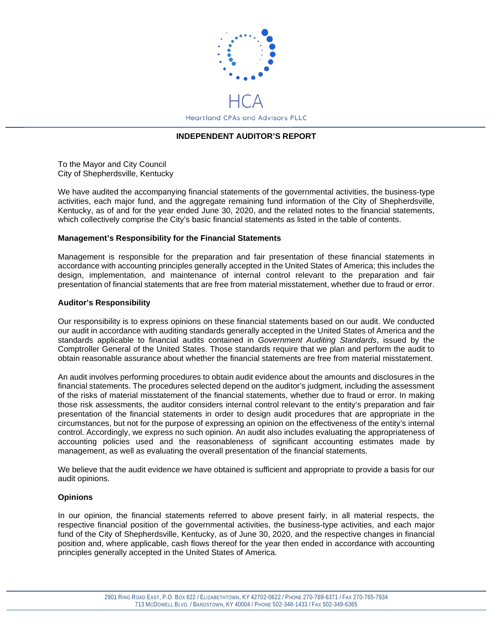

### **INDEPENDENT AUDITOR'S REPORT**

To the Mayor and City Council City of Shepherdsville, Kentucky

We have audited the accompanying financial statements of the governmental activities, the business-type activities, each major fund, and the aggregate remaining fund information of the City of Shepherdsville, Kentucky, as of and for the year ended June 30, 2020, and the related notes to the financial statements, which collectively comprise the City's basic financial statements as listed in the table of contents.

#### **Management's Responsibility for the Financial Statements**

Management is responsible for the preparation and fair presentation of these financial statements in accordance with accounting principles generally accepted in the United States of America; this includes the design, implementation, and maintenance of internal control relevant to the preparation and fair presentation of financial statements that are free from material misstatement, whether due to fraud or error.

#### **Auditor's Responsibility**

Our responsibility is to express opinions on these financial statements based on our audit. We conducted our audit in accordance with auditing standards generally accepted in the United States of America and the standards applicable to financial audits contained in *Government Auditing Standards*, issued by the Comptroller General of the United States. Those standards require that we plan and perform the audit to obtain reasonable assurance about whether the financial statements are free from material misstatement.

An audit involves performing procedures to obtain audit evidence about the amounts and disclosures in the financial statements. The procedures selected depend on the auditor's judgment, including the assessment of the risks of material misstatement of the financial statements, whether due to fraud or error. In making those risk assessments, the auditor considers internal control relevant to the entity's preparation and fair presentation of the financial statements in order to design audit procedures that are appropriate in the circumstances, but not for the purpose of expressing an opinion on the effectiveness of the entity's internal control. Accordingly, we express no such opinion. An audit also includes evaluating the appropriateness of accounting policies used and the reasonableness of significant accounting estimates made by management, as well as evaluating the overall presentation of the financial statements.

We believe that the audit evidence we have obtained is sufficient and appropriate to provide a basis for our audit opinions.

#### **Opinions**

In our opinion, the financial statements referred to above present fairly, in all material respects, the respective financial position of the governmental activities, the business-type activities, and each major fund of the City of Shepherdsville, Kentucky, as of June 30, 2020, and the respective changes in financial position and, where applicable, cash flows thereof for the year then ended in accordance with accounting principles generally accepted in the United States of America.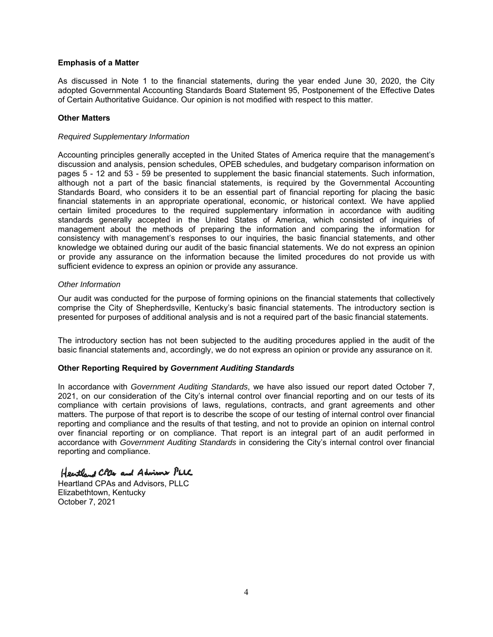#### **Emphasis of a Matter**

As discussed in Note 1 to the financial statements, during the year ended June 30, 2020, the City adopted Governmental Accounting Standards Board Statement 95, Postponement of the Effective Dates of Certain Authoritative Guidance. Our opinion is not modified with respect to this matter.

#### **Other Matters**

#### *Required Supplementary Information*

Accounting principles generally accepted in the United States of America require that the management's discussion and analysis, pension schedules, OPEB schedules, and budgetary comparison information on pages 5 - 12 and 53 - 59 be presented to supplement the basic financial statements. Such information, although not a part of the basic financial statements, is required by the Governmental Accounting Standards Board, who considers it to be an essential part of financial reporting for placing the basic financial statements in an appropriate operational, economic, or historical context. We have applied certain limited procedures to the required supplementary information in accordance with auditing standards generally accepted in the United States of America, which consisted of inquiries of management about the methods of preparing the information and comparing the information for consistency with management's responses to our inquiries, the basic financial statements, and other knowledge we obtained during our audit of the basic financial statements. We do not express an opinion or provide any assurance on the information because the limited procedures do not provide us with sufficient evidence to express an opinion or provide any assurance.

#### *Other Information*

Our audit was conducted for the purpose of forming opinions on the financial statements that collectively comprise the City of Shepherdsville, Kentucky's basic financial statements. The introductory section is presented for purposes of additional analysis and is not a required part of the basic financial statements.

The introductory section has not been subjected to the auditing procedures applied in the audit of the basic financial statements and, accordingly, we do not express an opinion or provide any assurance on it.

#### **Other Reporting Required by** *Government Auditing Standards*

In accordance with *Government Auditing Standards*, we have also issued our report dated October 7, 2021, on our consideration of the City's internal control over financial reporting and on our tests of its compliance with certain provisions of laws, regulations, contracts, and grant agreements and other matters. The purpose of that report is to describe the scope of our testing of internal control over financial reporting and compliance and the results of that testing, and not to provide an opinion on internal control over financial reporting or on compliance. That report is an integral part of an audit performed in accordance with *Government Auditing Standards* in considering the City's internal control over financial reporting and compliance.

# Heatland CPOs and Advisor PLLC

Heartland CPAs and Advisors, PLLC Elizabethtown, Kentucky October 7, 2021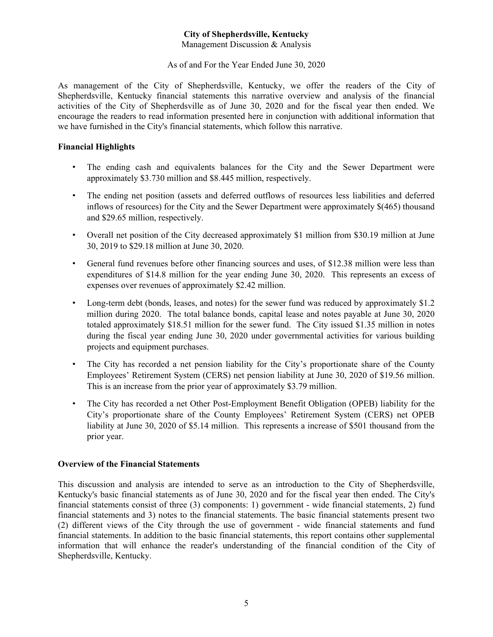Management Discussion & Analysis

### As of and For the Year Ended June 30, 2020

As management of the City of Shepherdsville, Kentucky, we offer the readers of the City of Shepherdsville, Kentucky financial statements this narrative overview and analysis of the financial activities of the City of Shepherdsville as of June 30, 2020 and for the fiscal year then ended. We encourage the readers to read information presented here in conjunction with additional information that we have furnished in the City's financial statements, which follow this narrative.

### **Financial Highlights**

- The ending cash and equivalents balances for the City and the Sewer Department were approximately \$3.730 million and \$8.445 million, respectively.
- The ending net position (assets and deferred outflows of resources less liabilities and deferred inflows of resources) for the City and the Sewer Department were approximately \$(465) thousand and \$29.65 million, respectively.
- Overall net position of the City decreased approximately \$1 million from \$30.19 million at June 30, 2019 to \$29.18 million at June 30, 2020.
- General fund revenues before other financing sources and uses, of \$12.38 million were less than expenditures of \$14.8 million for the year ending June 30, 2020. This represents an excess of expenses over revenues of approximately \$2.42 million.
- Long-term debt (bonds, leases, and notes) for the sewer fund was reduced by approximately \$1.2 million during 2020. The total balance bonds, capital lease and notes payable at June 30, 2020 totaled approximately \$18.51 million for the sewer fund. The City issued \$1.35 million in notes during the fiscal year ending June 30, 2020 under governmental activities for various building projects and equipment purchases.
- The City has recorded a net pension liability for the City's proportionate share of the County Employees' Retirement System (CERS) net pension liability at June 30, 2020 of \$19.56 million. This is an increase from the prior year of approximately \$3.79 million.
- The City has recorded a net Other Post-Employment Benefit Obligation (OPEB) liability for the City's proportionate share of the County Employees' Retirement System (CERS) net OPEB liability at June 30, 2020 of \$5.14 million. This represents a increase of \$501 thousand from the prior year.

### **Overview of the Financial Statements**

This discussion and analysis are intended to serve as an introduction to the City of Shepherdsville, Kentucky's basic financial statements as of June 30, 2020 and for the fiscal year then ended. The City's financial statements consist of three (3) components: 1) government - wide financial statements, 2) fund financial statements and 3) notes to the financial statements. The basic financial statements present two (2) different views of the City through the use of government - wide financial statements and fund financial statements. In addition to the basic financial statements, this report contains other supplemental information that will enhance the reader's understanding of the financial condition of the City of Shepherdsville, Kentucky.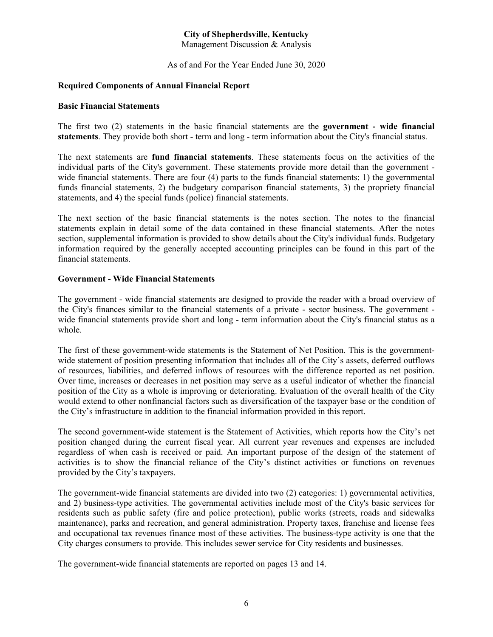Management Discussion & Analysis

As of and For the Year Ended June 30, 2020

### **Required Components of Annual Financial Report**

### **Basic Financial Statements**

The first two (2) statements in the basic financial statements are the **government - wide financial statements**. They provide both short - term and long - term information about the City's financial status.

The next statements are **fund financial statements**. These statements focus on the activities of the individual parts of the City's government. These statements provide more detail than the government wide financial statements. There are four (4) parts to the funds financial statements: 1) the governmental funds financial statements, 2) the budgetary comparison financial statements, 3) the propriety financial statements, and 4) the special funds (police) financial statements.

The next section of the basic financial statements is the notes section. The notes to the financial statements explain in detail some of the data contained in these financial statements. After the notes section, supplemental information is provided to show details about the City's individual funds. Budgetary information required by the generally accepted accounting principles can be found in this part of the financial statements.

### **Government - Wide Financial Statements**

The government - wide financial statements are designed to provide the reader with a broad overview of the City's finances similar to the financial statements of a private - sector business. The government wide financial statements provide short and long - term information about the City's financial status as a whole.

The first of these government-wide statements is the Statement of Net Position. This is the governmentwide statement of position presenting information that includes all of the City's assets, deferred outflows of resources, liabilities, and deferred inflows of resources with the difference reported as net position. Over time, increases or decreases in net position may serve as a useful indicator of whether the financial position of the City as a whole is improving or deteriorating. Evaluation of the overall health of the City would extend to other nonfinancial factors such as diversification of the taxpayer base or the condition of the City's infrastructure in addition to the financial information provided in this report.

The second government-wide statement is the Statement of Activities, which reports how the City's net position changed during the current fiscal year. All current year revenues and expenses are included regardless of when cash is received or paid. An important purpose of the design of the statement of activities is to show the financial reliance of the City's distinct activities or functions on revenues provided by the City's taxpayers.

The government-wide financial statements are divided into two (2) categories: 1) governmental activities, and 2) business-type activities. The governmental activities include most of the City's basic services for residents such as public safety (fire and police protection), public works (streets, roads and sidewalks maintenance), parks and recreation, and general administration. Property taxes, franchise and license fees and occupational tax revenues finance most of these activities. The business-type activity is one that the City charges consumers to provide. This includes sewer service for City residents and businesses.

The government-wide financial statements are reported on pages 13 and 14.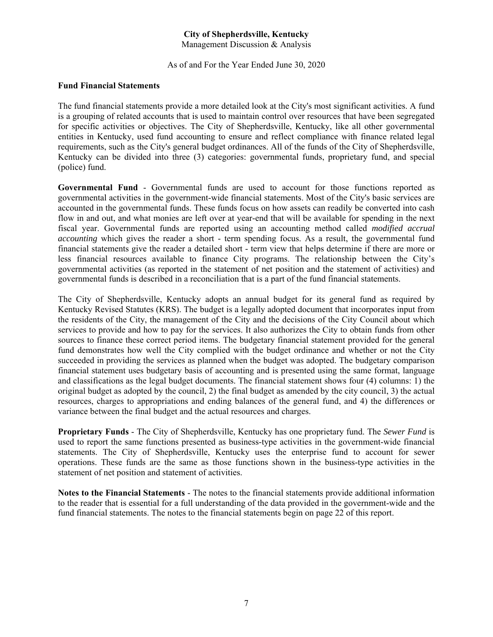Management Discussion & Analysis

As of and For the Year Ended June 30, 2020

### **Fund Financial Statements**

The fund financial statements provide a more detailed look at the City's most significant activities. A fund is a grouping of related accounts that is used to maintain control over resources that have been segregated for specific activities or objectives. The City of Shepherdsville, Kentucky, like all other governmental entities in Kentucky, used fund accounting to ensure and reflect compliance with finance related legal requirements, such as the City's general budget ordinances. All of the funds of the City of Shepherdsville, Kentucky can be divided into three (3) categories: governmental funds, proprietary fund, and special (police) fund.

**Governmental Fund** - Governmental funds are used to account for those functions reported as governmental activities in the government-wide financial statements. Most of the City's basic services are accounted in the governmental funds. These funds focus on how assets can readily be converted into cash flow in and out, and what monies are left over at year-end that will be available for spending in the next fiscal year. Governmental funds are reported using an accounting method called *modified accrual accounting* which gives the reader a short - term spending focus. As a result, the governmental fund financial statements give the reader a detailed short - term view that helps determine if there are more or less financial resources available to finance City programs. The relationship between the City's governmental activities (as reported in the statement of net position and the statement of activities) and governmental funds is described in a reconciliation that is a part of the fund financial statements.

The City of Shepherdsville, Kentucky adopts an annual budget for its general fund as required by Kentucky Revised Statutes (KRS). The budget is a legally adopted document that incorporates input from the residents of the City, the management of the City and the decisions of the City Council about which services to provide and how to pay for the services. It also authorizes the City to obtain funds from other sources to finance these correct period items. The budgetary financial statement provided for the general fund demonstrates how well the City complied with the budget ordinance and whether or not the City succeeded in providing the services as planned when the budget was adopted. The budgetary comparison financial statement uses budgetary basis of accounting and is presented using the same format, language and classifications as the legal budget documents. The financial statement shows four (4) columns: 1) the original budget as adopted by the council, 2) the final budget as amended by the city council, 3) the actual resources, charges to appropriations and ending balances of the general fund, and 4) the differences or variance between the final budget and the actual resources and charges.

**Proprietary Funds** - The City of Shepherdsville, Kentucky has one proprietary fund. The *Sewer Fund* is used to report the same functions presented as business-type activities in the government-wide financial statements. The City of Shepherdsville, Kentucky uses the enterprise fund to account for sewer operations. These funds are the same as those functions shown in the business-type activities in the statement of net position and statement of activities.

**Notes to the Financial Statements** - The notes to the financial statements provide additional information to the reader that is essential for a full understanding of the data provided in the government-wide and the fund financial statements. The notes to the financial statements begin on page 22 of this report.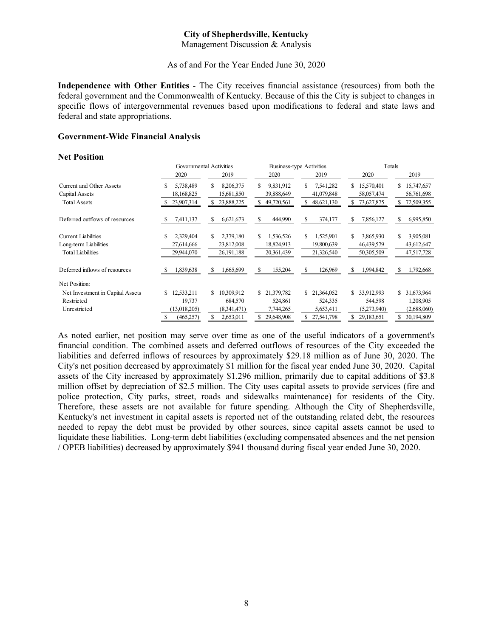Management Discussion & Analysis

As of and For the Year Ended June 30, 2020

**Independence with Other Entities** - The City receives financial assistance (resources) from both the federal government and the Commonwealth of Kentucky. Because of this the City is subject to changes in specific flows of intergovernmental revenues based upon modifications to federal and state laws and federal and state appropriations.

#### **Government-Wide Financial Analysis**

#### **Net Position**

|                                  |                  | Governmental Activities | <b>Business-type Activities</b> |                 |                  | Totals           |  |  |
|----------------------------------|------------------|-------------------------|---------------------------------|-----------------|------------------|------------------|--|--|
|                                  | 2020             | 2019                    | 2020                            | 2019            | 2020             | 2019             |  |  |
| Current and Other Assets         | 5,738,489<br>S   | S.<br>8,206,375         | 9,831,912<br>S                  | 7,541,282<br>S. | 15,570,401<br>S. | 15,747,657<br>\$ |  |  |
| Capital Assets                   | 18,168,825       | 15,681,850              | 39,888,649                      | 41,079,848      | 58,057,474       | 56,761,698       |  |  |
| <b>Total Assets</b>              | 23,907,314       | 23,888,225              | 49,720,561                      | 48,621,130      | 73,627,875<br>S  | 72,509,355<br>S  |  |  |
| Deferred outflows of resources   | 7,411,137<br>N.  | 6,621,673<br>S          | 444,990                         | 374,177<br>S    | S<br>7,856,127   | 6,995,850<br>S   |  |  |
| Current Liabilities              | S<br>2,329,404   | S.<br>2.379.180         | S<br>1,536,526                  | 1,525,901<br>S. | \$<br>3,865,930  | S<br>3,905,081   |  |  |
| Long-term Liabilities            | 27,614,666       | 23,812,008              | 18,824,913                      | 19,800,639      | 46,439,579       | 43,612,647       |  |  |
| <b>Total Liabilities</b>         | 29,944,070       | 26, 191, 188            | 20,361,439                      | 21,326,540      | 50,305,509       | 47,517,728       |  |  |
| Deferred inflows of resources    | 1,839,638        | S<br>1,665,699          | 155,204                         | 126,969<br>S    | S<br>1,994,842   | 1,792,668<br>S   |  |  |
| Net Position:                    |                  |                         |                                 |                 |                  |                  |  |  |
| Net Investment in Capital Assets | 12,533,211<br>\$ | 10,309,912<br>S.        | \$21,379,782                    | \$21,364,052    | 33,912,993<br>S. | S<br>31,673,964  |  |  |
| Restricted                       | 19,737           | 684,570                 | 524,861                         | 524,335         | 544,598          | 1,208,905        |  |  |
| Unrestricted                     | 13,018,205       | (8,341,471)             | 7,744,265                       | 5,653,411       | (5,273,940)      | (2,688,060)      |  |  |
|                                  | (465, 257)<br>S  | S<br>2,653,011          | 29,648,908                      | 27,541,798      | \$<br>29,183,651 | 30,194,809       |  |  |

As noted earlier, net position may serve over time as one of the useful indicators of a government's financial condition. The combined assets and deferred outflows of resources of the City exceeded the liabilities and deferred inflows of resources by approximately \$29.18 million as of June 30, 2020. The City's net position decreased by approximately \$1 million for the fiscal year ended June 30, 2020. Capital assets of the City increased by approximately \$1.296 million, primarily due to capital additions of \$3.8 million offset by depreciation of \$2.5 million. The City uses capital assets to provide services (fire and police protection, City parks, street, roads and sidewalks maintenance) for residents of the City. Therefore, these assets are not available for future spending. Although the City of Shepherdsville, Kentucky's net investment in capital assets is reported net of the outstanding related debt, the resources needed to repay the debt must be provided by other sources, since capital assets cannot be used to liquidate these liabilities. Long-term debt liabilities (excluding compensated absences and the net pension / OPEB liabilities) decreased by approximately \$941 thousand during fiscal year ended June 30, 2020.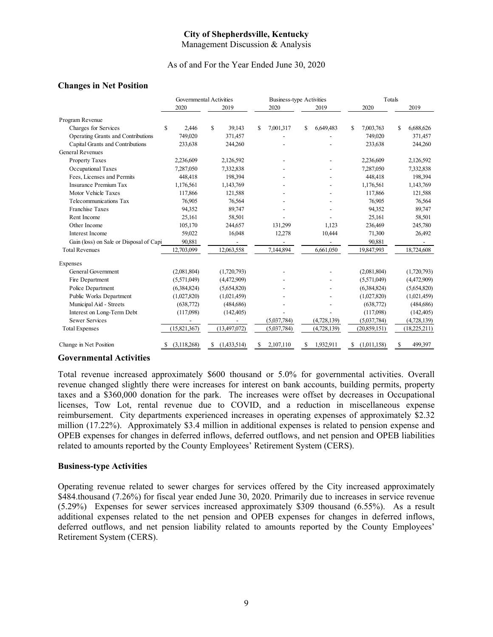Management Discussion & Analysis

#### As of and For the Year Ended June 30, 2020

#### **Changes in Net Position**

|                                         | Governmental Activities |                  | <b>Business-type Activities</b> |                 | Totals            |                          |  |
|-----------------------------------------|-------------------------|------------------|---------------------------------|-----------------|-------------------|--------------------------|--|
|                                         | 2020                    | 2019             | 2020                            | 2019            | 2020              | 2019                     |  |
| Program Revenue                         |                         |                  |                                 |                 |                   |                          |  |
| Charges for Services                    | S<br>2,446              | \$<br>39,143     | \$<br>7,001,317                 | \$<br>6,649,483 | \$<br>7,003,763   | S<br>6,688,626           |  |
| Operating Grants and Contributions      | 749,020                 | 371,457          |                                 |                 | 749,020           | 371,457                  |  |
| Capital Grants and Contributions        | 233,638                 | 244,260          |                                 |                 | 233,638           | 244,260                  |  |
| <b>General Revenues</b>                 |                         |                  |                                 |                 |                   |                          |  |
| <b>Property Taxes</b>                   | 2,236,609               | 2,126,592        |                                 |                 | 2,236,609         | 2,126,592                |  |
| Occupational Taxes                      | 7,287,050               | 7,332,838        |                                 |                 | 7,287,050         | 7,332,838                |  |
| Fees, Licenses and Permits              | 448,418                 | 198,394          |                                 |                 | 448,418           | 198,394                  |  |
| Insurance Premium Tax                   | 1,176,561               | 1,143,769        |                                 |                 | 1,176,561         | 1,143,769                |  |
| Motor Vehicle Taxes                     | 117,866                 | 121,588          |                                 |                 | 117,866           | 121,588                  |  |
| Telecommunications Tax                  | 76,905                  | 76,564           |                                 |                 | 76,905            | 76,564                   |  |
| <b>Franchise Taxes</b>                  | 94,352                  | 89,747           |                                 |                 | 94,352            | 89,747                   |  |
| Rent Income                             | 25,161                  | 58,501           |                                 |                 | 25,161            | 58,501                   |  |
| Other Income                            | 105,170                 | 244,657          | 131,299                         | 1,123           | 236,469           | 245,780                  |  |
| Interest Income                         | 59,022                  | 16,048           | 12,278                          | 10,444          | 71,300            | 26,492                   |  |
| Gain (loss) on Sale or Disposal of Capi | 90,881                  |                  | $\overline{\phantom{a}}$        |                 | 90,881            | $\overline{\phantom{0}}$ |  |
| <b>Total Revenues</b>                   | 12,703,099              | 12,063,558       | 7,144,894                       | 6,661,050       | 19,847,993        | 18,724,608               |  |
| Expenses                                |                         |                  |                                 |                 |                   |                          |  |
| General Government                      | (2,081,804)             | (1,720,793)      |                                 |                 | (2,081,804)       | (1,720,793)              |  |
| Fire Department                         | (5,571,049)             | (4,472,909)      |                                 |                 | (5,571,049)       | (4,472,909)              |  |
| Police Department                       | (6,384,824)             | (5,654,820)      |                                 |                 | (6,384,824)       | (5,654,820)              |  |
| Public Works Department                 | (1,027,820)             | (1,021,459)      |                                 |                 | (1,027,820)       | (1,021,459)              |  |
| Municipal Aid - Streets                 | (638,772)               | (484, 686)       |                                 |                 | (638,772)         | (484, 686)               |  |
| Interest on Long-Term Debt              | (117,098)               | (142, 405)       |                                 |                 | (117,098)         | (142, 405)               |  |
| <b>Sewer Services</b>                   |                         |                  | (5,037,784)                     | (4,728,139)     | (5,037,784)       | (4,728,139)              |  |
| <b>Total Expenses</b>                   | (15,821,367)            | (13,497,072)     | (5,037,784)                     | (4,728,139)     | (20, 859, 151)    | (18, 225, 211)           |  |
| Change in Net Position                  | (3,118,268)<br>S        | S<br>(1,433,514) | 2.107.110<br>\$                 | 1,932,911<br>\$ | (1,011,158)<br>\$ | S<br>499,397             |  |

### **Governmental Activities**

Total revenue increased approximately \$600 thousand or 5.0% for governmental activities. Overall revenue changed slightly there were increases for interest on bank accounts, building permits, property taxes and a \$360,000 donation for the park. The increases were offset by decreases in Occupational licenses, Tow Lot, rental revenue due to COVID, and a reduction in miscellaneous expense reimbursement. City departments experienced increases in operating expenses of approximately \$2.32 million (17.22%). Approximately \$3.4 million in additional expenses is related to pension expense and OPEB expenses for changes in deferred inflows, deferred outflows, and net pension and OPEB liabilities related to amounts reported by the County Employees' Retirement System (CERS).

#### **Business-type Activities**

Operating revenue related to sewer charges for services offered by the City increased approximately \$484.thousand (7.26%) for fiscal year ended June 30, 2020. Primarily due to increases in service revenue (5.29%) Expenses for sewer services increased approximately \$309 thousand (6.55%). As a result additional expenses related to the net pension and OPEB expenses for changes in deferred inflows, deferred outflows, and net pension liability related to amounts reported by the County Employees' Retirement System (CERS).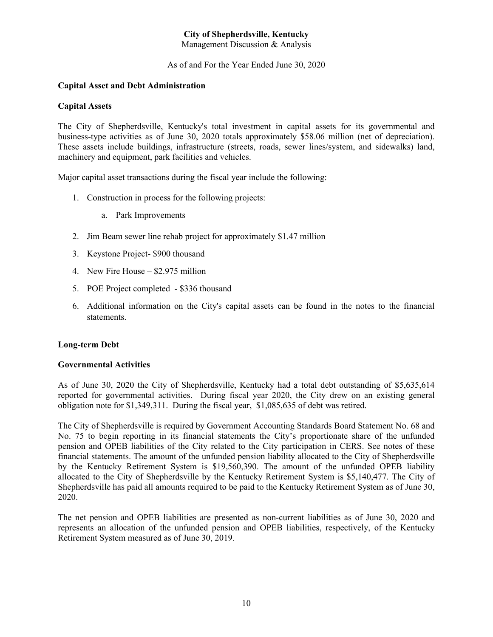Management Discussion & Analysis

As of and For the Year Ended June 30, 2020

### **Capital Asset and Debt Administration**

### **Capital Assets**

The City of Shepherdsville, Kentucky's total investment in capital assets for its governmental and business-type activities as of June 30, 2020 totals approximately \$58.06 million (net of depreciation). These assets include buildings, infrastructure (streets, roads, sewer lines/system, and sidewalks) land, machinery and equipment, park facilities and vehicles.

Major capital asset transactions during the fiscal year include the following:

- 1. Construction in process for the following projects:
	- a. Park Improvements
- 2. Jim Beam sewer line rehab project for approximately \$1.47 million
- 3. Keystone Project- \$900 thousand
- 4. New Fire House \$2.975 million
- 5. POE Project completed \$336 thousand
- 6. Additional information on the City's capital assets can be found in the notes to the financial statements.

### **Long-term Debt**

#### **Governmental Activities**

As of June 30, 2020 the City of Shepherdsville, Kentucky had a total debt outstanding of \$5,635,614 reported for governmental activities. During fiscal year 2020, the City drew on an existing general obligation note for \$1,349,311. During the fiscal year, \$1,085,635 of debt was retired.

The City of Shepherdsville is required by Government Accounting Standards Board Statement No. 68 and No. 75 to begin reporting in its financial statements the City's proportionate share of the unfunded pension and OPEB liabilities of the City related to the City participation in CERS. See notes of these financial statements. The amount of the unfunded pension liability allocated to the City of Shepherdsville by the Kentucky Retirement System is \$19,560,390. The amount of the unfunded OPEB liability allocated to the City of Shepherdsville by the Kentucky Retirement System is \$5,140,477. The City of Shepherdsville has paid all amounts required to be paid to the Kentucky Retirement System as of June 30, 2020.

The net pension and OPEB liabilities are presented as non-current liabilities as of June 30, 2020 and represents an allocation of the unfunded pension and OPEB liabilities, respectively, of the Kentucky Retirement System measured as of June 30, 2019.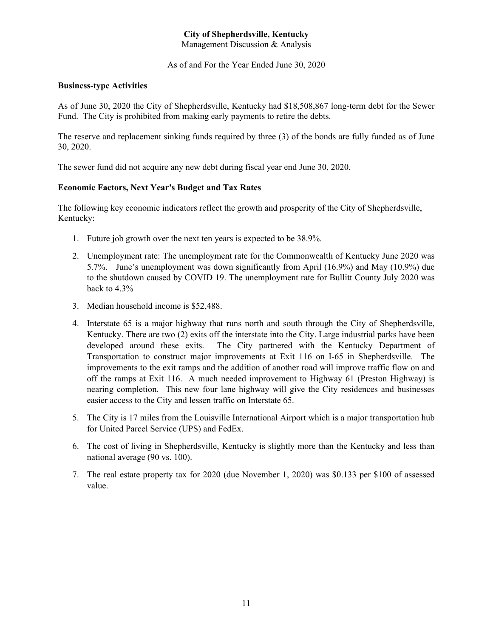Management Discussion & Analysis

As of and For the Year Ended June 30, 2020

### **Business-type Activities**

As of June 30, 2020 the City of Shepherdsville, Kentucky had \$18,508,867 long-term debt for the Sewer Fund. The City is prohibited from making early payments to retire the debts.

The reserve and replacement sinking funds required by three (3) of the bonds are fully funded as of June 30, 2020.

The sewer fund did not acquire any new debt during fiscal year end June 30, 2020.

### **Economic Factors, Next Year's Budget and Tax Rates**

The following key economic indicators reflect the growth and prosperity of the City of Shepherdsville, Kentucky:

- 1. Future job growth over the next ten years is expected to be 38.9%.
- 2. Unemployment rate: The unemployment rate for the Commonwealth of Kentucky June 2020 was 5.7%. June's unemployment was down significantly from April (16.9%) and May (10.9%) due to the shutdown caused by COVID 19. The unemployment rate for Bullitt County July 2020 was back to 4.3%
- 3. Median household income is \$52,488.
- 4. Interstate 65 is a major highway that runs north and south through the City of Shepherdsville, Kentucky. There are two (2) exits off the interstate into the City. Large industrial parks have been developed around these exits. The City partnered with the Kentucky Department of Transportation to construct major improvements at Exit 116 on I-65 in Shepherdsville. The improvements to the exit ramps and the addition of another road will improve traffic flow on and off the ramps at Exit 116. A much needed improvement to Highway 61 (Preston Highway) is nearing completion. This new four lane highway will give the City residences and businesses easier access to the City and lessen traffic on Interstate 65.
- 5. The City is 17 miles from the Louisville International Airport which is a major transportation hub for United Parcel Service (UPS) and FedEx.
- 6. The cost of living in Shepherdsville, Kentucky is slightly more than the Kentucky and less than national average (90 vs. 100).
- 7. The real estate property tax for 2020 (due November 1, 2020) was \$0.133 per \$100 of assessed value.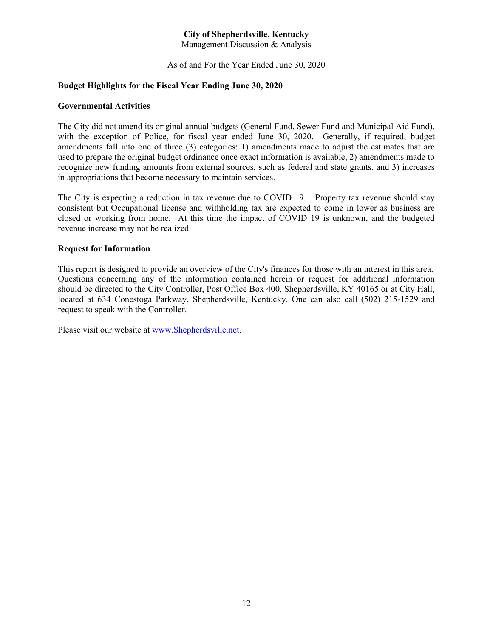Management Discussion & Analysis

As of and For the Year Ended June 30, 2020

### **Budget Highlights for the Fiscal Year Ending June 30, 2020**

### **Governmental Activities**

The City did not amend its original annual budgets (General Fund, Sewer Fund and Municipal Aid Fund), with the exception of Police, for fiscal year ended June 30, 2020. Generally, if required, budget amendments fall into one of three (3) categories: 1) amendments made to adjust the estimates that are used to prepare the original budget ordinance once exact information is available, 2) amendments made to recognize new funding amounts from external sources, such as federal and state grants, and 3) increases in appropriations that become necessary to maintain services.

The City is expecting a reduction in tax revenue due to COVID 19. Property tax revenue should stay consistent but Occupational license and withholding tax are expected to come in lower as business are closed or working from home. At this time the impact of COVID 19 is unknown, and the budgeted revenue increase may not be realized.

### **Request for Information**

This report is designed to provide an overview of the City's finances for those with an interest in this area. Questions concerning any of the information contained herein or request for additional information should be directed to the City Controller, Post Office Box 400, Shepherdsville, KY 40165 or at City Hall, located at 634 Conestoga Parkway, Shepherdsville, Kentucky. One can also call (502) 215-1529 and request to speak with the Controller.

Please visit our website at www.Shepherdsville.net.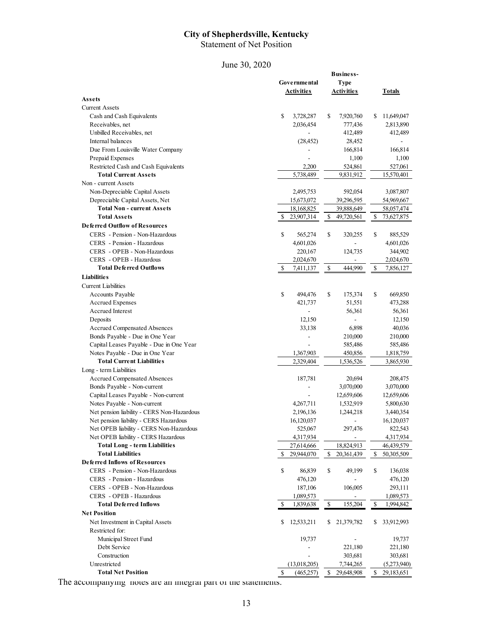Statement of Net Position

June 30, 2020

|                                            | <b>Governmental</b><br><b>Activities</b> | Business-<br>Type<br><b>Activities</b> | Totals             |
|--------------------------------------------|------------------------------------------|----------------------------------------|--------------------|
| Assets                                     |                                          |                                        |                    |
| <b>Current Assets</b>                      |                                          |                                        |                    |
| Cash and Cash Equivalents                  | \$<br>3,728,287                          | 7,920,760<br>\$                        | \$<br>11,649,047   |
| Receivables, net                           | 2,036,454                                | 777,436                                | 2,813,890          |
| Unbilled Receivables, net                  |                                          | 412,489                                | 412,489            |
| Internal balances                          | (28, 452)                                | 28,452                                 |                    |
| Due From Louisville Water Company          |                                          | 166,814                                | 166,814            |
| Prepaid Expenses                           |                                          | 1,100                                  | 1,100              |
| Restricted Cash and Cash Equivalents       | 2,200                                    | 524,861                                | 527,061            |
| <b>Total Current Assets</b>                | 5,738,489                                | 9,831,912                              | 15,570,401         |
| Non - current Assets                       |                                          |                                        |                    |
| Non-Depreciable Capital Assets             | 2,495,753                                | 592,054                                | 3,087,807          |
| Depreciable Capital Assets, Net            | 15,673,072                               | 39,296,595                             | 54,969,667         |
| <b>Total Non - current Assets</b>          | 18,168,825                               | 39,888,649                             | 58,057,474         |
| <b>Total Assets</b>                        | \$<br>23,907,314                         | \$<br>49,720,561                       | \$<br>73,627,875   |
| <b>Deferred Outflow of Resources</b>       |                                          |                                        |                    |
| CERS - Pension - Non-Hazardous             | \$<br>565,274                            | \$<br>320,255                          | \$<br>885,529      |
| CERS - Pension - Hazardous                 | 4,601,026                                |                                        | 4,601,026          |
| CERS - OPEB - Non-Hazardous                | 220,167                                  | 124,735                                | 344,902            |
| CERS - OPEB - Hazardous                    | 2,024,670                                |                                        | 2,024,670          |
| <b>Total Deferred Outflows</b>             | \$<br>7,411,137                          | $\boldsymbol{\mathsf{S}}$<br>444,990   | \$<br>7,856,127    |
| <b>Liabilities</b>                         |                                          |                                        |                    |
| <b>Current Liabilities</b>                 |                                          |                                        |                    |
| Accounts Payable                           | \$<br>494,476                            | \$<br>175,374                          | \$<br>669,850      |
| Accrued Expenses                           | 421,737                                  | 51,551                                 | 473,288            |
| Accrued Interest                           |                                          | 56,361                                 | 56,361             |
| Deposits                                   | 12,150                                   | $\overline{a}$                         | 12,150             |
| <b>Accrued Compensated Absences</b>        | 33,138                                   | 6,898                                  | 40,036             |
| Bonds Payable - Due in One Year            | $\overline{\phantom{a}}$                 | 210,000                                | 210,000            |
| Capital Leases Payable - Due in One Year   |                                          | 585,486                                | 585,486            |
| Notes Payable - Due in One Year            | 1,367,903                                | 450,856                                | 1,818,759          |
| <b>Total Current Liabilities</b>           | 2,329,404                                | 1,536,526                              | 3,865,930          |
| Long - term Liabilities                    |                                          |                                        |                    |
| <b>Accrued Compensated Absences</b>        | 187,781                                  | 20,694                                 | 208,475            |
| Bonds Payable - Non-current                |                                          | 3,070,000                              | 3,070,000          |
| Capital Leases Payable - Non-current       |                                          | 12,659,606                             | 12,659,606         |
| Notes Payable - Non-current                | 4,267,711                                | 1,532,919                              | 5,800,630          |
| Net pension liability - CERS Non-Hazardous | 2,196,136                                | 1,244,218                              | 3,440,354          |
| Net pension liability - CERS Hazardous     | 16,120,037                               |                                        | 16,120,037         |
| Net OPEB liability - CERS Non-Hazardous    | 525,067                                  | 297,476                                | 822,543            |
| Net OPEB liability - CERS Hazardous        | 4,317,934                                |                                        | 4,317,934          |
| <b>Total Long - term Liabilities</b>       | 27,614,666                               | 18,824,913                             | 46,439,579         |
| <b>Total Liabilities</b>                   | 29,944,070<br>S                          | \$<br>20,361,439                       | \$<br>50,305,509   |
| <b>Deferred Inflows of Resources</b>       |                                          |                                        |                    |
| CERS - Pension - Non-Hazardous             | \$<br>86,839                             | \$<br>49,199                           | \$<br>136,038      |
| CERS - Pension - Hazardous                 | 476,120                                  |                                        | 476,120            |
| CERS - OPEB - Non-Hazardous                | 187,106                                  | 106,005                                | 293,111            |
| CERS - OPEB - Hazardous                    | 1,089,573                                |                                        | 1,089,573          |
| <b>Total Deferred Inflows</b>              | 1,839,638<br>S                           | \$<br>155,204                          | \$<br>1,994,842    |
| <b>Net Position</b>                        |                                          |                                        |                    |
| Net Investment in Capital Assets           | \$<br>12,533,211                         | \$<br>21,379,782                       | 33,912,993<br>\$   |
| Restricted for:                            |                                          |                                        |                    |
| Municipal Street Fund                      | 19,737                                   |                                        | 19,737             |
| Debt Service                               |                                          | 221,180                                | 221,180            |
| Construction                               |                                          | 303,681                                | 303,681            |
| Unrestricted                               | (13,018,205)                             | 7,744,265                              | (5,273,940)        |
| <b>Total Net Position</b>                  | \$<br>(465,257)                          | \$<br>29,648,908                       | \$<br>29, 183, 651 |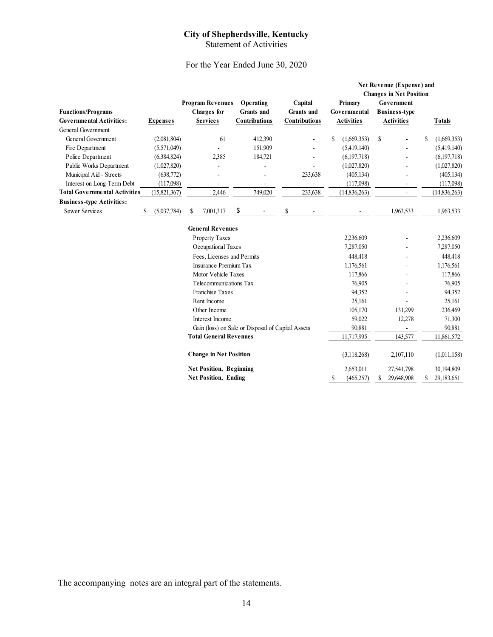Statement of Activities

#### For the Year Ended June 30, 2020

|                                      |                     |                                |                                                   |                   | Net Revenue (Expense) and |                                |                  |
|--------------------------------------|---------------------|--------------------------------|---------------------------------------------------|-------------------|---------------------------|--------------------------------|------------------|
|                                      |                     |                                |                                                   |                   |                           | <b>Changes in Net Position</b> |                  |
|                                      |                     | <b>Program Revenues</b>        | Operating                                         | Capital           | Primary                   | Government                     |                  |
| <b>Functions/Programs</b>            |                     | <b>Charges</b> for             | <b>Grants</b> and                                 | <b>Grants</b> and | Governmental              | <b>Business-type</b>           |                  |
| <b>Governmental Activities:</b>      | <b>Expenses</b>     | <b>Services</b>                | Contributions                                     | Contributions     | <b>Activities</b>         | <b>Activities</b>              | <b>Totals</b>    |
| General Government                   |                     |                                |                                                   |                   |                           |                                |                  |
| General Government                   | (2,081,804)         | 61                             | 412,390                                           |                   | \$<br>(1,669,353)         | \$                             | (1,669,353)<br>S |
| Fire Department                      | (5,571,049)         |                                | 151,909                                           |                   | (5,419,140)               |                                | (5,419,140)      |
| Police Department                    | (6,384,824)         | 2,385                          | 184,721                                           |                   | (6,197,718)               |                                | (6,197,718)      |
| Public Works Department              | (1,027,820)         |                                |                                                   |                   | (1,027,820)               |                                | (1,027,820)      |
| Municipal Aid - Streets              | (638,772)           |                                |                                                   | 233,638           | (405, 134)                |                                | (405, 134)       |
| Interest on Long-Term Debt           | (117,098)           |                                |                                                   |                   | (117,098)                 |                                | (117,098)        |
| <b>Total Governmental Activities</b> | (15,821,367)        | 2,446                          | 749,020                                           | 233,638           | (14,836,263)              | $\overline{\phantom{a}}$       | (14,836,263)     |
| <b>Business-type Activities:</b>     |                     |                                |                                                   |                   |                           |                                |                  |
| <b>Sewer Services</b>                | (5,037,784)<br>- \$ | 7,001,317<br>\$                | \$                                                | \$                |                           | 1,963,533                      | 1,963,533        |
|                                      |                     | <b>General Revenues</b>        |                                                   |                   |                           |                                |                  |
|                                      |                     | Property Taxes                 |                                                   |                   | 2,236,609                 |                                | 2,236,609        |
|                                      |                     | Occupational Taxes             |                                                   |                   | 7,287,050                 |                                | 7,287,050        |
|                                      |                     | Fees, Licenses and Permits     |                                                   |                   | 448,418                   |                                | 448,418          |
|                                      |                     | <b>Insurance Premium Tax</b>   |                                                   |                   | 1,176,561                 |                                | 1,176,561        |
|                                      |                     | Motor Vehicle Taxes            |                                                   |                   | 117,866                   |                                | 117,866          |
|                                      |                     | Telecommunications Tax         |                                                   |                   | 76,905                    |                                | 76,905           |
|                                      |                     | Franchise Taxes                |                                                   |                   | 94,352                    |                                | 94,352           |
|                                      |                     | Rent Income                    |                                                   |                   | 25,161                    |                                | 25,161           |
|                                      |                     | Other Income                   |                                                   |                   | 105,170                   | 131,299                        | 236,469          |
|                                      |                     | Interest Income                |                                                   |                   | 59,022                    | 12,278                         | 71,300           |
|                                      |                     |                                | Gain (loss) on Sale or Disposal of Capital Assets |                   | 90,881                    |                                | 90,881           |
|                                      |                     | <b>Total General Revenues</b>  |                                                   |                   | 11,717,995                | 143,577                        | 11,861,572       |
|                                      |                     | <b>Change in Net Position</b>  |                                                   |                   | (3,118,268)               | 2,107,110                      | (1,011,158)      |
|                                      |                     | <b>Net Position, Beginning</b> |                                                   |                   | 2,653,011                 | 27,541,798                     | 30,194,809       |
|                                      |                     | <b>Net Position, Ending</b>    |                                                   |                   | \$<br>(465, 257)          | \$<br>29,648,908               | \$<br>29,183,651 |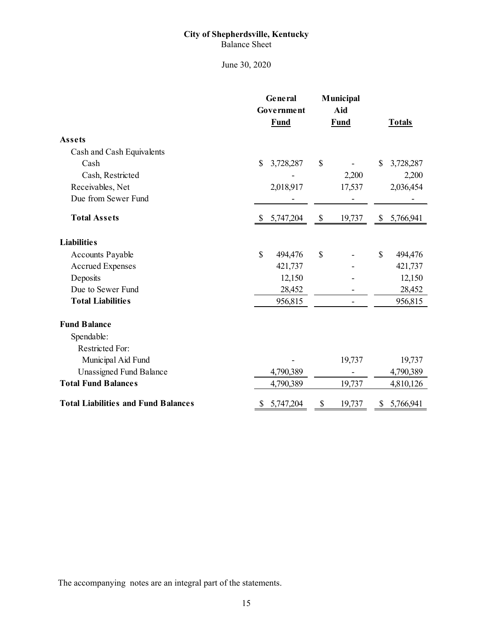Balance Sheet

June 30, 2020

|                                            | General         |               | Municipal   |    |               |  |
|--------------------------------------------|-----------------|---------------|-------------|----|---------------|--|
|                                            | Government      |               | Aid         |    |               |  |
|                                            | <b>Fund</b>     |               | <b>Fund</b> |    | <b>Totals</b> |  |
| Assets                                     |                 |               |             |    |               |  |
| Cash and Cash Equivalents                  |                 |               |             |    |               |  |
| Cash                                       | 3,728,287<br>\$ | $\mathbb{S}$  |             | \$ | 3,728,287     |  |
| Cash, Restricted                           |                 |               | 2,200       |    | 2,200         |  |
| Receivables, Net                           | 2,018,917       |               | 17,537      |    | 2,036,454     |  |
| Due from Sewer Fund                        |                 |               |             |    |               |  |
| <b>Total Assets</b>                        | 5,747,204<br>S. | \$            | 19,737      |    | \$5,766,941   |  |
| <b>Liabilities</b>                         |                 |               |             |    |               |  |
| <b>Accounts Payable</b>                    | \$              | \$<br>494,476 |             | \$ | 494,476       |  |
| <b>Accrued Expenses</b>                    |                 | 421,737       |             |    | 421,737       |  |
| Deposits                                   |                 | 12,150        |             |    | 12,150        |  |
| Due to Sewer Fund                          |                 | 28,452        |             |    | 28,452        |  |
| <b>Total Liabilities</b>                   |                 | 956,815       |             |    | 956,815       |  |
| <b>Fund Balance</b>                        |                 |               |             |    |               |  |
| Spendable:                                 |                 |               |             |    |               |  |
| <b>Restricted For:</b>                     |                 |               |             |    |               |  |
| Municipal Aid Fund                         |                 |               | 19,737      |    | 19,737        |  |
| Unassigned Fund Balance                    | 4,790,389       |               |             |    | 4,790,389     |  |
| <b>Total Fund Balances</b>                 | 4,790,389       |               | 19,737      |    | 4,810,126     |  |
| <b>Total Liabilities and Fund Balances</b> | 5,747,204<br>\$ | \$            | 19,737      | \$ | 5,766,941     |  |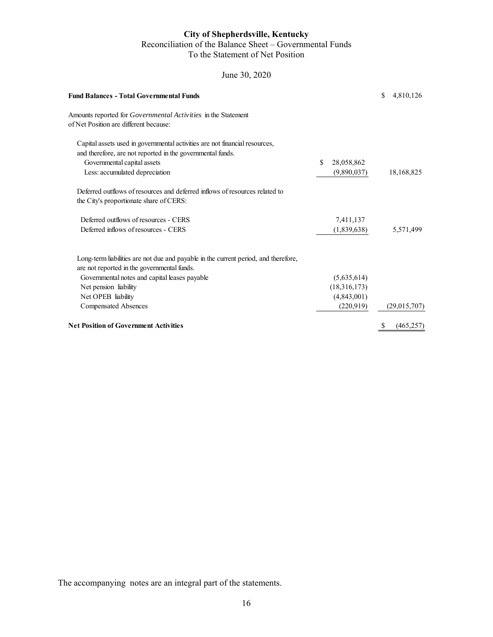### **City of Shepherdsville, Kentucky**  Reconciliation of the Balance Sheet – Governmental Funds

To the Statement of Net Position

June 30, 2020

| <b>Fund Balances - Total Governmental Funds</b>                                                                                                                                                            |                                 | \$<br>4,810,126  |
|------------------------------------------------------------------------------------------------------------------------------------------------------------------------------------------------------------|---------------------------------|------------------|
| Amounts reported for Governmental Activities in the Statement<br>of Net Position are different because:                                                                                                    |                                 |                  |
| Capital assets used in governmental activities are not financial resources,<br>and therefore, are not reported in the governmental funds.<br>Governmental capital assets<br>Less: accumulated depreciation | 28,058,862<br>S.<br>(9,890,037) | 18,168,825       |
| Deferred outflows of resources and deferred inflows of resources related to<br>the City's proportionate share of CERS:                                                                                     |                                 |                  |
| Deferred outflows of resources - CERS                                                                                                                                                                      | 7,411,137                       |                  |
| Deferred inflows of resources - CERS                                                                                                                                                                       | (1,839,638)                     | 5,571,499        |
| Long-term liabilities are not due and payable in the current period, and therefore,<br>are not reported in the governmental funds.                                                                         |                                 |                  |
| Governmental notes and capital leases payable                                                                                                                                                              | (5,635,614)                     |                  |
| Net pension liability                                                                                                                                                                                      | (18,316,173)                    |                  |
| Net OPEB liability                                                                                                                                                                                         | (4,843,001)                     |                  |
| <b>Compensated Absences</b>                                                                                                                                                                                | (220, 919)                      | (29,015,707)     |
| <b>Net Position of Government Activities</b>                                                                                                                                                               |                                 | (465, 257)<br>S. |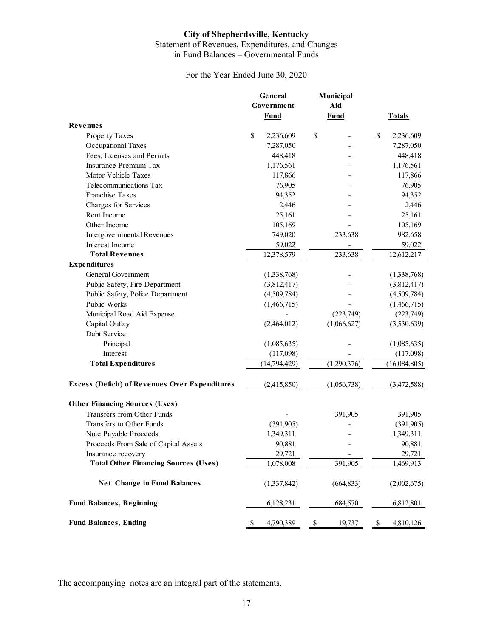Statement of Revenues, Expenditures, and Changes in Fund Balances – Governmental Funds

For the Year Ended June 30, 2020

|                                                       | General                                     |              |               | Municipal   |                                                                       |               |
|-------------------------------------------------------|---------------------------------------------|--------------|---------------|-------------|-----------------------------------------------------------------------|---------------|
|                                                       | Government                                  |              |               | Aid         |                                                                       |               |
|                                                       |                                             | Fund         |               | Fund        |                                                                       | <b>Totals</b> |
| Revenues                                              |                                             |              |               |             |                                                                       |               |
| Property Taxes                                        | \$                                          | 2,236,609    | \$            |             | \$                                                                    | 2,236,609     |
| Occupational Taxes                                    |                                             | 7,287,050    |               |             |                                                                       | 7,287,050     |
| Fees, Licenses and Permits                            |                                             | 448,418      |               |             |                                                                       | 448,418       |
| Insurance Premium Tax                                 |                                             | 1,176,561    |               |             |                                                                       | 1,176,561     |
| Motor Vehicle Taxes                                   |                                             | 117,866      |               |             |                                                                       | 117,866       |
| Telecommunications Tax                                |                                             | 76,905       |               |             |                                                                       | 76,905        |
| Franchise Taxes                                       |                                             | 94,352       |               |             |                                                                       | 94,352        |
| Charges for Services                                  |                                             | 2,446        |               |             |                                                                       | 2,446         |
| Rent Income                                           |                                             | 25,161       |               |             |                                                                       | 25,161        |
| Other Income                                          |                                             | 105,169      |               |             |                                                                       | 105,169       |
| <b>Intergovernmental Revenues</b>                     |                                             | 749,020      |               | 233,638     |                                                                       | 982,658       |
| Interest Income                                       |                                             | 59,022       |               |             |                                                                       | 59,022        |
| <b>Total Revenues</b>                                 |                                             | 12,378,579   |               | 233,638     |                                                                       | 12,612,217    |
| <b>Expenditures</b>                                   |                                             |              |               |             |                                                                       |               |
| General Government                                    |                                             | (1,338,768)  |               |             |                                                                       | (1,338,768)   |
| Public Safety, Fire Department                        |                                             | (3,812,417)  |               |             |                                                                       | (3,812,417)   |
| Public Safety, Police Department                      |                                             | (4,509,784)  |               |             |                                                                       | (4,509,784)   |
| Public Works                                          |                                             | (1,466,715)  |               |             |                                                                       | (1,466,715)   |
| Municipal Road Aid Expense                            |                                             |              |               | (223,749)   |                                                                       | (223,749)     |
| Capital Outlay                                        |                                             | (2,464,012)  |               | (1,066,627) |                                                                       | (3,530,639)   |
| Debt Service:                                         |                                             |              |               |             |                                                                       |               |
| Principal                                             |                                             | (1,085,635)  |               |             |                                                                       | (1,085,635)   |
| Interest                                              |                                             | (117,098)    |               |             |                                                                       | (117,098)     |
| <b>Total Expenditures</b>                             |                                             | (14,794,429) |               | (1,290,376) |                                                                       | (16,084,805)  |
| <b>Excess (Deficit) of Revenues Over Expenditures</b> |                                             | (2,415,850)  |               | (1,056,738) |                                                                       | (3,472,588)   |
| <b>Other Financing Sources (Uses)</b>                 |                                             |              |               |             |                                                                       |               |
| Transfers from Other Funds                            |                                             |              |               | 391,905     |                                                                       | 391,905       |
| Transfers to Other Funds                              |                                             | (391,905)    |               |             |                                                                       | (391,905)     |
| Note Payable Proceeds                                 |                                             | 1,349,311    |               |             |                                                                       | 1,349,311     |
| Proceeds From Sale of Capital Assets                  |                                             | 90,881       |               |             |                                                                       | 90,881        |
| Insurance recovery                                    |                                             | 29,721       |               |             |                                                                       | 29,721        |
| <b>Total Other Financing Sources (Uses)</b>           |                                             | 1,078,008    |               | 391,905     |                                                                       | 1,469,913     |
| <b>Net Change in Fund Balances</b>                    |                                             | (1,337,842)  |               | (664, 833)  |                                                                       | (2,002,675)   |
| <b>Fund Balances, Beginning</b>                       |                                             | 6,128,231    |               | 684,570     |                                                                       | 6,812,801     |
| <b>Fund Balances, Ending</b>                          | $\mathbb{S}% _{n}^{X\rightarrow\mathbb{R}}$ | 4,790,389    | ${\mathbb S}$ | 19,737      | $\mathbb{S}% _{t}\left( t\right) \equiv\mathbb{S}_{t}\left( t\right)$ | 4,810,126     |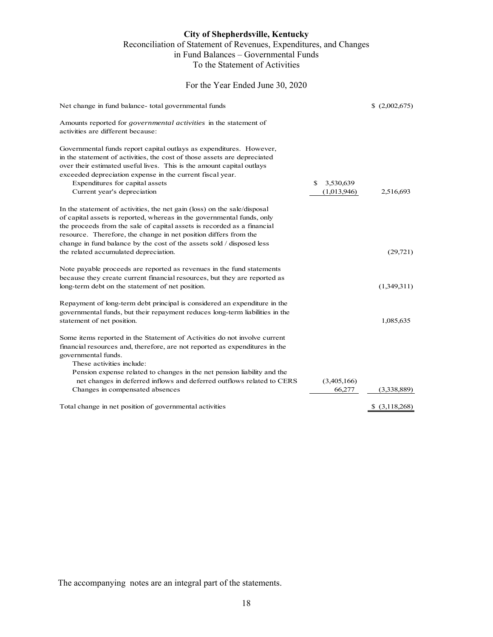### **City of Shepherdsville, Kentucky**  Reconciliation of Statement of Revenues, Expenditures, and Changes in Fund Balances – Governmental Funds To the Statement of Activities

# For the Year Ended June 30, 2020

| Net change in fund balance- total governmental funds                                                                                                                                                                                                                                                                                                                                                                |                                | (2,002,675)     |
|---------------------------------------------------------------------------------------------------------------------------------------------------------------------------------------------------------------------------------------------------------------------------------------------------------------------------------------------------------------------------------------------------------------------|--------------------------------|-----------------|
| Amounts reported for <i>governmental activities</i> in the statement of<br>activities are different because:                                                                                                                                                                                                                                                                                                        |                                |                 |
| Governmental funds report capital outlays as expenditures. However,<br>in the statement of activities, the cost of those assets are depreciated<br>over their estimated useful lives. This is the amount capital outlays<br>exceeded depreciation expense in the current fiscal year.<br>Expenditures for capital assets<br>Current year's depreciation                                                             | \$<br>3,530,639<br>(1,013,946) | 2,516,693       |
| In the statement of activities, the net gain (loss) on the sale/disposal<br>of capital assets is reported, whereas in the governmental funds, only<br>the proceeds from the sale of capital assets is recorded as a financial<br>resource. Therefore, the change in net position differs from the<br>change in fund balance by the cost of the assets sold / disposed less<br>the related accumulated depreciation. |                                | (29,721)        |
| Note payable proceeds are reported as revenues in the fund statements<br>because they create current financial resources, but they are reported as<br>long-term debt on the statement of net position.                                                                                                                                                                                                              |                                | (1,349,311)     |
| Repayment of long-term debt principal is considered an expenditure in the<br>governmental funds, but their repayment reduces long-term liabilities in the<br>statement of net position.                                                                                                                                                                                                                             |                                | 1,085,635       |
| Some items reported in the Statement of Activities do not involve current<br>financial resources and, therefore, are not reported as expenditures in the<br>governmental funds.<br>These activities include:                                                                                                                                                                                                        |                                |                 |
| Pension expense related to changes in the net pension liability and the<br>net changes in deferred inflows and deferred outflows related to CERS<br>Changes in compensated absences                                                                                                                                                                                                                                 | (3,405,166)<br>66,277          | (3,338,889)     |
| Total change in net position of governmental activities                                                                                                                                                                                                                                                                                                                                                             |                                | $$$ (3,118,268) |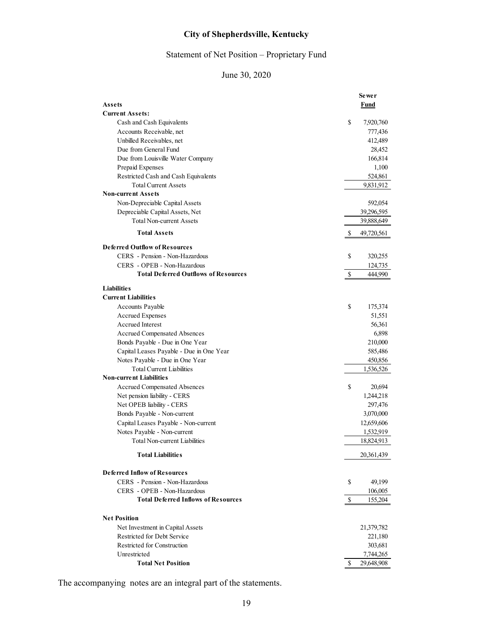# Statement of Net Position – Proprietary Fund

# June 30, 2020

|                                             |               | <b>Sewer</b> |
|---------------------------------------------|---------------|--------------|
| Assets                                      |               | Fund         |
| <b>Current Assets:</b>                      |               |              |
| Cash and Cash Equivalents                   | \$            | 7,920,760    |
| Accounts Receivable, net                    |               | 777,436      |
| Unbilled Receivables, net                   |               | 412,489      |
| Due from General Fund                       |               | 28,452       |
| Due from Louisville Water Company           |               | 166,814      |
| Prepaid Expenses                            |               | 1,100        |
| Restricted Cash and Cash Equivalents        |               | 524,861      |
| <b>Total Current Assets</b>                 |               | 9,831,912    |
| <b>Non-current Assets</b>                   |               |              |
| Non-Depreciable Capital Assets              |               | 592,054      |
| Depreciable Capital Assets, Net             |               | 39,296,595   |
| <b>Total Non-current Assets</b>             |               | 39,888,649   |
| <b>Total Assets</b>                         | \$            | 49,720,561   |
| <b>Deferred Outflow of Resources</b>        |               |              |
| CERS - Pension - Non-Hazardous              | \$            | 320,255      |
| CERS - OPEB - Non-Hazardous                 |               | 124,735      |
| <b>Total Deferred Outflows of Resources</b> | \$            | 444,990      |
| <b>Liabilities</b>                          |               |              |
| <b>Current Liabilities</b>                  |               |              |
| Accounts Payable                            | \$            | 175,374      |
| <b>Accrued Expenses</b>                     |               | 51,551       |
| <b>Accrued Interest</b>                     |               | 56,361       |
| Accrued Compensated Absences                |               | 6,898        |
| Bonds Payable - Due in One Year             |               | 210,000      |
| Capital Leases Payable - Due in One Year    |               | 585,486      |
| Notes Payable - Due in One Year             |               | 450,856      |
| <b>Total Current Liabilities</b>            |               | 1,536,526    |
| <b>Non-current Liabilities</b>              |               |              |
| Accrued Compensated Absences                | \$            | 20,694       |
| Net pension liability - CERS                |               | 1,244,218    |
| Net OPEB liability - CERS                   |               | 297,476      |
| Bonds Payable - Non-current                 |               | 3,070,000    |
| Capital Leases Payable - Non-current        |               | 12,659,606   |
| Notes Payable - Non-current                 |               | 1,532,919    |
| Total Non-current Liabilities               |               | 18,824,913   |
|                                             |               |              |
| <b>Total Liabilities</b>                    |               | 20,361,439   |
| <b>Deferred Inflow of Resources</b>         |               |              |
| CERS - Pension - Non-Hazardous              | \$            | 49,199       |
| CERS - OPEB - Non-Hazardous                 |               | 106,005      |
| <b>Total Deferred Inflows of Resources</b>  | $\mathcal{S}$ | 155,204      |
| <b>Net Position</b>                         |               |              |
| Net Investment in Capital Assets            |               | 21,379,782   |
| Restricted for Debt Service                 |               | 221,180      |
| Restricted for Construction                 |               | 303,681      |
| Unrestricted                                |               | 7,744,265    |
| <b>Total Net Position</b>                   | \$            | 29,648,908   |
|                                             |               |              |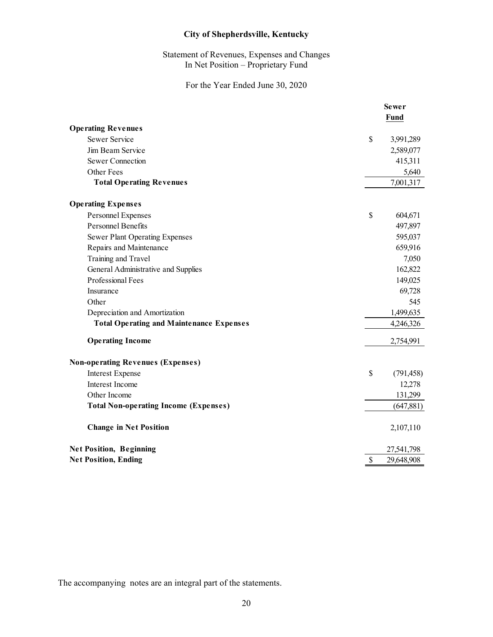# Statement of Revenues, Expenses and Changes In Net Position – Proprietary Fund

# For the Year Ended June 30, 2020

|                                                 |                           | <b>Sewer</b> |
|-------------------------------------------------|---------------------------|--------------|
|                                                 |                           | Fund         |
| <b>Operating Revenues</b>                       |                           |              |
| Sewer Service                                   | \$                        | 3,991,289    |
| Jim Beam Service                                |                           | 2,589,077    |
| <b>Sewer Connection</b>                         |                           | 415,311      |
| Other Fees                                      |                           | 5,640        |
| <b>Total Operating Revenues</b>                 |                           | 7,001,317    |
| <b>Operating Expenses</b>                       |                           |              |
| Personnel Expenses                              | \$                        | 604,671      |
| <b>Personnel Benefits</b>                       |                           | 497,897      |
| Sewer Plant Operating Expenses                  |                           | 595,037      |
| Repairs and Maintenance                         |                           | 659,916      |
| Training and Travel                             |                           | 7,050        |
| General Administrative and Supplies             |                           | 162,822      |
| Professional Fees                               |                           | 149,025      |
| Insurance                                       |                           | 69,728       |
| Other                                           |                           | 545          |
| Depreciation and Amortization                   |                           | 1,499,635    |
| <b>Total Operating and Maintenance Expenses</b> |                           | 4,246,326    |
| <b>Operating Income</b>                         |                           | 2,754,991    |
| <b>Non-operating Revenues (Expenses)</b>        |                           |              |
| <b>Interest Expense</b>                         | \$                        | (791, 458)   |
| Interest Income                                 |                           | 12,278       |
| Other Income                                    |                           | 131,299      |
| <b>Total Non-operating Income (Expenses)</b>    |                           | (647, 881)   |
| <b>Change in Net Position</b>                   |                           | 2,107,110    |
| <b>Net Position, Beginning</b>                  |                           | 27,541,798   |
| <b>Net Position, Ending</b>                     | $\boldsymbol{\mathsf{S}}$ | 29,648,908   |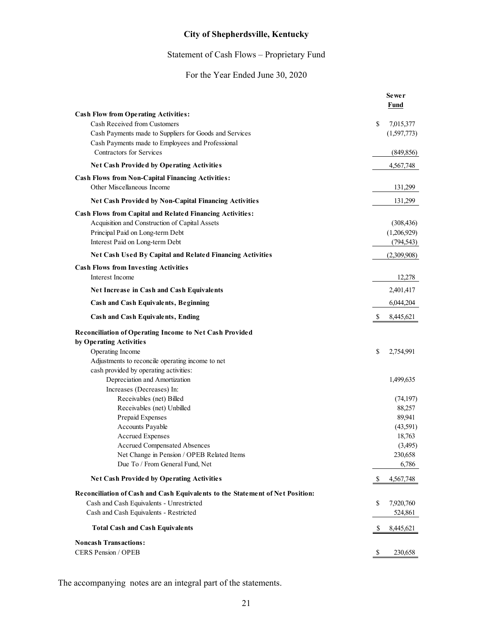# Statement of Cash Flows – Proprietary Fund

# For the Year Ended June 30, 2020

|                                                                               |               | <b>Sewer</b><br>Fund |
|-------------------------------------------------------------------------------|---------------|----------------------|
| <b>Cash Flow from Operating Activities:</b>                                   |               |                      |
| Cash Received from Customers                                                  | \$            | 7,015,377            |
| Cash Payments made to Suppliers for Goods and Services                        |               | (1,597,773)          |
| Cash Payments made to Employees and Professional                              |               |                      |
| Contractors for Services                                                      |               | (849, 856)           |
| <b>Net Cash Provided by Operating Activities</b>                              |               | 4,567,748            |
| <b>Cash Flows from Non-Capital Financing Activities:</b>                      |               |                      |
| Other Miscellaneous Income                                                    |               | 131,299              |
| <b>Net Cash Provided by Non-Capital Financing Activities</b>                  |               | 131,299              |
| <b>Cash Flows from Capital and Related Financing Activities:</b>              |               |                      |
| Acquisition and Construction of Capital Assets                                |               | (308, 436)           |
| Principal Paid on Long-term Debt                                              |               | (1,206,929)          |
| Interest Paid on Long-term Debt                                               |               | (794, 543)           |
| <b>Net Cash Used By Capital and Related Financing Activities</b>              |               | (2,309,908)          |
| <b>Cash Flows from Investing Activities</b>                                   |               |                      |
| Interest Income                                                               |               | 12,278               |
| Net Increase in Cash and Cash Equivalents                                     |               | 2,401,417            |
| Cash and Cash Equivalents, Beginning                                          |               | 6,044,204            |
| <b>Cash and Cash Equivalents, Ending</b>                                      | -S            | 8,445,621            |
| <b>Reconciliation of Operating Income to Net Cash Provided</b>                |               |                      |
| by Operating Activities                                                       |               |                      |
| Operating Income                                                              | \$            | 2,754,991            |
| Adjustments to reconcile operating income to net                              |               |                      |
| cash provided by operating activities:                                        |               |                      |
| Depreciation and Amortization                                                 |               | 1,499,635            |
| Increases (Decreases) In:                                                     |               |                      |
| Receivables (net) Billed                                                      |               | (74,197)             |
| Receivables (net) Unbilled                                                    |               | 88,257               |
| Prepaid Expenses                                                              |               | 89,941               |
| Accounts Payable                                                              |               | (43,591)             |
| <b>Accrued Expenses</b>                                                       |               | 18,763               |
| Accrued Compensated Absences                                                  |               | (3,495)              |
| Net Change in Pension / OPEB Related Items                                    |               | 230,658              |
| Due To / From General Fund, Net                                               |               | 6,786                |
| <b>Net Cash Provided by Operating Activities</b>                              | <sup>\$</sup> | 4,567,748            |
| Reconciliation of Cash and Cash Equivalents to the Statement of Net Position: |               |                      |
| Cash and Cash Equivalents - Unrestricted                                      | \$            | 7,920,760            |
| Cash and Cash Equivalents - Restricted                                        |               | 524,861              |
| <b>Total Cash and Cash Equivalents</b>                                        | S             | 8,445,621            |
| <b>Noncash Transactions:</b>                                                  |               |                      |
| <b>CERS Pension / OPEB</b>                                                    | <u>s</u>      | 230,658              |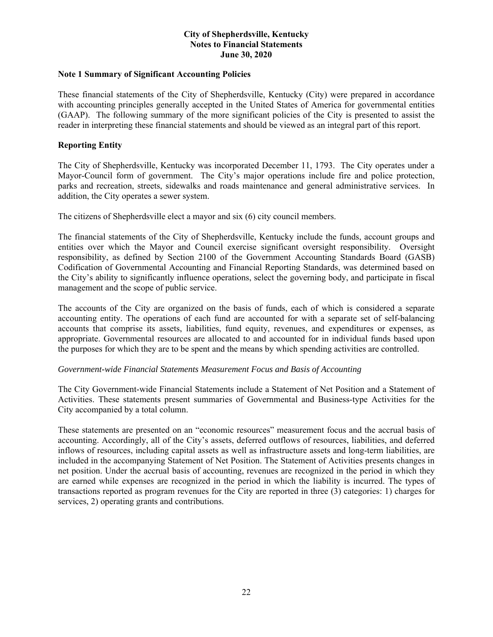### **Note 1 Summary of Significant Accounting Policies**

These financial statements of the City of Shepherdsville, Kentucky (City) were prepared in accordance with accounting principles generally accepted in the United States of America for governmental entities (GAAP). The following summary of the more significant policies of the City is presented to assist the reader in interpreting these financial statements and should be viewed as an integral part of this report.

### **Reporting Entity**

The City of Shepherdsville, Kentucky was incorporated December 11, 1793. The City operates under a Mayor-Council form of government. The City's major operations include fire and police protection, parks and recreation, streets, sidewalks and roads maintenance and general administrative services. In addition, the City operates a sewer system.

The citizens of Shepherdsville elect a mayor and six (6) city council members.

The financial statements of the City of Shepherdsville, Kentucky include the funds, account groups and entities over which the Mayor and Council exercise significant oversight responsibility. Oversight responsibility, as defined by Section 2100 of the Government Accounting Standards Board (GASB) Codification of Governmental Accounting and Financial Reporting Standards, was determined based on the City's ability to significantly influence operations, select the governing body, and participate in fiscal management and the scope of public service.

The accounts of the City are organized on the basis of funds, each of which is considered a separate accounting entity. The operations of each fund are accounted for with a separate set of self-balancing accounts that comprise its assets, liabilities, fund equity, revenues, and expenditures or expenses, as appropriate. Governmental resources are allocated to and accounted for in individual funds based upon the purposes for which they are to be spent and the means by which spending activities are controlled.

#### *Government-wide Financial Statements Measurement Focus and Basis of Accounting*

The City Government-wide Financial Statements include a Statement of Net Position and a Statement of Activities. These statements present summaries of Governmental and Business-type Activities for the City accompanied by a total column.

These statements are presented on an "economic resources" measurement focus and the accrual basis of accounting. Accordingly, all of the City's assets, deferred outflows of resources, liabilities, and deferred inflows of resources, including capital assets as well as infrastructure assets and long-term liabilities, are included in the accompanying Statement of Net Position. The Statement of Activities presents changes in net position. Under the accrual basis of accounting, revenues are recognized in the period in which they are earned while expenses are recognized in the period in which the liability is incurred. The types of transactions reported as program revenues for the City are reported in three (3) categories: 1) charges for services, 2) operating grants and contributions.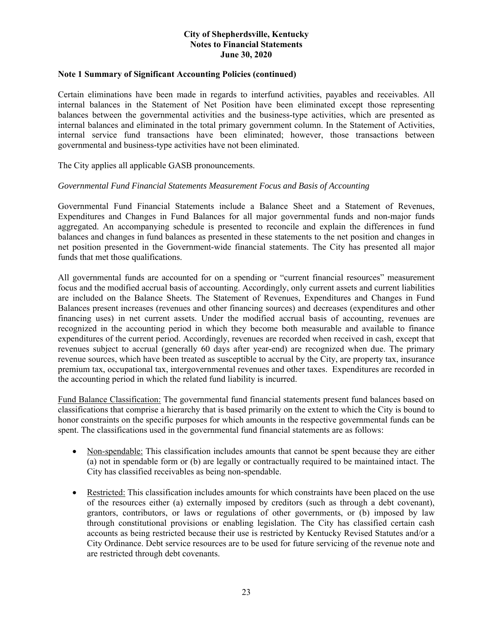### **Note 1 Summary of Significant Accounting Policies (continued)**

Certain eliminations have been made in regards to interfund activities, payables and receivables. All internal balances in the Statement of Net Position have been eliminated except those representing balances between the governmental activities and the business-type activities, which are presented as internal balances and eliminated in the total primary government column. In the Statement of Activities, internal service fund transactions have been eliminated; however, those transactions between governmental and business-type activities have not been eliminated.

The City applies all applicable GASB pronouncements.

### *Governmental Fund Financial Statements Measurement Focus and Basis of Accounting*

Governmental Fund Financial Statements include a Balance Sheet and a Statement of Revenues, Expenditures and Changes in Fund Balances for all major governmental funds and non-major funds aggregated. An accompanying schedule is presented to reconcile and explain the differences in fund balances and changes in fund balances as presented in these statements to the net position and changes in net position presented in the Government-wide financial statements. The City has presented all major funds that met those qualifications.

All governmental funds are accounted for on a spending or "current financial resources" measurement focus and the modified accrual basis of accounting. Accordingly, only current assets and current liabilities are included on the Balance Sheets. The Statement of Revenues, Expenditures and Changes in Fund Balances present increases (revenues and other financing sources) and decreases (expenditures and other financing uses) in net current assets. Under the modified accrual basis of accounting, revenues are recognized in the accounting period in which they become both measurable and available to finance expenditures of the current period. Accordingly, revenues are recorded when received in cash, except that revenues subject to accrual (generally 60 days after year-end) are recognized when due. The primary revenue sources, which have been treated as susceptible to accrual by the City, are property tax, insurance premium tax, occupational tax, intergovernmental revenues and other taxes. Expenditures are recorded in the accounting period in which the related fund liability is incurred.

Fund Balance Classification: The governmental fund financial statements present fund balances based on classifications that comprise a hierarchy that is based primarily on the extent to which the City is bound to honor constraints on the specific purposes for which amounts in the respective governmental funds can be spent. The classifications used in the governmental fund financial statements are as follows:

- Non-spendable: This classification includes amounts that cannot be spent because they are either (a) not in spendable form or (b) are legally or contractually required to be maintained intact. The City has classified receivables as being non-spendable.
- Restricted: This classification includes amounts for which constraints have been placed on the use of the resources either (a) externally imposed by creditors (such as through a debt covenant), grantors, contributors, or laws or regulations of other governments, or (b) imposed by law through constitutional provisions or enabling legislation. The City has classified certain cash accounts as being restricted because their use is restricted by Kentucky Revised Statutes and/or a City Ordinance. Debt service resources are to be used for future servicing of the revenue note and are restricted through debt covenants.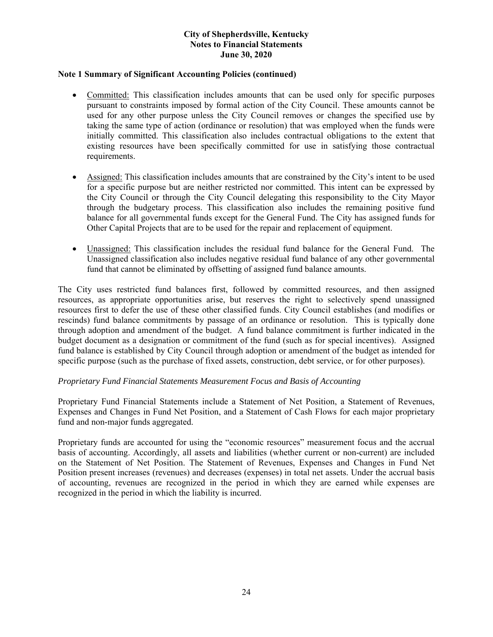### **Note 1 Summary of Significant Accounting Policies (continued)**

- Committed: This classification includes amounts that can be used only for specific purposes pursuant to constraints imposed by formal action of the City Council. These amounts cannot be used for any other purpose unless the City Council removes or changes the specified use by taking the same type of action (ordinance or resolution) that was employed when the funds were initially committed. This classification also includes contractual obligations to the extent that existing resources have been specifically committed for use in satisfying those contractual requirements.
- Assigned: This classification includes amounts that are constrained by the City's intent to be used for a specific purpose but are neither restricted nor committed. This intent can be expressed by the City Council or through the City Council delegating this responsibility to the City Mayor through the budgetary process. This classification also includes the remaining positive fund balance for all governmental funds except for the General Fund. The City has assigned funds for Other Capital Projects that are to be used for the repair and replacement of equipment.
- Unassigned: This classification includes the residual fund balance for the General Fund. The Unassigned classification also includes negative residual fund balance of any other governmental fund that cannot be eliminated by offsetting of assigned fund balance amounts.

The City uses restricted fund balances first, followed by committed resources, and then assigned resources, as appropriate opportunities arise, but reserves the right to selectively spend unassigned resources first to defer the use of these other classified funds. City Council establishes (and modifies or rescinds) fund balance commitments by passage of an ordinance or resolution. This is typically done through adoption and amendment of the budget. A fund balance commitment is further indicated in the budget document as a designation or commitment of the fund (such as for special incentives). Assigned fund balance is established by City Council through adoption or amendment of the budget as intended for specific purpose (such as the purchase of fixed assets, construction, debt service, or for other purposes).

#### *Proprietary Fund Financial Statements Measurement Focus and Basis of Accounting*

Proprietary Fund Financial Statements include a Statement of Net Position, a Statement of Revenues, Expenses and Changes in Fund Net Position, and a Statement of Cash Flows for each major proprietary fund and non-major funds aggregated.

Proprietary funds are accounted for using the "economic resources" measurement focus and the accrual basis of accounting. Accordingly, all assets and liabilities (whether current or non-current) are included on the Statement of Net Position. The Statement of Revenues, Expenses and Changes in Fund Net Position present increases (revenues) and decreases (expenses) in total net assets. Under the accrual basis of accounting, revenues are recognized in the period in which they are earned while expenses are recognized in the period in which the liability is incurred.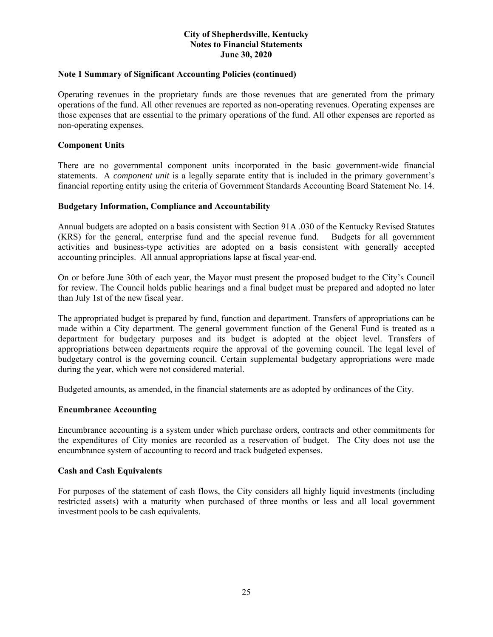#### **Note 1 Summary of Significant Accounting Policies (continued)**

Operating revenues in the proprietary funds are those revenues that are generated from the primary operations of the fund. All other revenues are reported as non-operating revenues. Operating expenses are those expenses that are essential to the primary operations of the fund. All other expenses are reported as non-operating expenses.

### **Component Units**

There are no governmental component units incorporated in the basic government-wide financial statements. A *component unit* is a legally separate entity that is included in the primary government's financial reporting entity using the criteria of Government Standards Accounting Board Statement No. 14.

### **Budgetary Information, Compliance and Accountability**

Annual budgets are adopted on a basis consistent with Section 91A .030 of the Kentucky Revised Statutes (KRS) for the general, enterprise fund and the special revenue fund. Budgets for all government activities and business-type activities are adopted on a basis consistent with generally accepted accounting principles. All annual appropriations lapse at fiscal year-end.

On or before June 30th of each year, the Mayor must present the proposed budget to the City's Council for review. The Council holds public hearings and a final budget must be prepared and adopted no later than July 1st of the new fiscal year.

The appropriated budget is prepared by fund, function and department. Transfers of appropriations can be made within a City department. The general government function of the General Fund is treated as a department for budgetary purposes and its budget is adopted at the object level. Transfers of appropriations between departments require the approval of the governing council. The legal level of budgetary control is the governing council. Certain supplemental budgetary appropriations were made during the year, which were not considered material.

Budgeted amounts, as amended, in the financial statements are as adopted by ordinances of the City.

#### **Encumbrance Accounting**

Encumbrance accounting is a system under which purchase orders, contracts and other commitments for the expenditures of City monies are recorded as a reservation of budget. The City does not use the encumbrance system of accounting to record and track budgeted expenses.

#### **Cash and Cash Equivalents**

For purposes of the statement of cash flows, the City considers all highly liquid investments (including restricted assets) with a maturity when purchased of three months or less and all local government investment pools to be cash equivalents.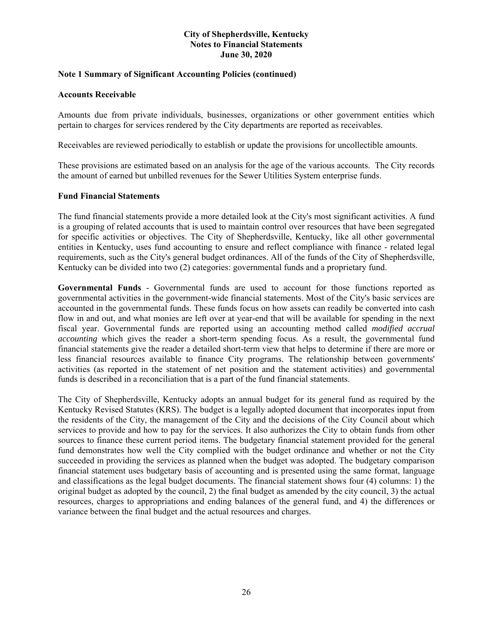### **Note 1 Summary of Significant Accounting Policies (continued)**

### **Accounts Receivable**

Amounts due from private individuals, businesses, organizations or other government entities which pertain to charges for services rendered by the City departments are reported as receivables.

Receivables are reviewed periodically to establish or update the provisions for uncollectible amounts.

These provisions are estimated based on an analysis for the age of the various accounts. The City records the amount of earned but unbilled revenues for the Sewer Utilities System enterprise funds.

#### **Fund Financial Statements**

The fund financial statements provide a more detailed look at the City's most significant activities. A fund is a grouping of related accounts that is used to maintain control over resources that have been segregated for specific activities or objectives. The City of Shepherdsville, Kentucky, like all other governmental entities in Kentucky, uses fund accounting to ensure and reflect compliance with finance - related legal requirements, such as the City's general budget ordinances. All of the funds of the City of Shepherdsville, Kentucky can be divided into two (2) categories: governmental funds and a proprietary fund.

**Governmental Funds** - Governmental funds are used to account for those functions reported as governmental activities in the government-wide financial statements. Most of the City's basic services are accounted in the governmental funds. These funds focus on how assets can readily be converted into cash flow in and out, and what monies are left over at year-end that will be available for spending in the next fiscal year. Governmental funds are reported using an accounting method called *modified accrual accounting* which gives the reader a short-term spending focus. As a result, the governmental fund financial statements give the reader a detailed short-term view that helps to determine if there are more or less financial resources available to finance City programs. The relationship between governments' activities (as reported in the statement of net position and the statement activities) and governmental funds is described in a reconciliation that is a part of the fund financial statements.

The City of Shepherdsville, Kentucky adopts an annual budget for its general fund as required by the Kentucky Revised Statutes (KRS). The budget is a legally adopted document that incorporates input from the residents of the City, the management of the City and the decisions of the City Council about which services to provide and how to pay for the services. It also authorizes the City to obtain funds from other sources to finance these current period items. The budgetary financial statement provided for the general fund demonstrates how well the City complied with the budget ordinance and whether or not the City succeeded in providing the services as planned when the budget was adopted. The budgetary comparison financial statement uses budgetary basis of accounting and is presented using the same format, language and classifications as the legal budget documents. The financial statement shows four (4) columns: 1) the original budget as adopted by the council, 2) the final budget as amended by the city council, 3) the actual resources, charges to appropriations and ending balances of the general fund, and 4) the differences or variance between the final budget and the actual resources and charges.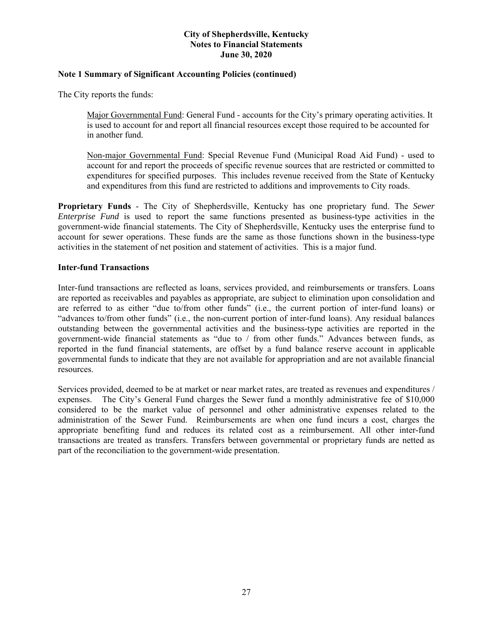### **Note 1 Summary of Significant Accounting Policies (continued)**

The City reports the funds:

Major Governmental Fund: General Fund - accounts for the City's primary operating activities. It is used to account for and report all financial resources except those required to be accounted for in another fund.

Non-major Governmental Fund: Special Revenue Fund (Municipal Road Aid Fund) - used to account for and report the proceeds of specific revenue sources that are restricted or committed to expenditures for specified purposes. This includes revenue received from the State of Kentucky and expenditures from this fund are restricted to additions and improvements to City roads.

**Proprietary Funds** - The City of Shepherdsville, Kentucky has one proprietary fund. The *Sewer Enterprise Fund* is used to report the same functions presented as business-type activities in the government-wide financial statements. The City of Shepherdsville, Kentucky uses the enterprise fund to account for sewer operations. These funds are the same as those functions shown in the business-type activities in the statement of net position and statement of activities. This is a major fund.

### **Inter-fund Transactions**

Inter-fund transactions are reflected as loans, services provided, and reimbursements or transfers. Loans are reported as receivables and payables as appropriate, are subject to elimination upon consolidation and are referred to as either "due to/from other funds" (i.e., the current portion of inter-fund loans) or "advances to/from other funds" (i.e., the non-current portion of inter-fund loans). Any residual balances outstanding between the governmental activities and the business-type activities are reported in the government-wide financial statements as "due to / from other funds." Advances between funds, as reported in the fund financial statements, are offset by a fund balance reserve account in applicable governmental funds to indicate that they are not available for appropriation and are not available financial resources.

Services provided, deemed to be at market or near market rates, are treated as revenues and expenditures / expenses. The City's General Fund charges the Sewer fund a monthly administrative fee of \$10,000 considered to be the market value of personnel and other administrative expenses related to the administration of the Sewer Fund. Reimbursements are when one fund incurs a cost, charges the appropriate benefiting fund and reduces its related cost as a reimbursement. All other inter-fund transactions are treated as transfers. Transfers between governmental or proprietary funds are netted as part of the reconciliation to the government-wide presentation.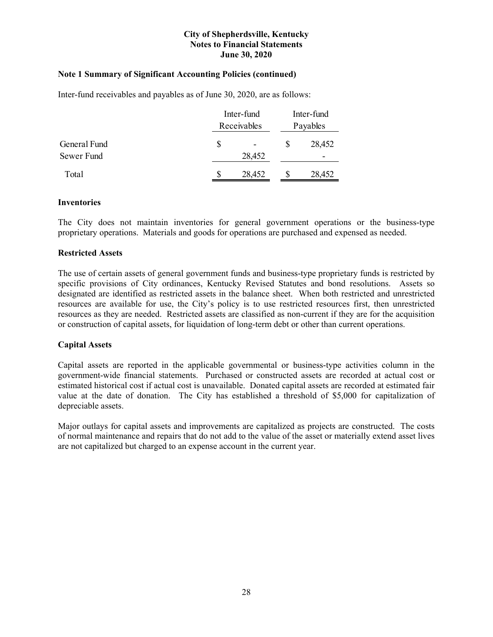### **Note 1 Summary of Significant Accounting Policies (continued)**

Inter-fund receivables and payables as of June 30, 2020, are as follows:

|              |    | Inter-fund  |    | Inter-fund               |  |          |  |
|--------------|----|-------------|----|--------------------------|--|----------|--|
|              |    | Receivables |    |                          |  | Payables |  |
| General Fund | \$ |             | S  | 28,452                   |  |          |  |
| Sewer Fund   |    | 28,452      |    | $\overline{\phantom{0}}$ |  |          |  |
| Total        | S  | 28,452      | J. | 28,452                   |  |          |  |

#### **Inventories**

The City does not maintain inventories for general government operations or the business-type proprietary operations. Materials and goods for operations are purchased and expensed as needed.

#### **Restricted Assets**

The use of certain assets of general government funds and business-type proprietary funds is restricted by specific provisions of City ordinances, Kentucky Revised Statutes and bond resolutions. Assets so designated are identified as restricted assets in the balance sheet. When both restricted and unrestricted resources are available for use, the City's policy is to use restricted resources first, then unrestricted resources as they are needed. Restricted assets are classified as non-current if they are for the acquisition or construction of capital assets, for liquidation of long-term debt or other than current operations.

### **Capital Assets**

Capital assets are reported in the applicable governmental or business-type activities column in the government-wide financial statements. Purchased or constructed assets are recorded at actual cost or estimated historical cost if actual cost is unavailable. Donated capital assets are recorded at estimated fair value at the date of donation. The City has established a threshold of \$5,000 for capitalization of depreciable assets.

Major outlays for capital assets and improvements are capitalized as projects are constructed. The costs of normal maintenance and repairs that do not add to the value of the asset or materially extend asset lives are not capitalized but charged to an expense account in the current year.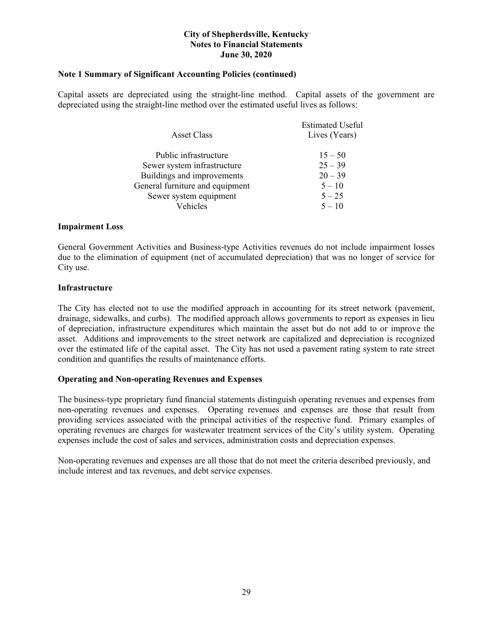### **Note 1 Summary of Significant Accounting Policies (continued)**

Capital assets are depreciated using the straight-line method. Capital assets of the government are depreciated using the straight-line method over the estimated useful lives as follows:

|                                 | <b>Estimated Useful</b> |
|---------------------------------|-------------------------|
| Asset Class                     | Lives (Years)           |
| Public infrastructure           | $15 - 50$               |
| Sewer system infrastructure     | $25 - 39$               |
| Buildings and improvements      | $20 - 39$               |
| General furniture and equipment | $5 - 10$                |
| Sewer system equipment          | $5 - 25$                |
| Vehicles                        | $5 - 10$                |

#### **Impairment Loss**

General Government Activities and Business-type Activities revenues do not include impairment losses due to the elimination of equipment (net of accumulated depreciation) that was no longer of service for City use.

### **Infrastructure**

The City has elected not to use the modified approach in accounting for its street network (pavement, drainage, sidewalks, and curbs). The modified approach allows governments to report as expenses in lieu of depreciation, infrastructure expenditures which maintain the asset but do not add to or improve the asset. Additions and improvements to the street network are capitalized and depreciation is recognized over the estimated life of the capital asset. The City has not used a pavement rating system to rate street condition and quantifies the results of maintenance efforts.

#### **Operating and Non-operating Revenues and Expenses**

The business-type proprietary fund financial statements distinguish operating revenues and expenses from non-operating revenues and expenses. Operating revenues and expenses are those that result from providing services associated with the principal activities of the respective fund. Primary examples of operating revenues are charges for wastewater treatment services of the City's utility system. Operating expenses include the cost of sales and services, administration costs and depreciation expenses.

Non-operating revenues and expenses are all those that do not meet the criteria described previously, and include interest and tax revenues, and debt service expenses.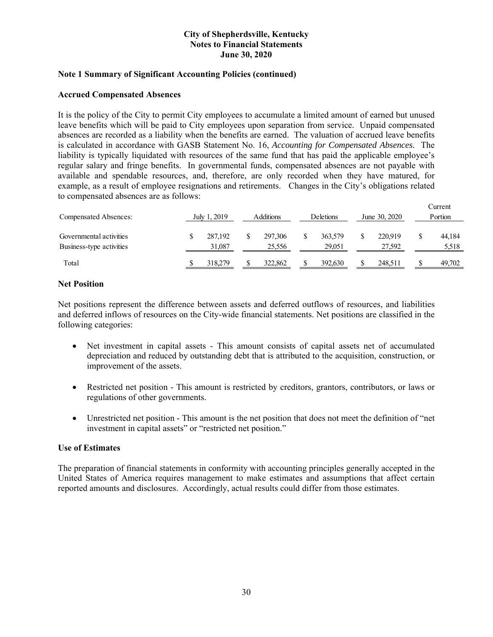### **Note 1 Summary of Significant Accounting Policies (continued)**

#### **Accrued Compensated Absences**

It is the policy of the City to permit City employees to accumulate a limited amount of earned but unused leave benefits which will be paid to City employees upon separation from service. Unpaid compensated absences are recorded as a liability when the benefits are earned. The valuation of accrued leave benefits is calculated in accordance with GASB Statement No. 16, *Accounting for Compensated Absences.* The liability is typically liquidated with resources of the same fund that has paid the applicable employee's regular salary and fringe benefits. In governmental funds, compensated absences are not payable with available and spendable resources, and, therefore, are only recorded when they have matured, for example, as a result of employee resignations and retirements. Changes in the City's obligations related to compensated absences are as follows:

| Compensated Absences:                               | July 1, 2019      | <b>Additions</b>  | Deletions         | June 30, 2020     | Cultur<br>Portion |
|-----------------------------------------------------|-------------------|-------------------|-------------------|-------------------|-------------------|
| Governmental activities<br>Business-type activities | 287,192<br>31,087 | 297,306<br>25.556 | 363,579<br>29,051 | 220.919<br>27,592 | 44,184<br>5,518   |
| Total                                               | 318,279           | 322,862           | 392,630           | 248.511           | 49,702            |

 $C$ <sub>Umpan</sub>t

### **Net Position**

Net positions represent the difference between assets and deferred outflows of resources, and liabilities and deferred inflows of resources on the City-wide financial statements. Net positions are classified in the following categories:

- Net investment in capital assets This amount consists of capital assets net of accumulated depreciation and reduced by outstanding debt that is attributed to the acquisition, construction, or improvement of the assets.
- Restricted net position This amount is restricted by creditors, grantors, contributors, or laws or regulations of other governments.
- Unrestricted net position This amount is the net position that does not meet the definition of "net investment in capital assets" or "restricted net position."

#### **Use of Estimates**

The preparation of financial statements in conformity with accounting principles generally accepted in the United States of America requires management to make estimates and assumptions that affect certain reported amounts and disclosures. Accordingly, actual results could differ from those estimates.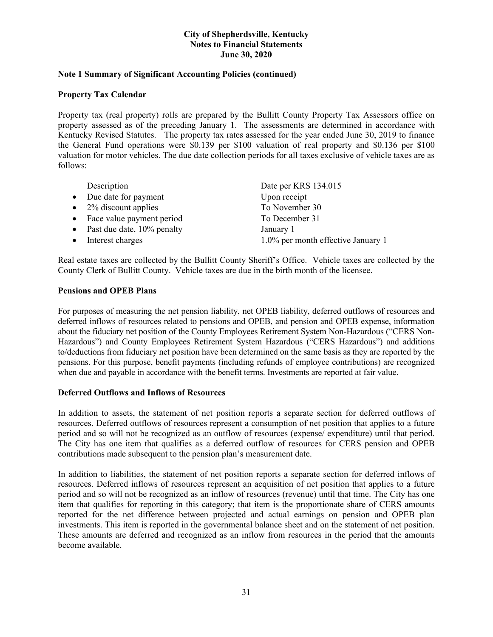### **Note 1 Summary of Significant Accounting Policies (continued)**

### **Property Tax Calendar**

Property tax (real property) rolls are prepared by the Bullitt County Property Tax Assessors office on property assessed as of the preceding January 1. The assessments are determined in accordance with Kentucky Revised Statutes. The property tax rates assessed for the year ended June 30, 2019 to finance the General Fund operations were \$0.139 per \$100 valuation of real property and \$0.136 per \$100 valuation for motor vehicles. The due date collection periods for all taxes exclusive of vehicle taxes are as follows:

| 'escription |  |
|-------------|--|
|             |  |
|             |  |

- Due date for payment Upon receipt
- 2% discount applies To November 30
- Face value payment period To December 31
- Past due date, 10% penalty January 1
- 

Date per KRS 134.015 • Interest charges 1.0% per month effective January 1

Real estate taxes are collected by the Bullitt County Sheriff's Office. Vehicle taxes are collected by the County Clerk of Bullitt County. Vehicle taxes are due in the birth month of the licensee.

### **Pensions and OPEB Plans**

For purposes of measuring the net pension liability, net OPEB liability, deferred outflows of resources and deferred inflows of resources related to pensions and OPEB, and pension and OPEB expense, information about the fiduciary net position of the County Employees Retirement System Non-Hazardous ("CERS Non-Hazardous") and County Employees Retirement System Hazardous ("CERS Hazardous") and additions to/deductions from fiduciary net position have been determined on the same basis as they are reported by the pensions. For this purpose, benefit payments (including refunds of employee contributions) are recognized when due and payable in accordance with the benefit terms. Investments are reported at fair value.

### **Deferred Outflows and Inflows of Resources**

In addition to assets, the statement of net position reports a separate section for deferred outflows of resources. Deferred outflows of resources represent a consumption of net position that applies to a future period and so will not be recognized as an outflow of resources (expense/ expenditure) until that period. The City has one item that qualifies as a deferred outflow of resources for CERS pension and OPEB contributions made subsequent to the pension plan's measurement date.

In addition to liabilities, the statement of net position reports a separate section for deferred inflows of resources. Deferred inflows of resources represent an acquisition of net position that applies to a future period and so will not be recognized as an inflow of resources (revenue) until that time. The City has one item that qualifies for reporting in this category; that item is the proportionate share of CERS amounts reported for the net difference between projected and actual earnings on pension and OPEB plan investments. This item is reported in the governmental balance sheet and on the statement of net position. These amounts are deferred and recognized as an inflow from resources in the period that the amounts become available.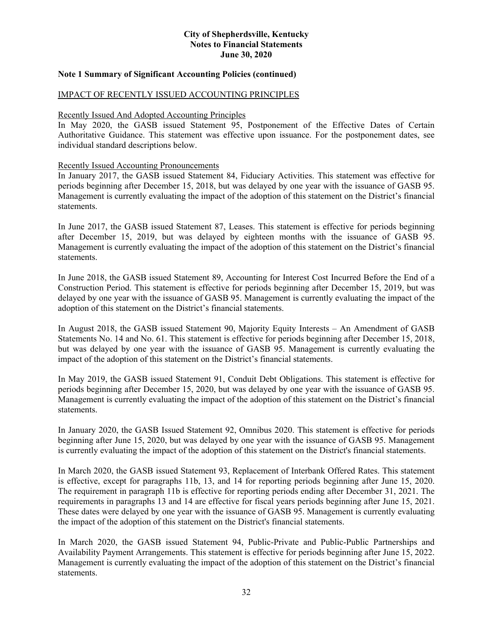#### **Note 1 Summary of Significant Accounting Policies (continued)**

#### IMPACT OF RECENTLY ISSUED ACCOUNTING PRINCIPLES

#### Recently Issued And Adopted Accounting Principles

In May 2020, the GASB issued Statement 95, Postponement of the Effective Dates of Certain Authoritative Guidance. This statement was effective upon issuance. For the postponement dates, see individual standard descriptions below.

#### Recently Issued Accounting Pronouncements

In January 2017, the GASB issued Statement 84, Fiduciary Activities. This statement was effective for periods beginning after December 15, 2018, but was delayed by one year with the issuance of GASB 95. Management is currently evaluating the impact of the adoption of this statement on the District's financial statements.

In June 2017, the GASB issued Statement 87, Leases. This statement is effective for periods beginning after December 15, 2019, but was delayed by eighteen months with the issuance of GASB 95. Management is currently evaluating the impact of the adoption of this statement on the District's financial statements.

In June 2018, the GASB issued Statement 89, Accounting for Interest Cost Incurred Before the End of a Construction Period. This statement is effective for periods beginning after December 15, 2019, but was delayed by one year with the issuance of GASB 95. Management is currently evaluating the impact of the adoption of this statement on the District's financial statements.

In August 2018, the GASB issued Statement 90, Majority Equity Interests – An Amendment of GASB Statements No. 14 and No. 61. This statement is effective for periods beginning after December 15, 2018, but was delayed by one year with the issuance of GASB 95. Management is currently evaluating the impact of the adoption of this statement on the District's financial statements.

In May 2019, the GASB issued Statement 91, Conduit Debt Obligations. This statement is effective for periods beginning after December 15, 2020, but was delayed by one year with the issuance of GASB 95. Management is currently evaluating the impact of the adoption of this statement on the District's financial statements.

In January 2020, the GASB Issued Statement 92, Omnibus 2020. This statement is effective for periods beginning after June 15, 2020, but was delayed by one year with the issuance of GASB 95. Management is currently evaluating the impact of the adoption of this statement on the District's financial statements.

In March 2020, the GASB issued Statement 93, Replacement of Interbank Offered Rates. This statement is effective, except for paragraphs 11b, 13, and 14 for reporting periods beginning after June 15, 2020. The requirement in paragraph 11b is effective for reporting periods ending after December 31, 2021. The requirements in paragraphs 13 and 14 are effective for fiscal years periods beginning after June 15, 2021. These dates were delayed by one year with the issuance of GASB 95. Management is currently evaluating the impact of the adoption of this statement on the District's financial statements.

In March 2020, the GASB issued Statement 94, Public-Private and Public-Public Partnerships and Availability Payment Arrangements. This statement is effective for periods beginning after June 15, 2022. Management is currently evaluating the impact of the adoption of this statement on the District's financial statements.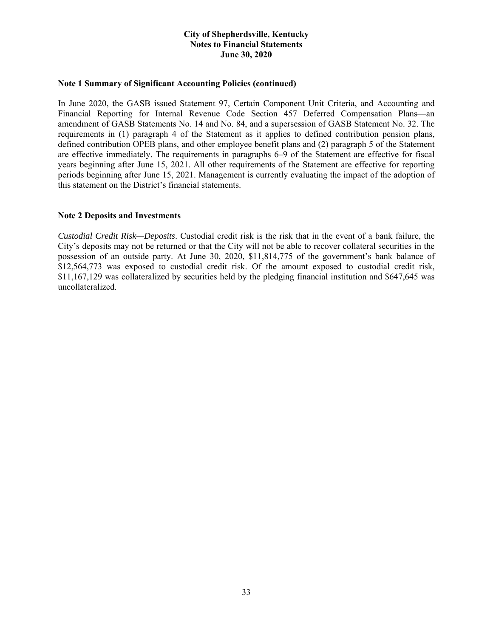#### **Note 1 Summary of Significant Accounting Policies (continued)**

In June 2020, the GASB issued Statement 97, Certain Component Unit Criteria, and Accounting and Financial Reporting for Internal Revenue Code Section 457 Deferred Compensation Plans—an amendment of GASB Statements No. 14 and No. 84, and a supersession of GASB Statement No. 32. The requirements in (1) paragraph 4 of the Statement as it applies to defined contribution pension plans, defined contribution OPEB plans, and other employee benefit plans and (2) paragraph 5 of the Statement are effective immediately. The requirements in paragraphs 6–9 of the Statement are effective for fiscal years beginning after June 15, 2021. All other requirements of the Statement are effective for reporting periods beginning after June 15, 2021. Management is currently evaluating the impact of the adoption of this statement on the District's financial statements.

### **Note 2 Deposits and Investments**

*Custodial Credit Risk—Deposits*. Custodial credit risk is the risk that in the event of a bank failure, the City's deposits may not be returned or that the City will not be able to recover collateral securities in the possession of an outside party. At June 30, 2020, \$11,814,775 of the government's bank balance of \$12,564,773 was exposed to custodial credit risk. Of the amount exposed to custodial credit risk, \$11,167,129 was collateralized by securities held by the pledging financial institution and \$647,645 was uncollateralized.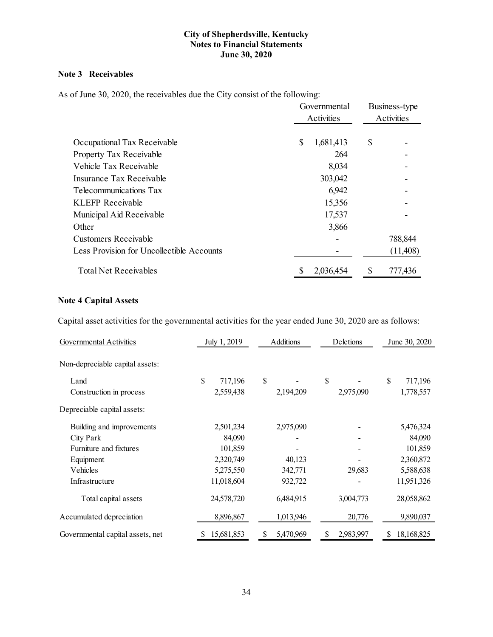# **Note 3 Receivables**

As of June 30, 2020, the receivables due the City consist of the following:

|                                           | Governmental<br>Activities | Business-type<br>Activities |
|-------------------------------------------|----------------------------|-----------------------------|
|                                           |                            |                             |
| Occupational Tax Receivable               | \$<br>1,681,413            | \$                          |
| <b>Property Tax Receivable</b>            | 264                        |                             |
| Vehicle Tax Receivable                    | 8,034                      |                             |
| Insurance Tax Receivable                  | 303,042                    |                             |
| Telecommunications Tax                    | 6,942                      |                             |
| <b>KLEFP</b> Receivable                   | 15,356                     |                             |
| Municipal Aid Receivable                  | 17,537                     |                             |
| Other                                     | 3,866                      |                             |
| <b>Customers Receivable</b>               |                            | 788,844                     |
| Less Provision for Uncollectible Accounts |                            | (11,408)                    |
| <b>Total Net Receivables</b>              | 2,036,454                  | 777,436<br>\$               |

# **Note 4 Capital Assets**

Capital asset activities for the governmental activities for the year ended June 30, 2020 are as follows:

| Governmental Activities          | July 1, 2019<br><b>Additions</b> |                | Deletions<br>June 30, 2020 |               |
|----------------------------------|----------------------------------|----------------|----------------------------|---------------|
| Non-depreciable capital assets:  |                                  |                |                            |               |
| Land                             | \$<br>717,196                    | \$             | \$                         | \$<br>717,196 |
| Construction in process          | 2,559,438                        | 2,194,209      | 2,975,090                  | 1,778,557     |
| Depreciable capital assets:      |                                  |                |                            |               |
| Building and improvements        | 2,501,234                        | 2,975,090      |                            | 5,476,324     |
| City Park                        | 84,090                           |                |                            | 84,090        |
| Furniture and fixtures           | 101,859                          |                |                            | 101,859       |
| Equipment                        | 2,320,749                        | 40,123         |                            | 2,360,872     |
| Vehicles                         | 5,275,550                        | 342,771        | 29,683                     | 5,588,638     |
| Infrastructure                   | 11,018,604                       | 932,722        |                            | 11,951,326    |
| Total capital assets             | 24,578,720                       | 6,484,915      | 3,004,773                  | 28,058,862    |
| Accumulated depreciation         | 8,896,867                        | 1,013,946      | 20,776                     | 9,890,037     |
| Governmental capital assets, net | 15,681,853                       | 5,470,969<br>S | 2,983,997<br>S             | 18,168,825    |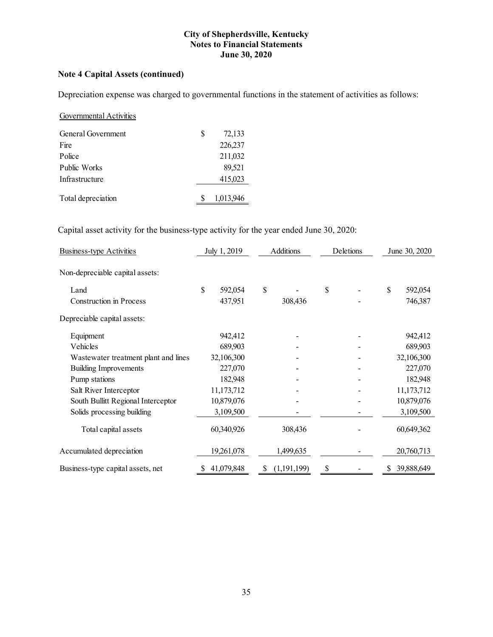# **Note 4 Capital Assets (continued)**

Depreciation expense was charged to governmental functions in the statement of activities as follows:

Governmental Activities

| General Government | S | 72,133    |
|--------------------|---|-----------|
| Fire               |   | 226,237   |
| Police             |   | 211,032   |
| Public Works       |   | 89,521    |
| Infrastructure     |   | 415,023   |
| Total depreciation |   | 1,013,946 |

Capital asset activity for the business-type activity for the year ended June 30, 2020:

| <b>Business-type Activities</b>      | July 1, 2019  | Additions     | Deletions | June 30, 2020 |
|--------------------------------------|---------------|---------------|-----------|---------------|
| Non-depreciable capital assets:      |               |               |           |               |
| Land                                 | \$<br>592,054 | $\mathcal{S}$ | \$        | \$<br>592,054 |
| <b>Construction in Process</b>       | 437,951       | 308,436       |           | 746,387       |
| Depreciable capital assets:          |               |               |           |               |
| Equipment                            | 942,412       |               |           | 942,412       |
| Vehicles                             | 689,903       |               |           | 689,903       |
| Wastewater treatment plant and lines | 32,106,300    |               |           | 32,106,300    |
| <b>Building Improvements</b>         | 227,070       |               |           | 227,070       |
| Pump stations                        | 182,948       |               |           | 182,948       |
| Salt River Interceptor               | 11,173,712    |               |           | 11,173,712    |
| South Bullitt Regional Interceptor   | 10,879,076    |               |           | 10,879,076    |
| Solids processing building           | 3,109,500     |               |           | 3,109,500     |
| Total capital assets                 | 60,340,926    | 308,436       |           | 60,649,362    |
| Accumulated depreciation             | 19,261,078    | 1,499,635     |           | 20,760,713    |
| Business-type capital assets, net    | 41,079,848    | (1,191,199)   |           | 39,888,649    |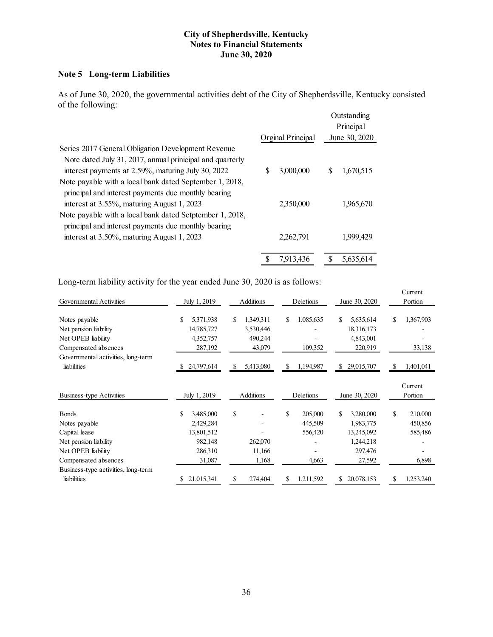# **Note 5 Long-term Liabilities**

As of June 30, 2020, the governmental activities debt of the City of Shepherdsville, Kentucky consisted of the following:

|                                                           |                   |    | Outstanding<br>Principal |
|-----------------------------------------------------------|-------------------|----|--------------------------|
|                                                           | Orginal Principal |    | June 30, 2020            |
| Series 2017 General Obligation Development Revenue        |                   |    |                          |
| Note dated July 31, 2017, annual prinicipal and quarterly |                   |    |                          |
| interest payments at 2.59%, maturing July 30, 2022        | \$<br>3,000,000   | \$ | 1,670,515                |
| Note payable with a local bank dated September 1, 2018,   |                   |    |                          |
| principal and interest payments due monthly bearing       |                   |    |                          |
| interest at 3.55%, maturing August 1, 2023                | 2,350,000         |    | 1,965,670                |
| Note payable with a local bank dated Setptember 1, 2018,  |                   |    |                          |
| principal and interest payments due monthly bearing       |                   |    |                          |
| interest at 3.50%, maturing August 1, 2023                | 2,262,791         |    | 1,999,429                |
|                                                           | 7,913,436         | S  | 5.635.614                |

Long-term liability activity for the year ended June 30, 2020 is as follows:

| Governmental Activities             | July 1, 2019    | <b>Additions</b> | Deletions       | June 30, 2020    | Current<br>Portion |
|-------------------------------------|-----------------|------------------|-----------------|------------------|--------------------|
| Notes payable                       | \$<br>5,371,938 | 1,349,311<br>\$. | \$<br>1,085,635 | 5,635,614<br>\$  | \$<br>1,367,903    |
| Net pension liability               | 14,785,727      | 3,530,446        |                 | 18,316,173       |                    |
| Net OPEB liability                  | 4,352,757       | 490,244          |                 | 4,843,001        |                    |
| Compensated absences                | 287,192         | 43,079           | 109,352         | 220,919          | 33,138             |
| Governmental activities, long-term  |                 |                  |                 |                  |                    |
| liabilities                         | 24,797,614      | 5,413,080<br>\$  | 1,194,987<br>\$ | 29,015,707<br>\$ | 1,401,041<br>S     |
| Business-type Activities            | July 1, 2019    | Additions        | Deletions       | June 30, 2020    | Current<br>Portion |
| <b>Bonds</b>                        | \$<br>3,485,000 | \$               | \$<br>205,000   | 3,280,000<br>\$  | \$<br>210,000      |
| Notes payable                       | 2,429,284       |                  | 445,509         | 1,983,775        | 450,856            |
| Capital lease                       | 13,801,512      |                  | 556,420         | 13,245,092       | 585,486            |
| Net pension liability               | 982,148         | 262,070          |                 | 1,244,218        |                    |
| Net OPEB liability                  | 286,310         | 11,166           |                 | 297,476          |                    |
| Compensated absences                | 31,087          | 1,168            | 4,663           | 27,592           | 6,898              |
| Business-type activities, long-term |                 |                  |                 |                  |                    |
| liabilities                         | 21,015,341      | 274,404          | 1,211,592       | 20,078,153<br>S  | 1,253,240          |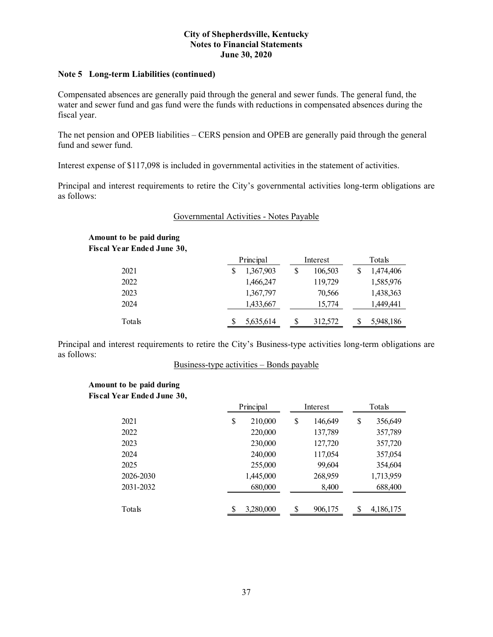### **Note 5 Long-term Liabilities (continued)**

Compensated absences are generally paid through the general and sewer funds. The general fund, the water and sewer fund and gas fund were the funds with reductions in compensated absences during the fiscal year.

The net pension and OPEB liabilities – CERS pension and OPEB are generally paid through the general fund and sewer fund.

Interest expense of \$117,098 is included in governmental activities in the statement of activities.

Principal and interest requirements to retire the City's governmental activities long-term obligations are as follows:

### Governmental Activities - Notes Payable

**Amount to be paid during Fiscal Year Ended June 30,**

|        | Principal |           | Interest |         |  | Totals    |
|--------|-----------|-----------|----------|---------|--|-----------|
| 2021   | S         | 1,367,903 |          | 106,503 |  | 1,474,406 |
| 2022   |           | 1,466,247 |          | 119,729 |  | 1,585,976 |
| 2023   |           | 1,367,797 |          | 70,566  |  | 1,438,363 |
| 2024   |           | 1,433,667 |          | 15,774  |  | 1,449,441 |
| Totals |           | 5,635,614 | S        | 312,572 |  | 5,948,186 |

Principal and interest requirements to retire the City's Business-type activities long-term obligations are as follows:

### Business-type activities – Bonds payable

### **Amount to be paid during Fiscal Year Ended June 30,**

|           | Principal       | Interest      | Totals         |
|-----------|-----------------|---------------|----------------|
| 2021      | \$<br>210,000   | \$<br>146,649 | \$<br>356,649  |
| 2022      | 220,000         | 137,789       | 357,789        |
| 2023      | 230,000         | 127,720       | 357,720        |
| 2024      | 240,000         | 117,054       | 357,054        |
| 2025      | 255,000         | 99,604        | 354,604        |
| 2026-2030 | 1,445,000       | 268,959       | 1,713,959      |
| 2031-2032 | 680,000         | 8,400         | 688,400        |
|           |                 |               |                |
| Totals    | \$<br>3,280,000 | ፍ<br>906,175  | 4,186,175<br>Я |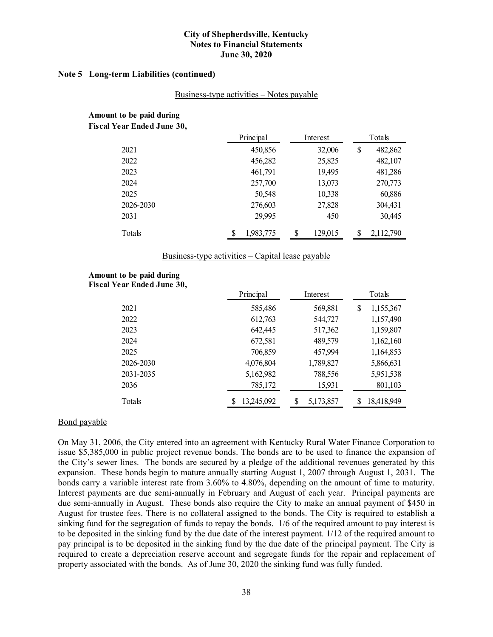#### **Note 5 Long-term Liabilities (continued)**

#### Business-type activities – Notes payable

#### **Amount to be paid during Fiscal Year Ended June 30,**

|           | Principal        | Interest     | Totals         |
|-----------|------------------|--------------|----------------|
| 2021      | 450,856          | 32,006       | S<br>482,862   |
| 2022      | 456,282          | 25,825       | 482,107        |
| 2023      | 461,791          | 19,495       | 481,286        |
| 2024      | 257,700          | 13,073       | 270,773        |
| 2025      | 50,548           | 10,338       | 60,886         |
| 2026-2030 | 276,603          | 27,828       | 304,431        |
| 2031      | 29,995           | 450          | 30,445         |
| Totals    | \$.<br>1,983,775 | S<br>129,015 | S<br>2,112,790 |

#### Business-type activities – Capital lease payable

#### **Amount to be paid during Fiscal Year Ended June 30,**

|           | Principal       | Interest        | Totals         |
|-----------|-----------------|-----------------|----------------|
| 2021      | 585,486         | 569,881         | 1,155,367<br>S |
| 2022      | 612,763         | 544,727         | 1,157,490      |
| 2023      | 642,445         | 517,362         | 1,159,807      |
| 2024      | 672,581         | 489,579         | 1,162,160      |
| 2025      | 706,859         | 457,994         | 1,164,853      |
| 2026-2030 | 4,076,804       | 1,789,827       | 5,866,631      |
| 2031-2035 | 5,162,982       | 788,556         | 5,951,538      |
| 2036      | 785,172         | 15,931          | 801,103        |
| Totals    | 13,245,092<br>S | \$<br>5,173,857 | 18,418,949     |

#### Bond payable

On May 31, 2006, the City entered into an agreement with Kentucky Rural Water Finance Corporation to issue \$5,385,000 in public project revenue bonds. The bonds are to be used to finance the expansion of the City's sewer lines. The bonds are secured by a pledge of the additional revenues generated by this expansion. These bonds begin to mature annually starting August 1, 2007 through August 1, 2031. The bonds carry a variable interest rate from 3.60% to 4.80%, depending on the amount of time to maturity. Interest payments are due semi-annually in February and August of each year. Principal payments are due semi-annually in August. These bonds also require the City to make an annual payment of \$450 in August for trustee fees. There is no collateral assigned to the bonds. The City is required to establish a sinking fund for the segregation of funds to repay the bonds. 1/6 of the required amount to pay interest is to be deposited in the sinking fund by the due date of the interest payment. 1/12 of the required amount to pay principal is to be deposited in the sinking fund by the due date of the principal payment. The City is required to create a depreciation reserve account and segregate funds for the repair and replacement of property associated with the bonds. As of June 30, 2020 the sinking fund was fully funded.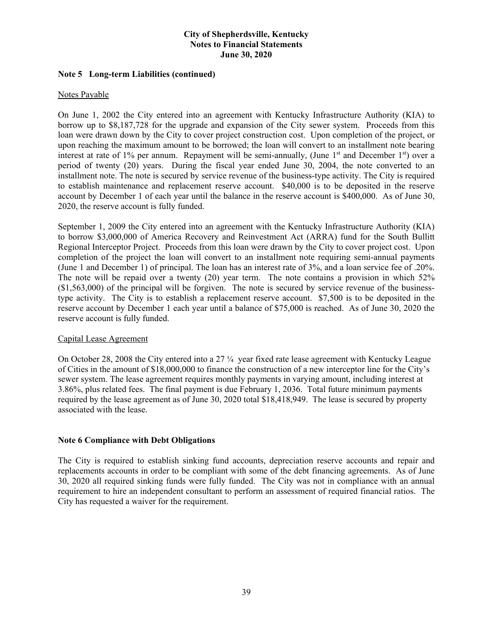#### **Note 5 Long-term Liabilities (continued)**

#### Notes Payable

On June 1, 2002 the City entered into an agreement with Kentucky Infrastructure Authority (KIA) to borrow up to \$8,187,728 for the upgrade and expansion of the City sewer system. Proceeds from this loan were drawn down by the City to cover project construction cost. Upon completion of the project, or upon reaching the maximum amount to be borrowed; the loan will convert to an installment note bearing interest at rate of 1% per annum. Repayment will be semi-annually, (June  $1<sup>st</sup>$  and December  $1<sup>st</sup>$ ) over a period of twenty (20) years. During the fiscal year ended June 30, 2004, the note converted to an installment note. The note is secured by service revenue of the business-type activity. The City is required to establish maintenance and replacement reserve account. \$40,000 is to be deposited in the reserve account by December 1 of each year until the balance in the reserve account is \$400,000. As of June 30, 2020, the reserve account is fully funded.

September 1, 2009 the City entered into an agreement with the Kentucky Infrastructure Authority (KIA) to borrow \$3,000,000 of America Recovery and Reinvestment Act (ARRA) fund for the South Bullitt Regional Interceptor Project. Proceeds from this loan were drawn by the City to cover project cost. Upon completion of the project the loan will convert to an installment note requiring semi-annual payments (June 1 and December 1) of principal. The loan has an interest rate of 3%, and a loan service fee of .20%. The note will be repaid over a twenty (20) year term. The note contains a provision in which 52% (\$1,563,000) of the principal will be forgiven. The note is secured by service revenue of the businesstype activity. The City is to establish a replacement reserve account. \$7,500 is to be deposited in the reserve account by December 1 each year until a balance of \$75,000 is reached. As of June 30, 2020 the reserve account is fully funded.

#### Capital Lease Agreement

On October 28, 2008 the City entered into a 27 ¼ year fixed rate lease agreement with Kentucky League of Cities in the amount of \$18,000,000 to finance the construction of a new interceptor line for the City's sewer system. The lease agreement requires monthly payments in varying amount, including interest at 3.86%, plus related fees. The final payment is due February 1, 2036. Total future minimum payments required by the lease agreement as of June 30, 2020 total \$18,418,949. The lease is secured by property associated with the lease.

### **Note 6 Compliance with Debt Obligations**

The City is required to establish sinking fund accounts, depreciation reserve accounts and repair and replacements accounts in order to be compliant with some of the debt financing agreements. As of June 30, 2020 all required sinking funds were fully funded. The City was not in compliance with an annual requirement to hire an independent consultant to perform an assessment of required financial ratios. The City has requested a waiver for the requirement.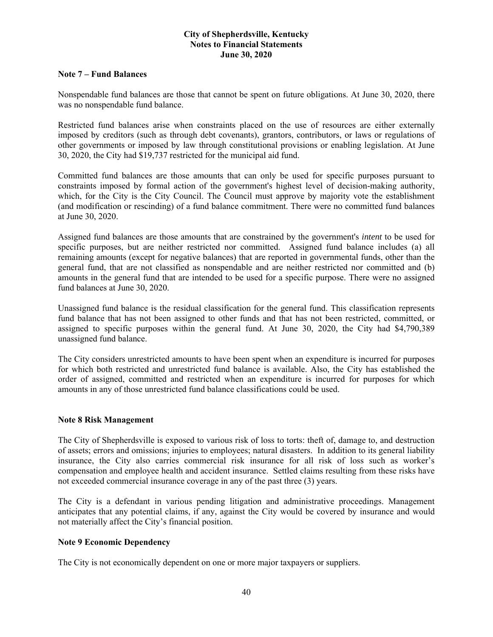#### **Note 7 – Fund Balances**

Nonspendable fund balances are those that cannot be spent on future obligations. At June 30, 2020, there was no nonspendable fund balance.

Restricted fund balances arise when constraints placed on the use of resources are either externally imposed by creditors (such as through debt covenants), grantors, contributors, or laws or regulations of other governments or imposed by law through constitutional provisions or enabling legislation. At June 30, 2020, the City had \$19,737 restricted for the municipal aid fund.

Committed fund balances are those amounts that can only be used for specific purposes pursuant to constraints imposed by formal action of the government's highest level of decision-making authority, which, for the City is the City Council. The Council must approve by majority vote the establishment (and modification or rescinding) of a fund balance commitment. There were no committed fund balances at June 30, 2020.

Assigned fund balances are those amounts that are constrained by the government's *intent* to be used for specific purposes, but are neither restricted nor committed. Assigned fund balance includes (a) all remaining amounts (except for negative balances) that are reported in governmental funds, other than the general fund, that are not classified as nonspendable and are neither restricted nor committed and (b) amounts in the general fund that are intended to be used for a specific purpose. There were no assigned fund balances at June 30, 2020.

Unassigned fund balance is the residual classification for the general fund. This classification represents fund balance that has not been assigned to other funds and that has not been restricted, committed, or assigned to specific purposes within the general fund. At June 30, 2020, the City had \$4,790,389 unassigned fund balance.

The City considers unrestricted amounts to have been spent when an expenditure is incurred for purposes for which both restricted and unrestricted fund balance is available. Also, the City has established the order of assigned, committed and restricted when an expenditure is incurred for purposes for which amounts in any of those unrestricted fund balance classifications could be used.

#### **Note 8 Risk Management**

The City of Shepherdsville is exposed to various risk of loss to torts: theft of, damage to, and destruction of assets; errors and omissions; injuries to employees; natural disasters. In addition to its general liability insurance, the City also carries commercial risk insurance for all risk of loss such as worker's compensation and employee health and accident insurance. Settled claims resulting from these risks have not exceeded commercial insurance coverage in any of the past three (3) years.

The City is a defendant in various pending litigation and administrative proceedings. Management anticipates that any potential claims, if any, against the City would be covered by insurance and would not materially affect the City's financial position.

### **Note 9 Economic Dependency**

The City is not economically dependent on one or more major taxpayers or suppliers.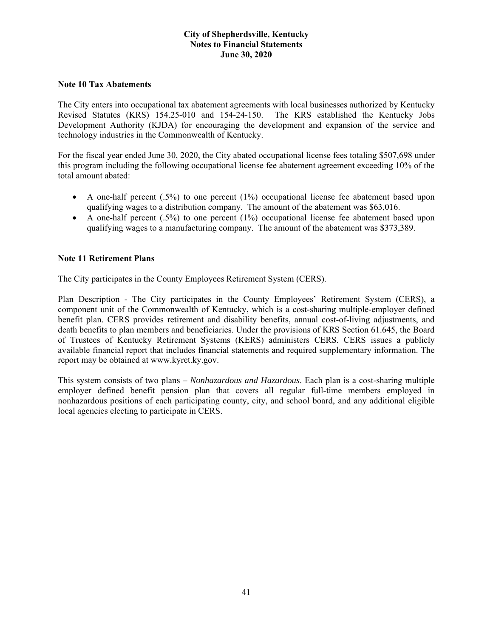### **Note 10 Tax Abatements**

The City enters into occupational tax abatement agreements with local businesses authorized by Kentucky Revised Statutes (KRS) 154.25-010 and 154-24-150. The KRS established the Kentucky Jobs Development Authority (KJDA) for encouraging the development and expansion of the service and technology industries in the Commonwealth of Kentucky.

For the fiscal year ended June 30, 2020, the City abated occupational license fees totaling \$507,698 under this program including the following occupational license fee abatement agreement exceeding 10% of the total amount abated:

- A one-half percent  $(.5%)$  to one percent  $(1%)$  occupational license fee abatement based upon qualifying wages to a distribution company. The amount of the abatement was \$63,016.
- A one-half percent  $(.5%)$  to one percent  $(1%)$  occupational license fee abatement based upon qualifying wages to a manufacturing company. The amount of the abatement was \$373,389.

### **Note 11 Retirement Plans**

The City participates in the County Employees Retirement System (CERS).

Plan Description - The City participates in the County Employees' Retirement System (CERS), a component unit of the Commonwealth of Kentucky, which is a cost-sharing multiple-employer defined benefit plan. CERS provides retirement and disability benefits, annual cost-of-living adjustments, and death benefits to plan members and beneficiaries. Under the provisions of KRS Section 61.645, the Board of Trustees of Kentucky Retirement Systems (KERS) administers CERS. CERS issues a publicly available financial report that includes financial statements and required supplementary information. The report may be obtained at www.kyret.ky.gov.

This system consists of two plans – *Nonhazardous and Hazardous*. Each plan is a cost-sharing multiple employer defined benefit pension plan that covers all regular full-time members employed in nonhazardous positions of each participating county, city, and school board, and any additional eligible local agencies electing to participate in CERS.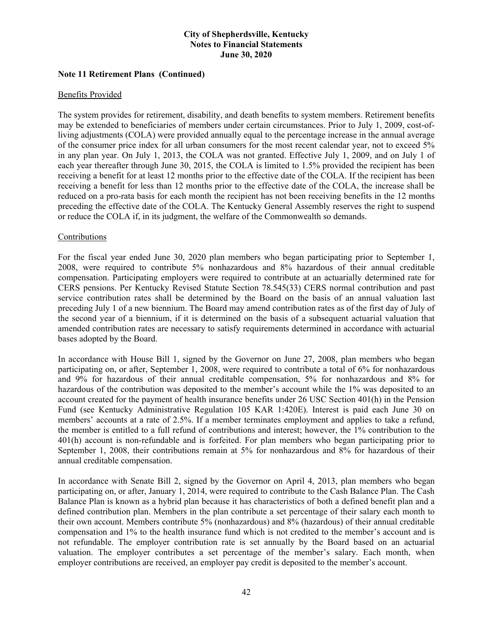#### **Note 11 Retirement Plans (Continued)**

#### Benefits Provided

The system provides for retirement, disability, and death benefits to system members. Retirement benefits may be extended to beneficiaries of members under certain circumstances. Prior to July 1, 2009, cost-ofliving adjustments (COLA) were provided annually equal to the percentage increase in the annual average of the consumer price index for all urban consumers for the most recent calendar year, not to exceed 5% in any plan year. On July 1, 2013, the COLA was not granted. Effective July 1, 2009, and on July 1 of each year thereafter through June 30, 2015, the COLA is limited to 1.5% provided the recipient has been receiving a benefit for at least 12 months prior to the effective date of the COLA. If the recipient has been receiving a benefit for less than 12 months prior to the effective date of the COLA, the increase shall be reduced on a pro-rata basis for each month the recipient has not been receiving benefits in the 12 months preceding the effective date of the COLA. The Kentucky General Assembly reserves the right to suspend or reduce the COLA if, in its judgment, the welfare of the Commonwealth so demands.

### Contributions

For the fiscal year ended June 30, 2020 plan members who began participating prior to September 1, 2008, were required to contribute 5% nonhazardous and 8% hazardous of their annual creditable compensation. Participating employers were required to contribute at an actuarially determined rate for CERS pensions. Per Kentucky Revised Statute Section 78.545(33) CERS normal contribution and past service contribution rates shall be determined by the Board on the basis of an annual valuation last preceding July 1 of a new biennium. The Board may amend contribution rates as of the first day of July of the second year of a biennium, if it is determined on the basis of a subsequent actuarial valuation that amended contribution rates are necessary to satisfy requirements determined in accordance with actuarial bases adopted by the Board.

In accordance with House Bill 1, signed by the Governor on June 27, 2008, plan members who began participating on, or after, September 1, 2008, were required to contribute a total of 6% for nonhazardous and 9% for hazardous of their annual creditable compensation, 5% for nonhazardous and 8% for hazardous of the contribution was deposited to the member's account while the 1% was deposited to an account created for the payment of health insurance benefits under 26 USC Section 401(h) in the Pension Fund (see Kentucky Administrative Regulation 105 KAR 1:420E). Interest is paid each June 30 on members' accounts at a rate of 2.5%. If a member terminates employment and applies to take a refund, the member is entitled to a full refund of contributions and interest; however, the 1% contribution to the 401(h) account is non-refundable and is forfeited. For plan members who began participating prior to September 1, 2008, their contributions remain at 5% for nonhazardous and 8% for hazardous of their annual creditable compensation.

In accordance with Senate Bill 2, signed by the Governor on April 4, 2013, plan members who began participating on, or after, January 1, 2014, were required to contribute to the Cash Balance Plan. The Cash Balance Plan is known as a hybrid plan because it has characteristics of both a defined benefit plan and a defined contribution plan. Members in the plan contribute a set percentage of their salary each month to their own account. Members contribute 5% (nonhazardous) and 8% (hazardous) of their annual creditable compensation and 1% to the health insurance fund which is not credited to the member's account and is not refundable. The employer contribution rate is set annually by the Board based on an actuarial valuation. The employer contributes a set percentage of the member's salary. Each month, when employer contributions are received, an employer pay credit is deposited to the member's account.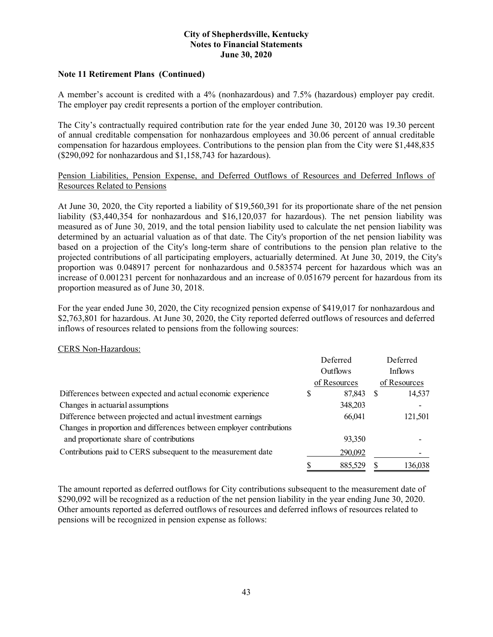### **Note 11 Retirement Plans (Continued)**

A member's account is credited with a 4% (nonhazardous) and 7.5% (hazardous) employer pay credit. The employer pay credit represents a portion of the employer contribution.

The City's contractually required contribution rate for the year ended June 30, 20120 was 19.30 percent of annual creditable compensation for nonhazardous employees and 30.06 percent of annual creditable compensation for hazardous employees. Contributions to the pension plan from the City were \$1,448,835 (\$290,092 for nonhazardous and \$1,158,743 for hazardous).

### Pension Liabilities, Pension Expense, and Deferred Outflows of Resources and Deferred Inflows of Resources Related to Pensions

At June 30, 2020, the City reported a liability of \$19,560,391 for its proportionate share of the net pension liability (\$3,440,354 for nonhazardous and \$16,120,037 for hazardous). The net pension liability was measured as of June 30, 2019, and the total pension liability used to calculate the net pension liability was determined by an actuarial valuation as of that date. The City's proportion of the net pension liability was based on a projection of the City's long-term share of contributions to the pension plan relative to the projected contributions of all participating employers, actuarially determined. At June 30, 2019, the City's proportion was 0.048917 percent for nonhazardous and 0.583574 percent for hazardous which was an increase of 0.001231 percent for nonhazardous and an increase of 0.051679 percent for hazardous from its proportion measured as of June 30, 2018.

For the year ended June 30, 2020, the City recognized pension expense of \$419,017 for nonhazardous and \$2,763,801 for hazardous. At June 30, 2020, the City reported deferred outflows of resources and deferred inflows of resources related to pensions from the following sources:

#### CERS Non-Hazardous:

|                                                                      | Deferred |              |  | Deferred     |  |
|----------------------------------------------------------------------|----------|--------------|--|--------------|--|
|                                                                      |          | Outflows     |  | Inflows      |  |
|                                                                      |          | of Resources |  | of Resources |  |
| Differences between expected and actual economic experience          | \$       | 87,843       |  | 14,537       |  |
| Changes in actuarial assumptions                                     |          | 348,203      |  |              |  |
| Difference between projected and actual investment earnings          |          | 66,041       |  | 121,501      |  |
| Changes in proportion and differences between employer contributions |          |              |  |              |  |
| and proportionate share of contributions                             |          | 93,350       |  |              |  |
| Contributions paid to CERS subsequent to the measurement date        |          | 290,092      |  |              |  |
|                                                                      | \$       | 885,529      |  | 136,038      |  |

The amount reported as deferred outflows for City contributions subsequent to the measurement date of \$290,092 will be recognized as a reduction of the net pension liability in the year ending June 30, 2020. Other amounts reported as deferred outflows of resources and deferred inflows of resources related to pensions will be recognized in pension expense as follows: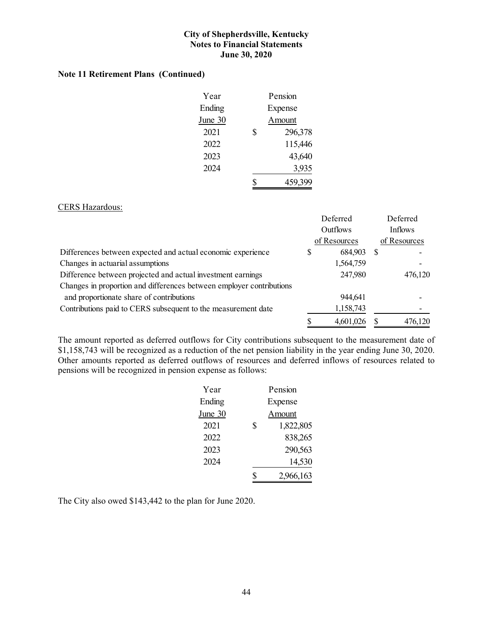### **Note 11 Retirement Plans (Continued)**

| Year    | Pension       |
|---------|---------------|
| Ending  | Expense       |
| June 30 | Amount        |
| 2021    | \$<br>296,378 |
| 2022    | 115,446       |
| 2023    | 43,640        |
| 2024    | 3,935         |
|         | 459,399       |

### CERS Hazardous:

|                                                                      | Deferred<br><b>Outflows</b> |              | Deferred |                |
|----------------------------------------------------------------------|-----------------------------|--------------|----------|----------------|
|                                                                      |                             |              |          | <b>Inflows</b> |
|                                                                      |                             | of Resources |          | of Resources   |
| Differences between expected and actual economic experience          | S                           | 684.903      | <b>S</b> |                |
| Changes in actuarial assumptions                                     |                             | 1,564,759    |          |                |
| Difference between projected and actual investment earnings          |                             | 247,980      |          | 476,120        |
| Changes in proportion and differences between employer contributions |                             |              |          |                |
| and proportionate share of contributions                             |                             | 944.641      |          |                |
| Contributions paid to CERS subsequent to the measurement date        |                             | 1,158,743    |          |                |
|                                                                      | S                           | 4.601.026    |          | 476,120        |

The amount reported as deferred outflows for City contributions subsequent to the measurement date of \$1,158,743 will be recognized as a reduction of the net pension liability in the year ending June 30, 2020. Other amounts reported as deferred outflows of resources and deferred inflows of resources related to pensions will be recognized in pension expense as follows:

| Year    |    | Pension   |
|---------|----|-----------|
| Ending  |    | Expense   |
| June 30 |    | Amount    |
| 2021    | \$ | 1,822,805 |
| 2022    |    | 838,265   |
| 2023    |    | 290,563   |
| 2024    |    | 14,530    |
|         | S  | 2,966,163 |
|         |    |           |

The City also owed \$143,442 to the plan for June 2020.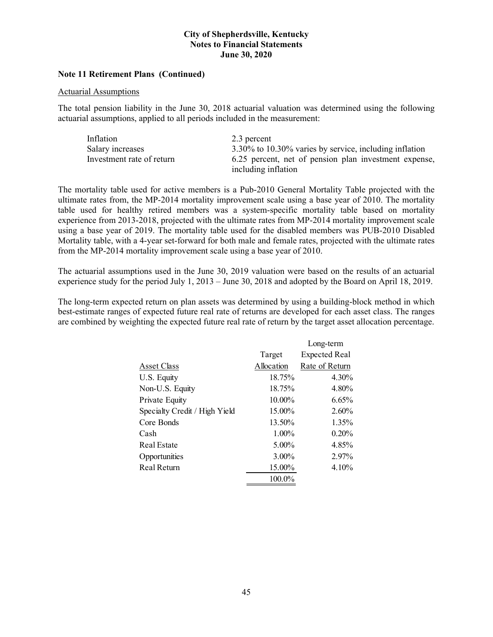#### **Note 11 Retirement Plans (Continued)**

#### Actuarial Assumptions

The total pension liability in the June 30, 2018 actuarial valuation was determined using the following actuarial assumptions, applied to all periods included in the measurement:

| Inflation                 | 2.3 percent                                            |
|---------------------------|--------------------------------------------------------|
| Salary increases          | 3.30% to 10.30% varies by service, including inflation |
| Investment rate of return | 6.25 percent, net of pension plan investment expense,  |
|                           | including inflation                                    |

The mortality table used for active members is a Pub-2010 General Mortality Table projected with the ultimate rates from, the MP-2014 mortality improvement scale using a base year of 2010. The mortality table used for healthy retired members was a system‐specific mortality table based on mortality experience from 2013-2018, projected with the ultimate rates from MP-2014 mortality improvement scale using a base year of 2019. The mortality table used for the disabled members was PUB‐2010 Disabled Mortality table, with a 4‐year set‐forward for both male and female rates, projected with the ultimate rates from the MP‐2014 mortality improvement scale using a base year of 2010.

The actuarial assumptions used in the June 30, 2019 valuation were based on the results of an actuarial experience study for the period July 1, 2013 – June 30, 2018 and adopted by the Board on April 18, 2019.

The long-term expected return on plan assets was determined by using a building-block method in which best-estimate ranges of expected future real rate of returns are developed for each asset class. The ranges are combined by weighting the expected future real rate of return by the target asset allocation percentage.

|                               |            | Long-term            |
|-------------------------------|------------|----------------------|
|                               | Target     | <b>Expected Real</b> |
| Asset Class                   | Allocation | Rate of Return       |
| U.S. Equity                   | 18.75%     | 4.30%                |
| Non-U.S. Equity               | 18.75%     | 4.80%                |
| Private Equity                | 10.00%     | 6.65%                |
| Specialty Credit / High Yield | 15.00%     | 2.60%                |
| Core Bonds                    | 13.50%     | 1.35%                |
| Cash                          | 1.00%      | 0.20%                |
| <b>Real Estate</b>            | 5.00%      | 4.85%                |
| Opportunities                 | $3.00\%$   | 2.97%                |
| Real Return                   | 15.00%     | 4.10%                |
|                               | 100.0%     |                      |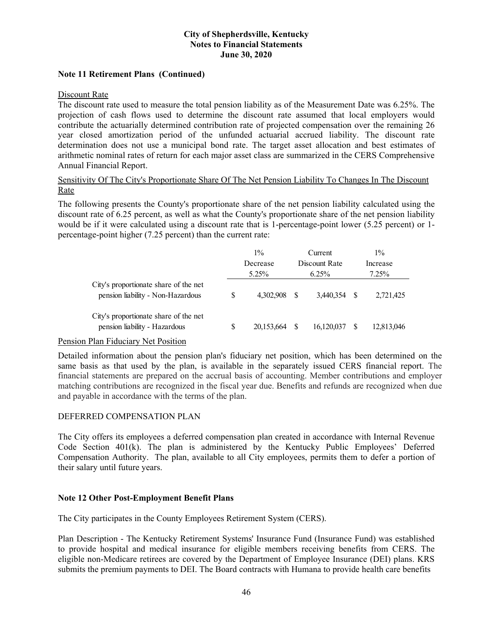#### **Note 11 Retirement Plans (Continued)**

#### Discount Rate

The discount rate used to measure the total pension liability as of the Measurement Date was 6.25%. The projection of cash flows used to determine the discount rate assumed that local employers would contribute the actuarially determined contribution rate of projected compensation over the remaining 26 year closed amortization period of the unfunded actuarial accrued liability. The discount rate determination does not use a municipal bond rate. The target asset allocation and best estimates of arithmetic nominal rates of return for each major asset class are summarized in the CERS Comprehensive Annual Financial Report.

### Sensitivity Of The City's Proportionate Share Of The Net Pension Liability To Changes In The Discount Rate

The following presents the County's proportionate share of the net pension liability calculated using the discount rate of 6.25 percent, as well as what the County's proportionate share of the net pension liability would be if it were calculated using a discount rate that is 1-percentage-point lower (5.25 percent) or 1 percentage-point higher (7.25 percent) than the current rate:

|                                                                            | $1\%$<br>Decrease<br>5.25% |            | Current<br>Discount Rate<br>$6.25\%$ |            |     | $1\%$<br>Increase<br>$7.25\%$ |
|----------------------------------------------------------------------------|----------------------------|------------|--------------------------------------|------------|-----|-------------------------------|
| City's proportionate share of the net<br>pension liability - Non-Hazardous | S                          | 4.302.908  |                                      | 3.440.354  | - S | 2,721,425                     |
| City's proportionate share of the net<br>pension liability - Hazardous     | S                          | 20.153.664 | - S                                  | 16,120,037 | -S  | 12,813,046                    |

### Pension Plan Fiduciary Net Position

Detailed information about the pension plan's fiduciary net position, which has been determined on the same basis as that used by the plan, is available in the separately issued CERS financial report. The financial statements are prepared on the accrual basis of accounting. Member contributions and employer matching contributions are recognized in the fiscal year due. Benefits and refunds are recognized when due and payable in accordance with the terms of the plan.

### DEFERRED COMPENSATION PLAN

The City offers its employees a deferred compensation plan created in accordance with Internal Revenue Code Section 401(k). The plan is administered by the Kentucky Public Employees' Deferred Compensation Authority. The plan, available to all City employees, permits them to defer a portion of their salary until future years.

### **Note 12 Other Post-Employment Benefit Plans**

The City participates in the County Employees Retirement System (CERS).

Plan Description - The Kentucky Retirement Systems' Insurance Fund (Insurance Fund) was established to provide hospital and medical insurance for eligible members receiving benefits from CERS. The eligible non-Medicare retirees are covered by the Department of Employee Insurance (DEI) plans. KRS submits the premium payments to DEI. The Board contracts with Humana to provide health care benefits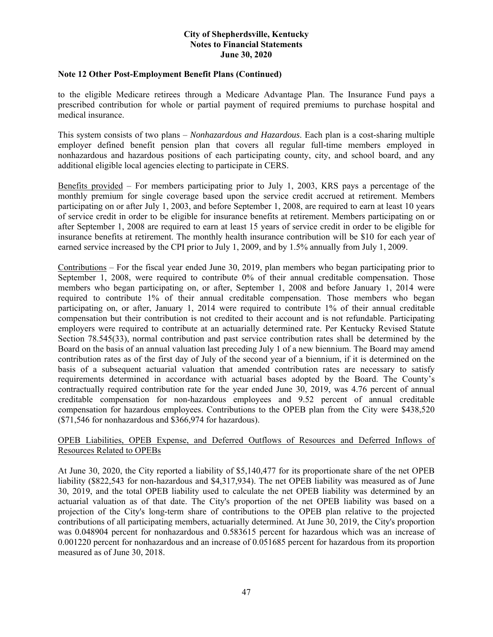#### **Note 12 Other Post-Employment Benefit Plans (Continued)**

to the eligible Medicare retirees through a Medicare Advantage Plan. The Insurance Fund pays a prescribed contribution for whole or partial payment of required premiums to purchase hospital and medical insurance.

This system consists of two plans – *Nonhazardous and Hazardous*. Each plan is a cost-sharing multiple employer defined benefit pension plan that covers all regular full-time members employed in nonhazardous and hazardous positions of each participating county, city, and school board, and any additional eligible local agencies electing to participate in CERS.

Benefits provided – For members participating prior to July 1, 2003, KRS pays a percentage of the monthly premium for single coverage based upon the service credit accrued at retirement. Members participating on or after July 1, 2003, and before September 1, 2008, are required to earn at least 10 years of service credit in order to be eligible for insurance benefits at retirement. Members participating on or after September 1, 2008 are required to earn at least 15 years of service credit in order to be eligible for insurance benefits at retirement. The monthly health insurance contribution will be \$10 for each year of earned service increased by the CPI prior to July 1, 2009, and by 1.5% annually from July 1, 2009.

Contributions – For the fiscal year ended June 30, 2019, plan members who began participating prior to September 1, 2008, were required to contribute 0% of their annual creditable compensation. Those members who began participating on, or after, September 1, 2008 and before January 1, 2014 were required to contribute 1% of their annual creditable compensation. Those members who began participating on, or after, January 1, 2014 were required to contribute 1% of their annual creditable compensation but their contribution is not credited to their account and is not refundable. Participating employers were required to contribute at an actuarially determined rate. Per Kentucky Revised Statute Section 78.545(33), normal contribution and past service contribution rates shall be determined by the Board on the basis of an annual valuation last preceding July 1 of a new biennium. The Board may amend contribution rates as of the first day of July of the second year of a biennium, if it is determined on the basis of a subsequent actuarial valuation that amended contribution rates are necessary to satisfy requirements determined in accordance with actuarial bases adopted by the Board. The County's contractually required contribution rate for the year ended June 30, 2019, was 4.76 percent of annual creditable compensation for non-hazardous employees and 9.52 percent of annual creditable compensation for hazardous employees. Contributions to the OPEB plan from the City were \$438,520 (\$71,546 for nonhazardous and \$366,974 for hazardous).

### OPEB Liabilities, OPEB Expense, and Deferred Outflows of Resources and Deferred Inflows of Resources Related to OPEBs

At June 30, 2020, the City reported a liability of \$5,140,477 for its proportionate share of the net OPEB liability (\$822,543 for non-hazardous and \$4,317,934). The net OPEB liability was measured as of June 30, 2019, and the total OPEB liability used to calculate the net OPEB liability was determined by an actuarial valuation as of that date. The City's proportion of the net OPEB liability was based on a projection of the City's long-term share of contributions to the OPEB plan relative to the projected contributions of all participating members, actuarially determined. At June 30, 2019, the City's proportion was 0.048904 percent for nonhazardous and 0.583615 percent for hazardous which was an increase of 0.001220 percent for nonhazardous and an increase of 0.051685 percent for hazardous from its proportion measured as of June 30, 2018.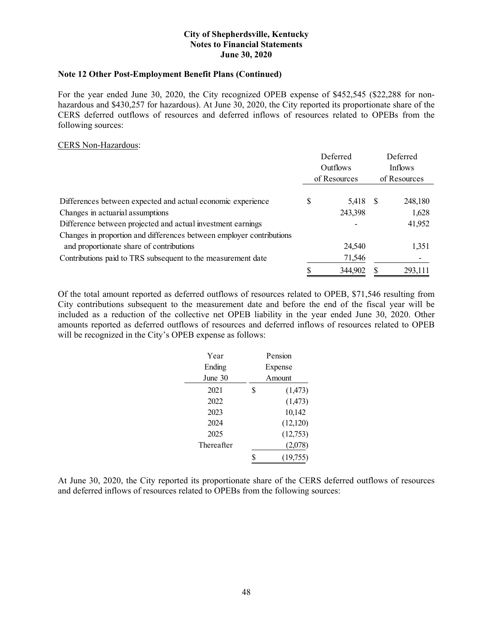#### **Note 12 Other Post-Employment Benefit Plans (Continued)**

For the year ended June 30, 2020, the City recognized OPEB expense of \$452,545 (\$22,288 for nonhazardous and \$430,257 for hazardous). At June 30, 2020, the City reported its proportionate share of the CERS deferred outflows of resources and deferred inflows of resources related to OPEBs from the following sources:

#### CERS Non-Hazardous:

|                                                                      | Deferred<br>Outflows<br>of Resources |          | Deferred |              |
|----------------------------------------------------------------------|--------------------------------------|----------|----------|--------------|
|                                                                      |                                      |          | Inflows  |              |
|                                                                      |                                      |          |          | of Resources |
|                                                                      |                                      |          |          |              |
| Differences between expected and actual economic experience          | \$                                   | 5,418 \$ |          | 248,180      |
| Changes in actuarial assumptions                                     |                                      | 243,398  |          | 1,628        |
| Difference between projected and actual investment earnings          |                                      |          |          | 41,952       |
| Changes in proportion and differences between employer contributions |                                      |          |          |              |
| and proportionate share of contributions                             |                                      | 24,540   |          | 1,351        |
| Contributions paid to TRS subsequent to the measurement date         |                                      | 71,546   |          |              |
|                                                                      |                                      | 344,902  |          | 293,111      |

Of the total amount reported as deferred outflows of resources related to OPEB, \$71,546 resulting from City contributions subsequent to the measurement date and before the end of the fiscal year will be included as a reduction of the collective net OPEB liability in the year ended June 30, 2020. Other amounts reported as deferred outflows of resources and deferred inflows of resources related to OPEB will be recognized in the City's OPEB expense as follows:

| Year       | Pension       |
|------------|---------------|
| Ending     | Expense       |
| June 30    | Amount        |
| 2021       | \$<br>(1,473) |
| 2022       | (1, 473)      |
| 2023       | 10,142        |
| 2024       | (12,120)      |
| 2025       | (12,753)      |
| Thereafter | (2,078)       |
|            | (19,755)      |

At June 30, 2020, the City reported its proportionate share of the CERS deferred outflows of resources and deferred inflows of resources related to OPEBs from the following sources: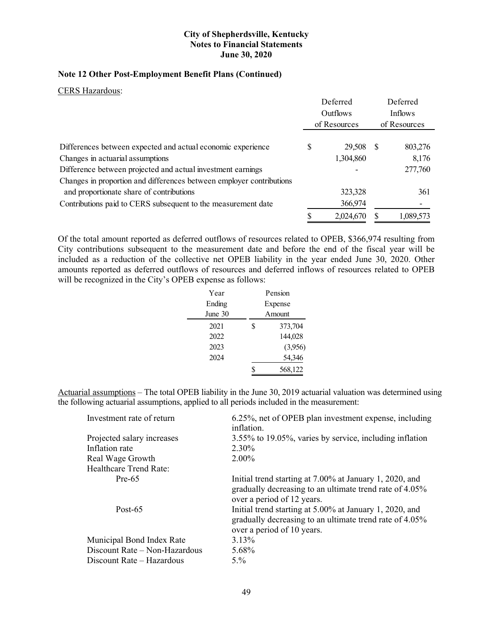### **Note 12 Other Post-Employment Benefit Plans (Continued)**

#### CERS Hazardous:

|                                                                      |          | Deferred     |  | Deferred       |
|----------------------------------------------------------------------|----------|--------------|--|----------------|
|                                                                      | Outflows |              |  | <b>Inflows</b> |
|                                                                      |          | of Resources |  | of Resources   |
|                                                                      |          |              |  |                |
| Differences between expected and actual economic experience          | \$       | 29,508       |  | 803,276        |
| Changes in actuarial assumptions                                     |          | 1,304,860    |  | 8,176          |
| Difference between projected and actual investment earnings          |          |              |  | 277,760        |
| Changes in proportion and differences between employer contributions |          |              |  |                |
| and proportionate share of contributions                             |          | 323,328      |  | 361            |
| Contributions paid to CERS subsequent to the measurement date        |          | 366,974      |  |                |
|                                                                      |          | 2,024,670    |  | 1,089,573      |

Of the total amount reported as deferred outflows of resources related to OPEB, \$366,974 resulting from City contributions subsequent to the measurement date and before the end of the fiscal year will be included as a reduction of the collective net OPEB liability in the year ended June 30, 2020. Other amounts reported as deferred outflows of resources and deferred inflows of resources related to OPEB will be recognized in the City's OPEB expense as follows:

| Pension |         |  |  |  |  |  |
|---------|---------|--|--|--|--|--|
| Expense |         |  |  |  |  |  |
|         | Amount  |  |  |  |  |  |
| \$      | 373,704 |  |  |  |  |  |
|         | 144,028 |  |  |  |  |  |
|         | (3,956) |  |  |  |  |  |
|         | 54,346  |  |  |  |  |  |
| \$      | 568,122 |  |  |  |  |  |
|         |         |  |  |  |  |  |

Actuarial assumptions – The total OPEB liability in the June 30, 2019 actuarial valuation was determined using the following actuarial assumptions, applied to all periods included in the measurement:

| Investment rate of return     | 6.25%, net of OPEB plan investment expense, including<br>inflation.                                                                              |
|-------------------------------|--------------------------------------------------------------------------------------------------------------------------------------------------|
| Projected salary increases    | 3.55% to 19.05%, varies by service, including inflation                                                                                          |
| Inflation rate                | $2.30\%$                                                                                                                                         |
| Real Wage Growth              | $2.00\%$                                                                                                                                         |
| <b>Healthcare Trend Rate:</b> |                                                                                                                                                  |
| $Pre-65$                      | Initial trend starting at 7.00% at January 1, 2020, and<br>gradually decreasing to an ultimate trend rate of 4.05%<br>over a period of 12 years. |
| Post- $65$                    | Initial trend starting at 5.00% at January 1, 2020, and<br>gradually decreasing to an ultimate trend rate of 4.05%<br>over a period of 10 years. |
| Municipal Bond Index Rate     | 3.13%                                                                                                                                            |
| Discount Rate – Non-Hazardous | 5.68%                                                                                                                                            |
| Discount Rate – Hazardous     | 5.%                                                                                                                                              |
|                               |                                                                                                                                                  |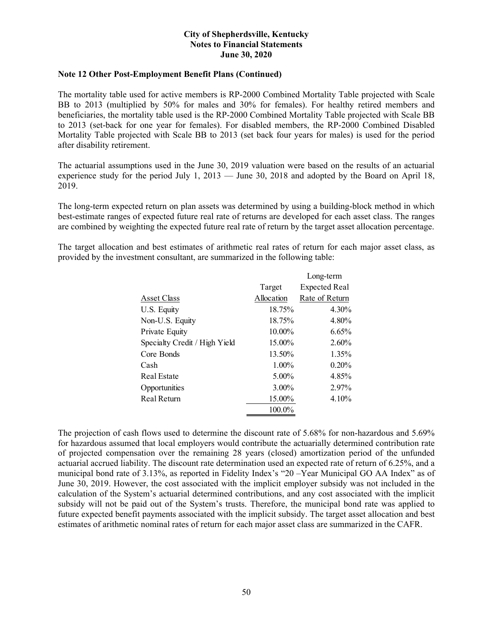#### **Note 12 Other Post-Employment Benefit Plans (Continued)**

The mortality table used for active members is RP‐2000 Combined Mortality Table projected with Scale BB to 2013 (multiplied by 50% for males and 30% for females). For healthy retired members and beneficiaries, the mortality table used is the RP‐2000 Combined Mortality Table projected with Scale BB to 2013 (set‐back for one year for females). For disabled members, the RP‐2000 Combined Disabled Mortality Table projected with Scale BB to 2013 (set back four years for males) is used for the period after disability retirement.

The actuarial assumptions used in the June 30, 2019 valuation were based on the results of an actuarial experience study for the period July 1, 2013 — June 30, 2018 and adopted by the Board on April 18, 2019.

The long-term expected return on plan assets was determined by using a building-block method in which best-estimate ranges of expected future real rate of returns are developed for each asset class. The ranges are combined by weighting the expected future real rate of return by the target asset allocation percentage.

The target allocation and best estimates of arithmetic real rates of return for each major asset class, as provided by the investment consultant, are summarized in the following table:

|                               |            | Long-term            |
|-------------------------------|------------|----------------------|
|                               | Target     | <b>Expected Real</b> |
| Asset Class                   | Allocation | Rate of Return       |
| U.S. Equity                   | 18.75%     | 4.30%                |
| Non-U.S. Equity               | 18.75%     | 4.80%                |
| Private Equity                | 10.00%     | 6.65%                |
| Specialty Credit / High Yield | 15.00%     | $2.60\%$             |
| Core Bonds                    | 13.50%     | 1.35%                |
| Cash                          | $1.00\%$   | 0.20%                |
| <b>Real Estate</b>            | 5.00%      | 4.85%                |
| Opportunities                 | $3.00\%$   | 2.97%                |
| Real Return                   | 15.00%     | $4.10\%$             |
|                               | 100.0%     |                      |

The projection of cash flows used to determine the discount rate of 5.68% for non-hazardous and 5.69% for hazardous assumed that local employers would contribute the actuarially determined contribution rate of projected compensation over the remaining 28 years (closed) amortization period of the unfunded actuarial accrued liability. The discount rate determination used an expected rate of return of 6.25%, and a municipal bond rate of 3.13%, as reported in Fidelity Index's "20 –Year Municipal GO AA Index" as of June 30, 2019. However, the cost associated with the implicit employer subsidy was not included in the calculation of the System's actuarial determined contributions, and any cost associated with the implicit subsidy will not be paid out of the System's trusts. Therefore, the municipal bond rate was applied to future expected benefit payments associated with the implicit subsidy. The target asset allocation and best estimates of arithmetic nominal rates of return for each major asset class are summarized in the CAFR.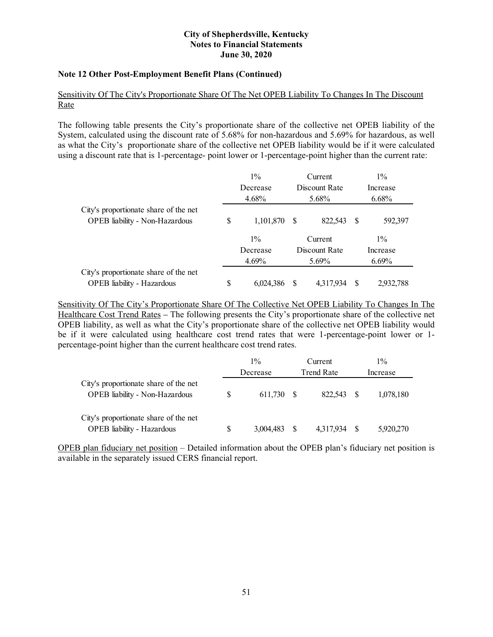#### **Note 12 Other Post-Employment Benefit Plans (Continued)**

### Sensitivity Of The City's Proportionate Share Of The Net OPEB Liability To Changes In The Discount Rate

The following table presents the City's proportionate share of the collective net OPEB liability of the System, calculated using the discount rate of 5.68% for non-hazardous and 5.69% for hazardous, as well as what the City's proportionate share of the collective net OPEB liability would be if it were calculated using a discount rate that is 1-percentage- point lower or 1-percentage-point higher than the current rate:

|                                       |    | $1\%$     |    | Current       |    | $1\%$     |
|---------------------------------------|----|-----------|----|---------------|----|-----------|
|                                       |    | Decrease  |    | Discount Rate |    | Increase  |
|                                       |    | 4.68%     |    | 5.68%         |    | $6.68\%$  |
| City's proportionate share of the net |    |           |    |               |    |           |
| OPEB liability - Non-Hazardous        | \$ | 1,101,870 |    | 822,543<br>-S |    | 592,397   |
|                                       |    | $1\%$     |    | Current       |    | $1\%$     |
|                                       |    | Decrease  |    | Discount Rate |    | Increase  |
|                                       |    | 4.69%     |    | 5.69%         |    | $6.69\%$  |
| City's proportionate share of the net |    |           |    |               |    |           |
| <b>OPEB</b> liability - Hazardous     | S  | 6,024,386 | -S | 4,317,934     | -S | 2,932,788 |

Sensitivity Of The City's Proportionate Share Of The Collective Net OPEB Liability To Changes In The Healthcare Cost Trend Rates *–* The following presents the City's proportionate share of the collective net OPEB liability, as well as what the City's proportionate share of the collective net OPEB liability would be if it were calculated using healthcare cost trend rates that were 1-percentage-point lower or 1 percentage-point higher than the current healthcare cost trend rates.

|                                                                            | $1\%$ |              | Current           | $1\%$     |
|----------------------------------------------------------------------------|-------|--------------|-------------------|-----------|
|                                                                            |       | Decrease     | <b>Trend Rate</b> | Increase  |
| City's proportionate share of the net<br>OPEB liability - Non-Hazardous    | S     | 611.730 \$   | 822.543 \$        | 1,078,180 |
| City's proportionate share of the net<br><b>OPEB</b> liability - Hazardous | S     | 3,004,483 \$ | 4,317,934 \$      | 5,920,270 |

OPEB plan fiduciary net position – Detailed information about the OPEB plan's fiduciary net position is available in the separately issued CERS financial report.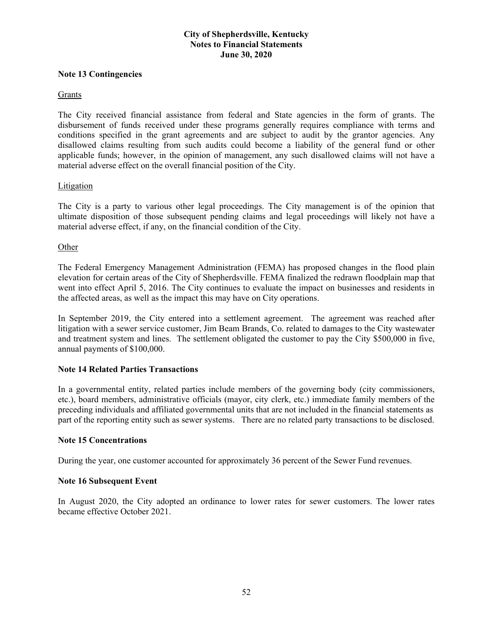### **Note 13 Contingencies**

### Grants

The City received financial assistance from federal and State agencies in the form of grants. The disbursement of funds received under these programs generally requires compliance with terms and conditions specified in the grant agreements and are subject to audit by the grantor agencies. Any disallowed claims resulting from such audits could become a liability of the general fund or other applicable funds; however, in the opinion of management, any such disallowed claims will not have a material adverse effect on the overall financial position of the City.

### Litigation

The City is a party to various other legal proceedings. The City management is of the opinion that ultimate disposition of those subsequent pending claims and legal proceedings will likely not have a material adverse effect, if any, on the financial condition of the City.

### **Other**

The Federal Emergency Management Administration (FEMA) has proposed changes in the flood plain elevation for certain areas of the City of Shepherdsville. FEMA finalized the redrawn floodplain map that went into effect April 5, 2016. The City continues to evaluate the impact on businesses and residents in the affected areas, as well as the impact this may have on City operations.

In September 2019, the City entered into a settlement agreement. The agreement was reached after litigation with a sewer service customer, Jim Beam Brands, Co. related to damages to the City wastewater and treatment system and lines. The settlement obligated the customer to pay the City \$500,000 in five, annual payments of \$100,000.

### **Note 14 Related Parties Transactions**

In a governmental entity, related parties include members of the governing body (city commissioners, etc.), board members, administrative officials (mayor, city clerk, etc.) immediate family members of the preceding individuals and affiliated governmental units that are not included in the financial statements as part of the reporting entity such as sewer systems. There are no related party transactions to be disclosed.

### **Note 15 Concentrations**

During the year, one customer accounted for approximately 36 percent of the Sewer Fund revenues.

### **Note 16 Subsequent Event**

In August 2020, the City adopted an ordinance to lower rates for sewer customers. The lower rates became effective October 2021.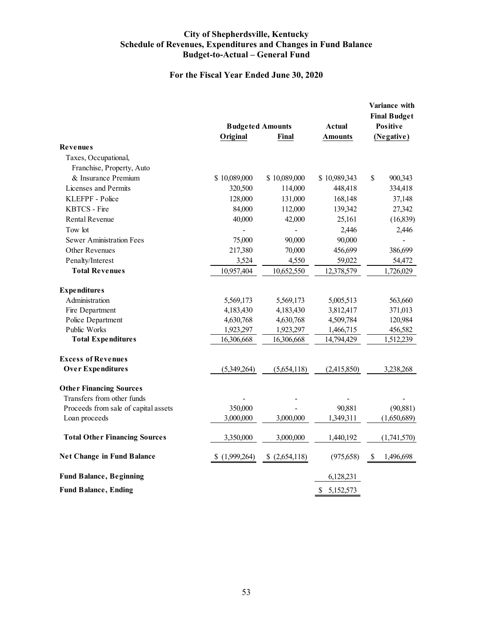### **City of Shepherdsville, Kentucky Schedule of Revenues, Expenditures and Changes in Fund Balance Budget-to-Actual – General Fund**

# **For the Fiscal Year Ended June 30, 2020**

|                                      | <b>Budgeted Amounts</b>  |              | <b>Actual</b>   | Variance with<br><b>Final Budget</b><br><b>Positive</b> |  |  |
|--------------------------------------|--------------------------|--------------|-----------------|---------------------------------------------------------|--|--|
|                                      | Original                 | Final        | Amounts         | (Negative)                                              |  |  |
| <b>Revenues</b>                      |                          |              |                 |                                                         |  |  |
| Taxes, Occupational,                 |                          |              |                 |                                                         |  |  |
| Franchise, Property, Auto            |                          |              |                 |                                                         |  |  |
| & Insurance Premium                  | \$10,089,000             | \$10,089,000 | \$10,989,343    | \$<br>900,343                                           |  |  |
| Licenses and Permits                 | 320,500                  | 114,000      | 448,418         | 334,418                                                 |  |  |
| KLEFPF - Police                      | 128,000                  | 131,000      | 168,148         | 37,148                                                  |  |  |
| KBTCS - Fire                         | 84,000                   | 112,000      | 139,342         | 27,342                                                  |  |  |
| Rental Revenue                       | 40,000                   | 42,000       | 25,161          | (16, 839)                                               |  |  |
| Tow lot                              | $\overline{\phantom{a}}$ |              | 2,446           | 2,446                                                   |  |  |
| <b>Sewer Aministration Fees</b>      | 75,000                   | 90,000       | 90,000          |                                                         |  |  |
| Other Revenues                       | 217,380                  | 70,000       | 456,699         | 386,699                                                 |  |  |
| Penalty/Interest                     | 3,524                    | 4,550        | 59,022          | 54,472                                                  |  |  |
| <b>Total Revenues</b>                | 10,957,404               | 10,652,550   | 12,378,579      | 1,726,029                                               |  |  |
| <b>Expenditures</b>                  |                          |              |                 |                                                         |  |  |
| Administration                       | 5,569,173                | 5,569,173    | 5,005,513       | 563,660                                                 |  |  |
| Fire Department                      | 4,183,430                | 4,183,430    | 3,812,417       | 371,013                                                 |  |  |
| Police Department                    | 4,630,768                | 4,630,768    | 4,509,784       | 120,984                                                 |  |  |
| Public Works                         | 1,923,297                | 1,923,297    | 1,466,715       | 456,582                                                 |  |  |
| <b>Total Expenditures</b>            | 16,306,668               | 16,306,668   | 14,794,429      | 1,512,239                                               |  |  |
| <b>Excess of Revenues</b>            |                          |              |                 |                                                         |  |  |
| <b>Over Expenditures</b>             | (5,349,264)              | (5,654,118)  | (2,415,850)     | 3,238,268                                               |  |  |
| <b>Other Financing Sources</b>       |                          |              |                 |                                                         |  |  |
| Transfers from other funds           |                          |              |                 |                                                         |  |  |
| Proceeds from sale of capital assets | 350,000                  |              | 90,881          | (90, 881)                                               |  |  |
| Loan proceeds                        | 3,000,000                | 3,000,000    | 1,349,311       | (1,650,689)                                             |  |  |
| <b>Total Other Financing Sources</b> | 3,350,000                | 3,000,000    | 1,440,192       | (1,741,570)                                             |  |  |
| <b>Net Change in Fund Balance</b>    | (1,999,264)              | (2,654,118)  | (975, 658)      | 1,496,698<br>\$                                         |  |  |
| <b>Fund Balance, Beginning</b>       |                          |              | 6,128,231       |                                                         |  |  |
| <b>Fund Balance, Ending</b>          |                          |              | 5,152,573<br>\$ |                                                         |  |  |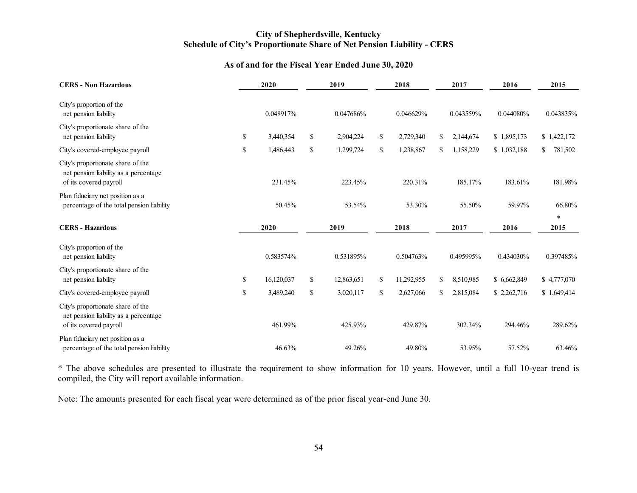### **City of Shepherdsville, Kentucky Schedule of City's Proportionate Share of Net Pension Liability - CERS**

### **As of and for the Fiscal Year Ended June 30, 2020**

| <b>CERS - Non Hazardous</b>                                                                          | 2020             | 2019             | 2018             | 2017            | 2016         | 2015             |
|------------------------------------------------------------------------------------------------------|------------------|------------------|------------------|-----------------|--------------|------------------|
| City's proportion of the<br>net pension liability                                                    | 0.048917%        | 0.047686%        | 0.046629%        | 0.043559%       | 0.044080%    | 0.043835%        |
| City's proportionate share of the<br>net pension liability                                           | \$<br>3,440,354  | \$<br>2,904,224  | \$<br>2,729,340  | \$<br>2,144,674 | \$1,895,173  | \$1,422,172      |
| City's covered-employee payroll                                                                      | \$<br>1,486,443  | \$<br>1,299,724  | \$<br>1,238,867  | \$<br>1,158,229 | \$1,032,188  | 781,502<br>S     |
| City's proportionate share of the<br>net pension liability as a percentage<br>of its covered payroll | 231.45%          | 223.45%          | 220.31%          | 185.17%         | 183.61%      | 181.98%          |
| Plan fiduciary net position as a<br>percentage of the total pension liability                        | 50.45%           | 53.54%           | 53.30%           | 55.50%          | 59.97%       | 66.80%<br>$\ast$ |
| <b>CERS - Hazardous</b>                                                                              | 2020             | 2019             | 2018             | 2017            | 2016         | 2015             |
| City's proportion of the<br>net pension liability                                                    | 0.583574%        | 0.531895%        | 0.504763%        | 0.495995%       | 0.434030%    | 0.397485%        |
| City's proportionate share of the<br>net pension liability                                           | \$<br>16,120,037 | \$<br>12,863,651 | \$<br>11,292,955 | \$<br>8,510,985 | \$ 6,662,849 | \$4,777,070      |
| City's covered-employee payroll                                                                      | \$<br>3,489,240  | \$<br>3,020,117  | \$<br>2,627,066  | \$<br>2,815,084 | \$2,262,716  | \$1,649,414      |
| City's proportionate share of the<br>net pension liability as a percentage<br>of its covered payroll | 461.99%          | 425.93%          | 429.87%          | 302.34%         | 294.46%      | 289.62%          |
| Plan fiduciary net position as a<br>percentage of the total pension liability                        | 46.63%           | 49.26%           | 49.80%           | 53.95%          | 57.52%       | 63.46%           |

\* The above schedules are presented to illustrate the requirement to show information for 10 years. However, until a full 10-year trend is compiled, the City will report available information.

Note: The amounts presented for each fiscal year were determined as of the prior fiscal year-end June 30.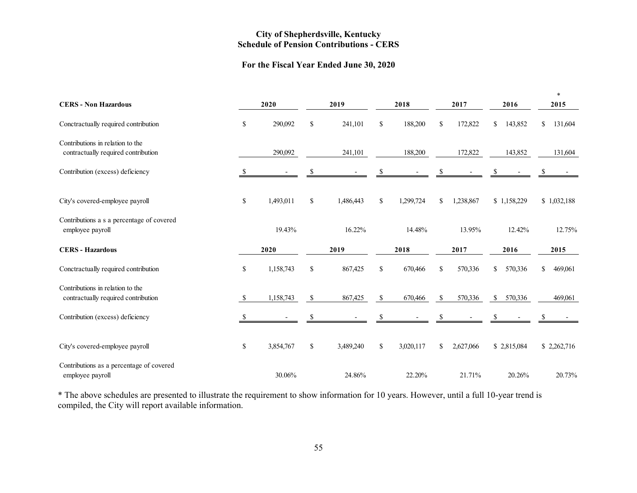### **City of Shepherdsville, Kentucky Schedule of Pension Contributions - CERS**

### **For the Fiscal Year Ended June 30, 2020**

|                                                                         |    |                          |    |                          |               |           |                 |    |                          |     | ∗           |
|-------------------------------------------------------------------------|----|--------------------------|----|--------------------------|---------------|-----------|-----------------|----|--------------------------|-----|-------------|
| <b>CERS - Non Hazardous</b>                                             |    | 2020                     |    | 2019                     |               | 2018      | 2017            |    | 2016                     |     | 2015        |
| Conctractually required contribution                                    | \$ | 290,092                  | \$ | 241,101                  | \$            | 188,200   | \$<br>172,822   | S. | 143,852                  | \$  | 131,604     |
| Contributions in relation to the<br>contractually required contribution |    | 290,092                  |    | 241,101                  |               | 188,200   | 172,822         |    | 143,852                  |     | 131,604     |
| Contribution (excess) deficiency                                        |    | $\overline{\phantom{a}}$ | \$ | $\overline{\phantom{a}}$ | S             |           | \$              | S  | $\overline{\phantom{a}}$ | S   |             |
| City's covered-employee payroll                                         | \$ | 1,493,011                | \$ | 1,486,443                | \$            | 1,299,724 | \$<br>1,238,867 |    | \$1,158,229              |     | \$1,032,188 |
| Contributions a s a percentage of covered<br>employee payroll           |    | 19.43%                   |    | 16.22%                   |               | 14.48%    | 13.95%          |    | 12.42%                   |     | 12.75%      |
| <b>CERS - Hazardous</b>                                                 |    | 2020                     |    | 2019                     |               | 2018      | 2017            |    | 2016                     |     | 2015        |
| Conctractually required contribution                                    | \$ | 1,158,743                | \$ | 867,425                  | \$            | 670,466   | \$<br>570,336   | \$ | 570,336                  | \$  | 469,061     |
| Contributions in relation to the<br>contractually required contribution | -S | 1,158,743                | \$ | 867,425                  | \$            | 670,466   | \$<br>570,336   | \$ | 570,336                  |     | 469,061     |
| Contribution (excess) deficiency                                        | -S | $\overline{\phantom{a}}$ | S  |                          | <sup>\$</sup> |           |                 |    |                          | \$. |             |
| City's covered-employee payroll                                         | \$ | 3,854,767                | \$ | 3,489,240                | \$            | 3,020,117 | \$<br>2,627,066 |    | \$2,815,084              |     | \$2,262,716 |
| Contributions as a percentage of covered<br>employee payroll            |    | 30.06%                   |    | 24.86%                   |               | 22.20%    | 21.71%          |    | 20.26%                   |     | 20.73%      |

\* The above schedules are presented to illustrate the requirement to show information for 10 years. However, until a full 10-year trend is compiled, the City will report available information.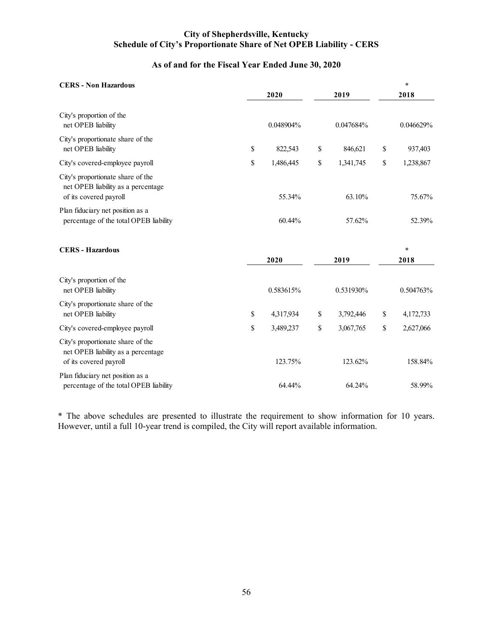## **City of Shepherdsville, Kentucky Schedule of City's Proportionate Share of Net OPEB Liability - CERS**

# **As of and for the Fiscal Year Ended June 30, 2020**

| <b>CERS - Non Hazardous</b>                                                                       |                 |                 | $\ast$          |
|---------------------------------------------------------------------------------------------------|-----------------|-----------------|-----------------|
|                                                                                                   | 2020            | 2019            | 2018            |
| City's proportion of the<br>net OPEB liability                                                    | 0.048904%       | 0.047684%       | 0.046629%       |
| City's proportionate share of the<br>net OPEB liability                                           | \$<br>822,543   | \$<br>846,621   | \$<br>937,403   |
| City's covered-employee payroll                                                                   | \$<br>1,486,445 | \$<br>1,341,745 | \$<br>1,238,867 |
| City's proportionate share of the<br>net OPEB liability as a percentage<br>of its covered payroll | 55.34%          | 63.10%          | 75.67%          |
| Plan fiduciary net position as a<br>percentage of the total OPEB liability                        | 60.44%          | 57.62%          | 52.39%          |
| <b>CERS - Hazardous</b>                                                                           | 2020            | 2019            | $\ast$<br>2018  |
| City's proportion of the                                                                          |                 |                 |                 |
| net OPEB liability                                                                                | 0.583615%       | 0.531930%       | 0.504763%       |
| City's proportionate share of the<br>net OPEB liability                                           | \$<br>4,317,934 | \$<br>3,792,446 | \$<br>4,172,733 |
| City's covered-employee payroll                                                                   | \$<br>3,489,237 | \$<br>3,067,765 | \$<br>2,627,066 |
| City's proportionate share of the<br>net OPEB liability as a percentage<br>of its covered payroll | 123.75%         | 123.62%         | 158.84%         |
| Plan fiduciary net position as a<br>percentage of the total OPEB liability                        | 64.44%          | 64.24%          | 58.99%          |

\* The above schedules are presented to illustrate the requirement to show information for 10 years. However, until a full 10-year trend is compiled, the City will report available information.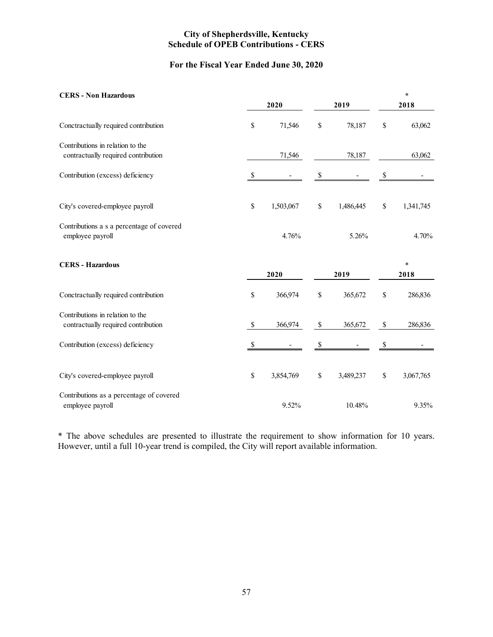### **City of Shepherdsville, Kentucky Schedule of OPEB Contributions - CERS**

### **For the Fiscal Year Ended June 30, 2020**

#### **CERS - Non Hazardous** \*

|                                                                         |               | 2020      |              | 2019      | 2018          |                |  |
|-------------------------------------------------------------------------|---------------|-----------|--------------|-----------|---------------|----------------|--|
| Conctractually required contribution                                    | \$            | 71,546    | $\$$         | 78,187    | $\mathbb S$   | 63,062         |  |
| Contributions in relation to the<br>contractually required contribution |               | 71,546    |              | 78,187    |               | 63,062         |  |
| Contribution (excess) deficiency                                        | \$            |           | $\mathbb{S}$ |           | \$            |                |  |
| City's covered-employee payroll                                         | $\mathbb S$   | 1,503,067 | \$           | 1,486,445 | \$            | 1,341,745      |  |
| Contributions a s a percentage of covered<br>employee payroll           |               | 4.76%     |              | 5.26%     |               | 4.70%          |  |
| <b>CERS - Hazardous</b>                                                 |               | 2020      |              | 2019      |               | $\ast$<br>2018 |  |
| Conctractually required contribution                                    | \$            | 366,974   | \$           | 365,672   | \$            | 286,836        |  |
| Contributions in relation to the<br>contractually required contribution | <sup>\$</sup> | 366,974   | $\$$         | 365,672   | <sup>\$</sup> | 286,836        |  |
| Contribution (excess) deficiency                                        | S             |           | \$           |           | S             |                |  |
| City's covered-employee payroll                                         | \$            | 3,854,769 | \$           | 3,489,237 | \$            | 3,067,765      |  |
| Contributions as a percentage of covered<br>employee payroll            |               | 9.52%     |              | 10.48%    |               | 9.35%          |  |

\* The above schedules are presented to illustrate the requirement to show information for 10 years. However, until a full 10-year trend is compiled, the City will report available information.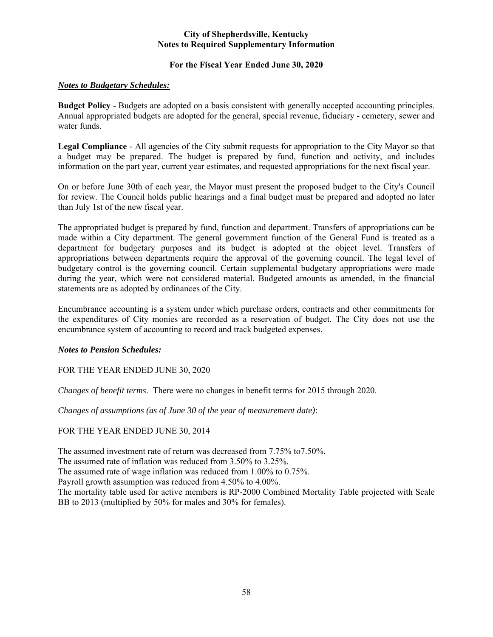### **City of Shepherdsville, Kentucky Notes to Required Supplementary Information**

### **For the Fiscal Year Ended June 30, 2020**

### *Notes to Budgetary Schedules:*

**Budget Policy** - Budgets are adopted on a basis consistent with generally accepted accounting principles. Annual appropriated budgets are adopted for the general, special revenue, fiduciary - cemetery, sewer and water funds.

**Legal Compliance** - All agencies of the City submit requests for appropriation to the City Mayor so that a budget may be prepared. The budget is prepared by fund, function and activity, and includes information on the part year, current year estimates, and requested appropriations for the next fiscal year.

On or before June 30th of each year, the Mayor must present the proposed budget to the City's Council for review. The Council holds public hearings and a final budget must be prepared and adopted no later than July 1st of the new fiscal year.

The appropriated budget is prepared by fund, function and department. Transfers of appropriations can be made within a City department. The general government function of the General Fund is treated as a department for budgetary purposes and its budget is adopted at the object level. Transfers of appropriations between departments require the approval of the governing council. The legal level of budgetary control is the governing council. Certain supplemental budgetary appropriations were made during the year, which were not considered material. Budgeted amounts as amended, in the financial statements are as adopted by ordinances of the City.

Encumbrance accounting is a system under which purchase orders, contracts and other commitments for the expenditures of City monies are recorded as a reservation of budget. The City does not use the encumbrance system of accounting to record and track budgeted expenses.

### *Notes to Pension Schedules:*

FOR THE YEAR ENDED JUNE 30, 2020

*Changes of benefit terms*. There were no changes in benefit terms for 2015 through 2020.

*Changes of assumptions (as of June 30 of the year of measurement date)*:

FOR THE YEAR ENDED JUNE 30, 2014

The assumed investment rate of return was decreased from 7.75% to7.50%.

The assumed rate of inflation was reduced from 3.50% to 3.25%.

The assumed rate of wage inflation was reduced from 1.00% to 0.75%.

Payroll growth assumption was reduced from 4.50% to 4.00%.

The mortality table used for active members is RP-2000 Combined Mortality Table projected with Scale BB to 2013 (multiplied by 50% for males and 30% for females).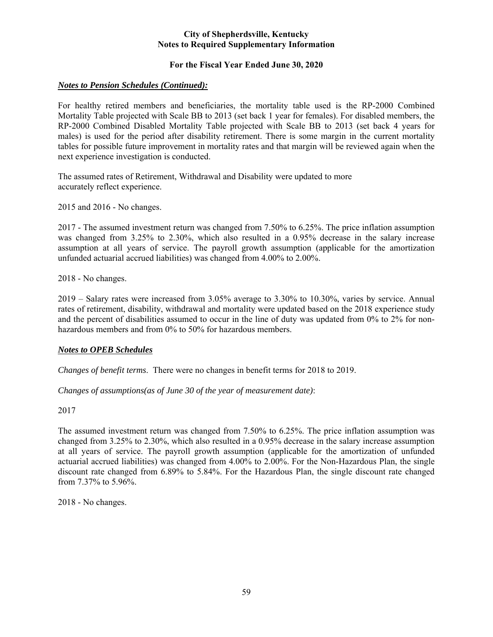### **City of Shepherdsville, Kentucky Notes to Required Supplementary Information**

### **For the Fiscal Year Ended June 30, 2020**

### *Notes to Pension Schedules (Continued):*

For healthy retired members and beneficiaries, the mortality table used is the RP-2000 Combined Mortality Table projected with Scale BB to 2013 (set back 1 year for females). For disabled members, the RP-2000 Combined Disabled Mortality Table projected with Scale BB to 2013 (set back 4 years for males) is used for the period after disability retirement. There is some margin in the current mortality tables for possible future improvement in mortality rates and that margin will be reviewed again when the next experience investigation is conducted.

The assumed rates of Retirement, Withdrawal and Disability were updated to more accurately reflect experience.

2015 and 2016 - No changes.

2017 - The assumed investment return was changed from 7.50% to 6.25%. The price inflation assumption was changed from 3.25% to 2.30%, which also resulted in a 0.95% decrease in the salary increase assumption at all years of service. The payroll growth assumption (applicable for the amortization unfunded actuarial accrued liabilities) was changed from 4.00% to 2.00%.

2018 - No changes.

2019 – Salary rates were increased from 3.05% average to 3.30% to 10.30%, varies by service. Annual rates of retirement, disability, withdrawal and mortality were updated based on the 2018 experience study and the percent of disabilities assumed to occur in the line of duty was updated from 0% to 2% for nonhazardous members and from 0% to 50% for hazardous members.

### *Notes to OPEB Schedules*

*Changes of benefit terms*. There were no changes in benefit terms for 2018 to 2019.

*Changes of assumptions(as of June 30 of the year of measurement date)*:

2017

The assumed investment return was changed from 7.50% to 6.25%. The price inflation assumption was changed from 3.25% to 2.30%, which also resulted in a 0.95% decrease in the salary increase assumption at all years of service. The payroll growth assumption (applicable for the amortization of unfunded actuarial accrued liabilities) was changed from 4.00% to 2.00%. For the Non-Hazardous Plan, the single discount rate changed from 6.89% to 5.84%. For the Hazardous Plan, the single discount rate changed from 7.37% to 5.96%.

2018 - No changes.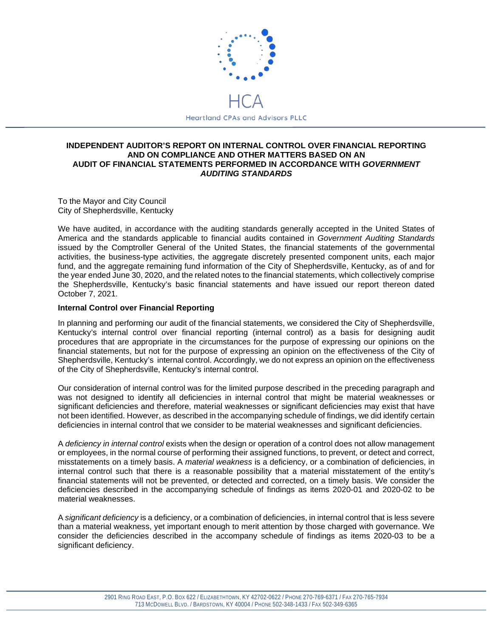

#### **INDEPENDENT AUDITOR'S REPORT ON INTERNAL CONTROL OVER FINANCIAL REPORTING AND ON COMPLIANCE AND OTHER MATTERS BASED ON AN AUDIT OF FINANCIAL STATEMENTS PERFORMED IN ACCORDANCE WITH** *GOVERNMENT AUDITING STANDARDS*

To the Mayor and City Council City of Shepherdsville, Kentucky

We have audited, in accordance with the auditing standards generally accepted in the United States of America and the standards applicable to financial audits contained in *Government Auditing Standards* issued by the Comptroller General of the United States, the financial statements of the governmental activities, the business-type activities, the aggregate discretely presented component units, each major fund, and the aggregate remaining fund information of the City of Shepherdsville, Kentucky, as of and for the year ended June 30, 2020, and the related notes to the financial statements, which collectively comprise the Shepherdsville, Kentucky's basic financial statements and have issued our report thereon dated October 7, 2021.

### **Internal Control over Financial Reporting**

In planning and performing our audit of the financial statements, we considered the City of Shepherdsville, Kentucky's internal control over financial reporting (internal control) as a basis for designing audit procedures that are appropriate in the circumstances for the purpose of expressing our opinions on the financial statements, but not for the purpose of expressing an opinion on the effectiveness of the City of Shepherdsville, Kentucky's internal control. Accordingly, we do not express an opinion on the effectiveness of the City of Shepherdsville, Kentucky's internal control.

Our consideration of internal control was for the limited purpose described in the preceding paragraph and was not designed to identify all deficiencies in internal control that might be material weaknesses or significant deficiencies and therefore, material weaknesses or significant deficiencies may exist that have not been identified. However, as described in the accompanying schedule of findings, we did identify certain deficiencies in internal control that we consider to be material weaknesses and significant deficiencies.

A *deficiency in internal control* exists when the design or operation of a control does not allow management or employees, in the normal course of performing their assigned functions, to prevent, or detect and correct, misstatements on a timely basis. A *material weakness* is a deficiency, or a combination of deficiencies, in internal control such that there is a reasonable possibility that a material misstatement of the entity's financial statements will not be prevented, or detected and corrected, on a timely basis. We consider the deficiencies described in the accompanying schedule of findings as items 2020-01 and 2020-02 to be material weaknesses.

A *significant deficiency* is a deficiency, or a combination of deficiencies, in internal control that is less severe than a material weakness, yet important enough to merit attention by those charged with governance. We consider the deficiencies described in the accompany schedule of findings as items 2020-03 to be a significant deficiency.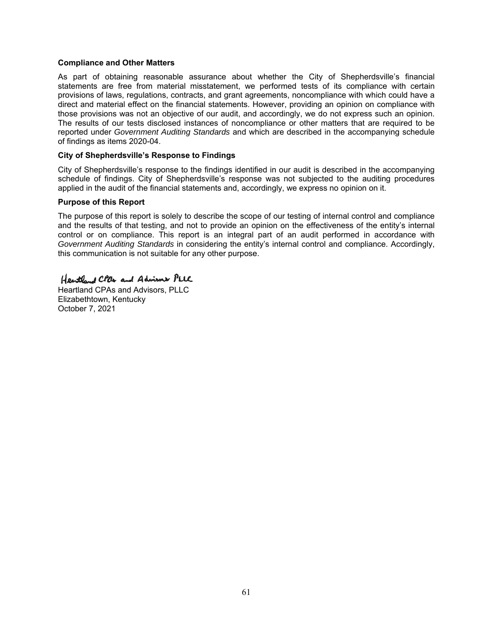#### **Compliance and Other Matters**

As part of obtaining reasonable assurance about whether the City of Shepherdsville's financial statements are free from material misstatement, we performed tests of its compliance with certain provisions of laws, regulations, contracts, and grant agreements, noncompliance with which could have a direct and material effect on the financial statements. However, providing an opinion on compliance with those provisions was not an objective of our audit, and accordingly, we do not express such an opinion. The results of our tests disclosed instances of noncompliance or other matters that are required to be reported under *Government Auditing Standards* and which are described in the accompanying schedule of findings as items 2020-04.

#### **City of Shepherdsville's Response to Findings**

City of Shepherdsville's response to the findings identified in our audit is described in the accompanying schedule of findings. City of Shepherdsville's response was not subjected to the auditing procedures applied in the audit of the financial statements and, accordingly, we express no opinion on it.

#### **Purpose of this Report**

The purpose of this report is solely to describe the scope of our testing of internal control and compliance and the results of that testing, and not to provide an opinion on the effectiveness of the entity's internal control or on compliance. This report is an integral part of an audit performed in accordance with *Government Auditing Standards* in considering the entity's internal control and compliance. Accordingly, this communication is not suitable for any other purpose.

# Heathand CPOG and Advisor PLLC

Heartland CPAs and Advisors, PLLC Elizabethtown, Kentucky October 7, 2021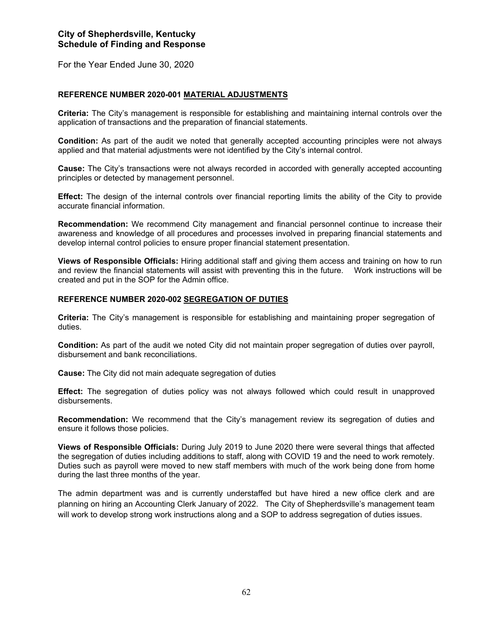For the Year Ended June 30, 2020

### **REFERENCE NUMBER 2020-001 MATERIAL ADJUSTMENTS**

**Criteria:** The City's management is responsible for establishing and maintaining internal controls over the application of transactions and the preparation of financial statements.

**Condition:** As part of the audit we noted that generally accepted accounting principles were not always applied and that material adjustments were not identified by the City's internal control.

**Cause:** The City's transactions were not always recorded in accorded with generally accepted accounting principles or detected by management personnel.

**Effect:** The design of the internal controls over financial reporting limits the ability of the City to provide accurate financial information.

**Recommendation:** We recommend City management and financial personnel continue to increase their awareness and knowledge of all procedures and processes involved in preparing financial statements and develop internal control policies to ensure proper financial statement presentation.

**Views of Responsible Officials:** Hiring additional staff and giving them access and training on how to run and review the financial statements will assist with preventing this in the future. Work instructions will be created and put in the SOP for the Admin office.

### **REFERENCE NUMBER 2020-002 SEGREGATION OF DUTIES**

**Criteria:** The City's management is responsible for establishing and maintaining proper segregation of duties.

**Condition:** As part of the audit we noted City did not maintain proper segregation of duties over payroll, disbursement and bank reconciliations.

**Cause:** The City did not main adequate segregation of duties

**Effect:** The segregation of duties policy was not always followed which could result in unapproved disbursements.

**Recommendation:** We recommend that the City's management review its segregation of duties and ensure it follows those policies.

**Views of Responsible Officials:** During July 2019 to June 2020 there were several things that affected the segregation of duties including additions to staff, along with COVID 19 and the need to work remotely. Duties such as payroll were moved to new staff members with much of the work being done from home during the last three months of the year.

The admin department was and is currently understaffed but have hired a new office clerk and are planning on hiring an Accounting Clerk January of 2022. The City of Shepherdsville's management team will work to develop strong work instructions along and a SOP to address segregation of duties issues.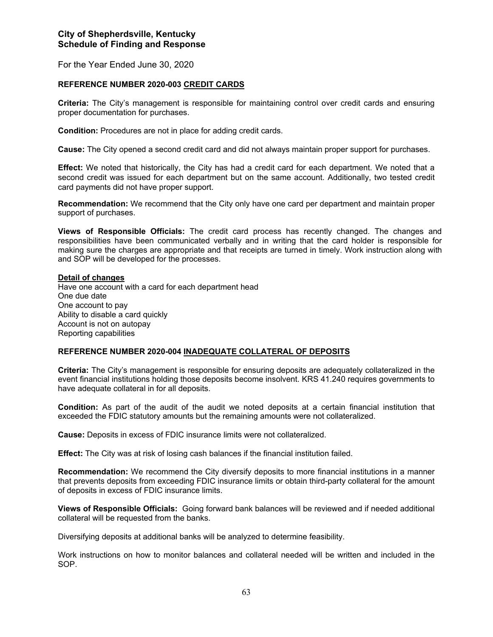For the Year Ended June 30, 2020

### **REFERENCE NUMBER 2020-003 CREDIT CARDS**

**Criteria:** The City's management is responsible for maintaining control over credit cards and ensuring proper documentation for purchases.

**Condition:** Procedures are not in place for adding credit cards.

**Cause:** The City opened a second credit card and did not always maintain proper support for purchases.

**Effect:** We noted that historically, the City has had a credit card for each department. We noted that a second credit was issued for each department but on the same account. Additionally, two tested credit card payments did not have proper support.

**Recommendation:** We recommend that the City only have one card per department and maintain proper support of purchases.

**Views of Responsible Officials:** The credit card process has recently changed. The changes and responsibilities have been communicated verbally and in writing that the card holder is responsible for making sure the charges are appropriate and that receipts are turned in timely. Work instruction along with and SOP will be developed for the processes.

#### **Detail of changes**

Have one account with a card for each department head One due date One account to pay Ability to disable a card quickly Account is not on autopay Reporting capabilities

#### **REFERENCE NUMBER 2020-004 INADEQUATE COLLATERAL OF DEPOSITS**

**Criteria:** The City's management is responsible for ensuring deposits are adequately collateralized in the event financial institutions holding those deposits become insolvent. KRS 41.240 requires governments to have adequate collateral in for all deposits.

**Condition:** As part of the audit of the audit we noted deposits at a certain financial institution that exceeded the FDIC statutory amounts but the remaining amounts were not collateralized.

**Cause:** Deposits in excess of FDIC insurance limits were not collateralized.

**Effect:** The City was at risk of losing cash balances if the financial institution failed.

**Recommendation:** We recommend the City diversify deposits to more financial institutions in a manner that prevents deposits from exceeding FDIC insurance limits or obtain third-party collateral for the amount of deposits in excess of FDIC insurance limits.

**Views of Responsible Officials:** Going forward bank balances will be reviewed and if needed additional collateral will be requested from the banks.

Diversifying deposits at additional banks will be analyzed to determine feasibility.

Work instructions on how to monitor balances and collateral needed will be written and included in the SOP.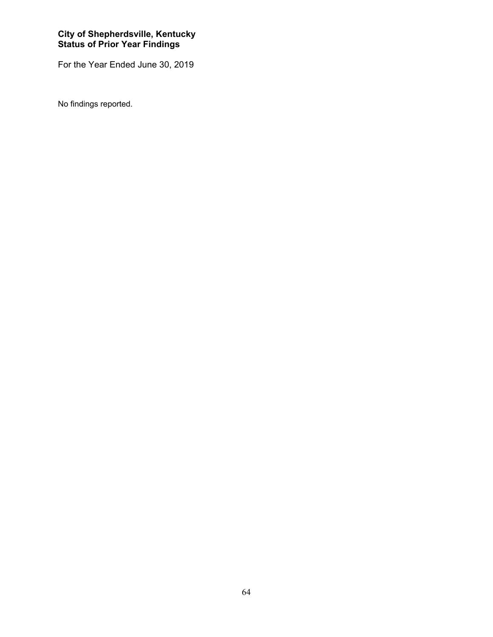# **City of Shepherdsville, Kentucky Status of Prior Year Findings**

For the Year Ended June 30, 2019

No findings reported.